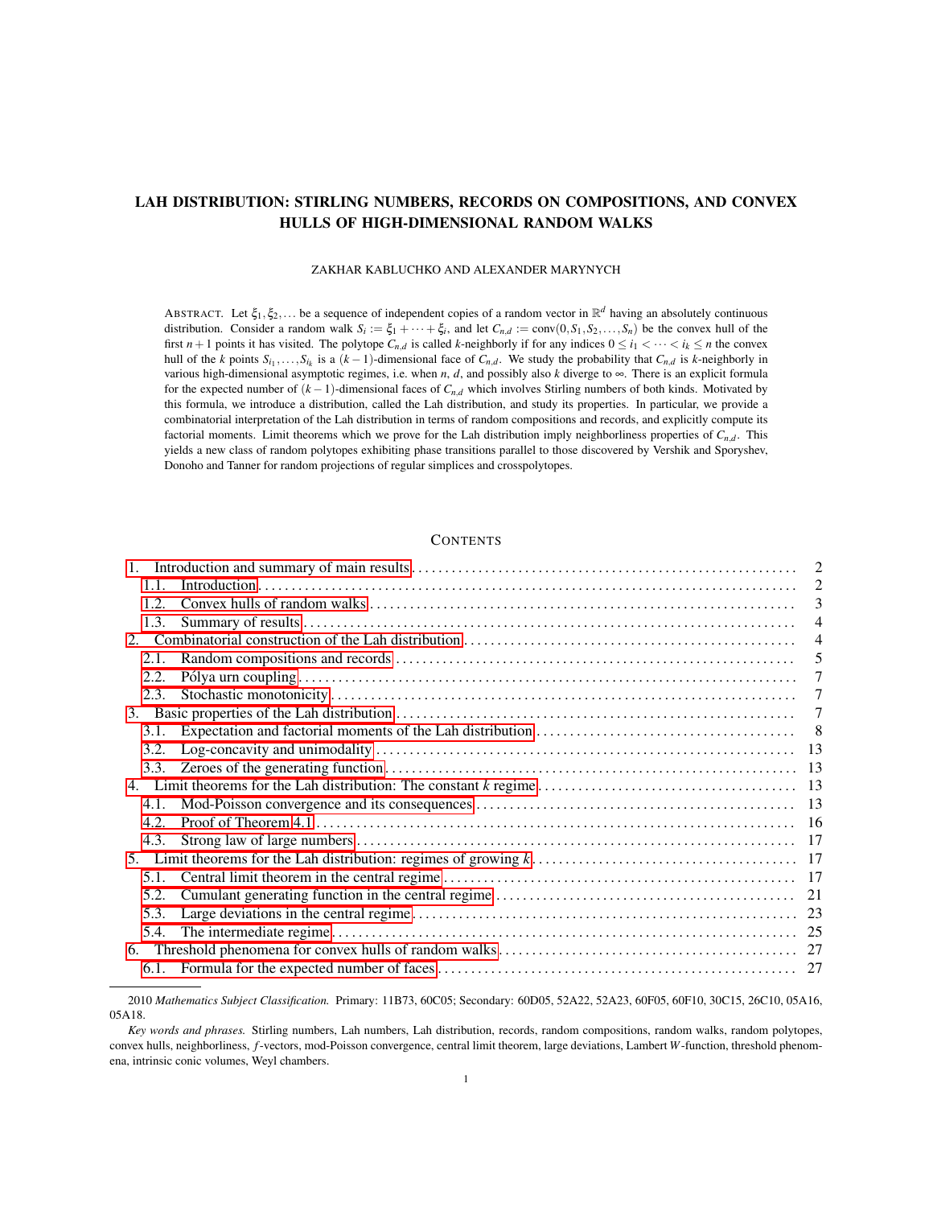# LAH DISTRIBUTION: STIRLING NUMBERS, RECORDS ON COMPOSITIONS, AND CONVEX HULLS OF HIGH-DIMENSIONAL RANDOM WALKS

### ZAKHAR KABLUCHKO AND ALEXANDER MARYNYCH

ABSTRACT. Let  $\xi_1, \xi_2,...$  be a sequence of independent copies of a random vector in  $\mathbb{R}^d$  having an absolutely continuous distribution. Consider a random walk  $S_i := \xi_1 + \cdots + \xi_i$ , and let  $C_{n,d} := \text{conv}(0, S_1, S_2, \ldots, S_n)$  be the convex hull of the first  $n+1$  points it has visited. The polytope  $C_{n,d}$  is called *k*-neighborly if for any indices  $0 \le i_1 < \cdots < i_k \le n$  the convex hull of the k points  $S_{i_1},...,S_{i_k}$  is a  $(k-1)$ -dimensional face of  $C_{n,d}$ . We study the probability that  $C_{n,d}$  is k-neighborly in various high-dimensional asymptotic regimes, i.e. when *n*, *d*, and possibly also *k* diverge to ∞. There is an explicit formula for the expected number of (*k* −1)-dimensional faces of *Cn*,*<sup>d</sup>* which involves Stirling numbers of both kinds. Motivated by this formula, we introduce a distribution, called the Lah distribution, and study its properties. In particular, we provide a combinatorial interpretation of the Lah distribution in terms of random compositions and records, and explicitly compute its factorial moments. Limit theorems which we prove for the Lah distribution imply neighborliness properties of *Cn*,*<sup>d</sup>* . This yields a new class of random polytopes exhibiting phase transitions parallel to those discovered by Vershik and Sporyshev, Donoho and Tanner for random projections of regular simplices and crosspolytopes.

## **CONTENTS**

|      |  | $\overline{2}$ |
|------|--|----------------|
| 11   |  | $\overline{2}$ |
| 12   |  | 3              |
| 1.3. |  | 4              |
|      |  | $\overline{4}$ |
| 2.1. |  | 5              |
| 2.2. |  | 7              |
| 2.3. |  | 7              |
| 3.   |  | 7              |
| 3.1. |  | 8              |
| 3.2. |  |                |
| 3.3. |  |                |
|      |  |                |
| 4.1. |  |                |
| 4.2. |  |                |
| 4.3. |  |                |
|      |  |                |
| 5.1. |  |                |
| 5.2. |  |                |
| 5.3. |  |                |
| 5.4. |  |                |
| 6.   |  |                |
|      |  |                |

<sup>2010</sup> *Mathematics Subject Classification.* Primary: 11B73, 60C05; Secondary: 60D05, 52A22, 52A23, 60F05, 60F10, 30C15, 26C10, 05A16, 05A18.

*Key words and phrases.* Stirling numbers, Lah numbers, Lah distribution, records, random compositions, random walks, random polytopes, convex hulls, neighborliness, *f*-vectors, mod-Poisson convergence, central limit theorem, large deviations, Lambert *W*-function, threshold phenomena, intrinsic conic volumes, Weyl chambers.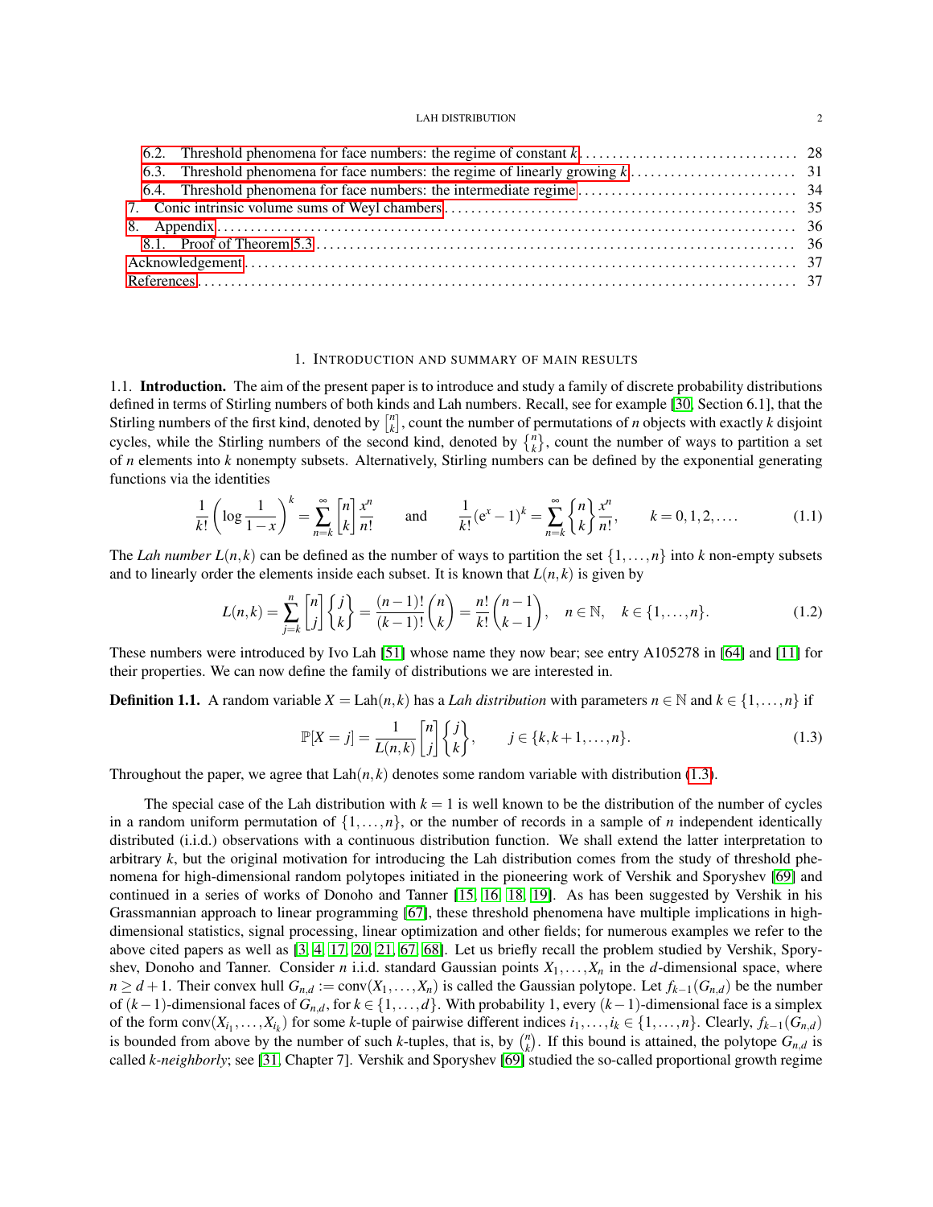## 1. INTRODUCTION AND SUMMARY OF MAIN RESULTS

<span id="page-1-1"></span><span id="page-1-0"></span>1.1. Introduction. The aim of the present paper is to introduce and study a family of discrete probability distributions defined in terms of Stirling numbers of both kinds and Lah numbers. Recall, see for example [\[30,](#page-37-0) Section 6.1], that the Stirling numbers of the first kind, denoted by  $\begin{bmatrix} n \\ k \end{bmatrix}$ , count the number of permutations of *n* objects with exactly *k* disjoint cycles, while the Stirling numbers of the second kind, denoted by  $\{^n_k\}$ , count the number of ways to partition a set of *n* elements into *k* nonempty subsets. Alternatively, Stirling numbers can be defined by the exponential generating functions via the identities

<span id="page-1-3"></span>
$$
\frac{1}{k!} \left( \log \frac{1}{1-x} \right)^k = \sum_{n=k}^{\infty} \binom{n}{k} \frac{x^n}{n!} \quad \text{and} \quad \frac{1}{k!} (e^x - 1)^k = \sum_{n=k}^{\infty} \binom{n}{k} \frac{x^n}{n!}, \quad k = 0, 1, 2, .... \tag{1.1}
$$

The *Lah number*  $L(n, k)$  can be defined as the number of ways to partition the set  $\{1, \ldots, n\}$  into *k* non-empty subsets and to linearly order the elements inside each subset. It is known that  $L(n, k)$  is given by

<span id="page-1-4"></span>
$$
L(n,k) = \sum_{j=k}^{n} {n \choose j} \left\{ {j \choose k} = \frac{(n-1)!}{(k-1)!} {n \choose k} = \frac{n!}{k!} {n-1 \choose k-1}, \quad n \in \mathbb{N}, \quad k \in \{1, ..., n\}. \tag{1.2}
$$

These numbers were introduced by Ivo Lah [\[51\]](#page-38-0) whose name they now bear; see entry A105278 in [\[64\]](#page-39-0) and [\[11\]](#page-36-2) for their properties. We can now define the family of distributions we are interested in.

**Definition 1.1.** A random variable  $X = \text{Lah}(n, k)$  has a *Lah distribution* with parameters  $n \in \mathbb{N}$  and  $k \in \{1, ..., n\}$  if

<span id="page-1-2"></span>
$$
\mathbb{P}[X=j] = \frac{1}{L(n,k)} \begin{bmatrix} n \\ j \end{bmatrix} \begin{Bmatrix} j \\ k \end{Bmatrix}, \qquad j \in \{k, k+1, \dots, n\}.
$$
 (1.3)

Throughout the paper, we agree that  $\text{Lah}(n, k)$  denotes some random variable with distribution [\(1.3\)](#page-1-2).

The special case of the Lah distribution with  $k = 1$  is well known to be the distribution of the number of cycles in a random uniform permutation of  $\{1,\ldots,n\}$ , or the number of records in a sample of *n* independent identically distributed (i.i.d.) observations with a continuous distribution function. We shall extend the latter interpretation to arbitrary *k*, but the original motivation for introducing the Lah distribution comes from the study of threshold phenomena for high-dimensional random polytopes initiated in the pioneering work of Vershik and Sporyshev [\[69\]](#page-39-1) and continued in a series of works of Donoho and Tanner [\[15,](#page-37-1) [16,](#page-37-2) [18,](#page-37-3) [19\]](#page-37-4). As has been suggested by Vershik in his Grassmannian approach to linear programming [\[67\]](#page-39-2), these threshold phenomena have multiple implications in highdimensional statistics, signal processing, linear optimization and other fields; for numerous examples we refer to the above cited papers as well as [\[3,](#page-36-3) [4,](#page-36-4) [17,](#page-37-5) [20,](#page-37-6) [21,](#page-37-7) [67,](#page-39-2) [68\]](#page-39-3). Let us briefly recall the problem studied by Vershik, Sporyshev, Donoho and Tanner. Consider *n* i.i.d. standard Gaussian points  $X_1, \ldots, X_n$  in the *d*-dimensional space, where *n* ≥ *d* + 1. Their convex hull  $G_{n,d}$  := conv( $X_1, ..., X_n$ ) is called the Gaussian polytope. Let  $f_{k-1}(G_{n,d})$  be the number of (*k*−1)-dimensional faces of *Gn*,*d*, for *k* ∈ {1,...,*d*}. With probability 1, every (*k*−1)-dimensional face is a simplex of the form  $conv(X_{i_1},...,X_{i_k})$  for some k-tuple of pairwise different indices  $i_1,...,i_k \in \{1,...,n\}$ . Clearly,  $f_{k-1}(G_{n,d})$ is bounded from above by the number of such *k*-tuples, that is, by  $\binom{n}{k}$ . If this bound is attained, the polytope  $G_{n,d}$  is called *k-neighborly*; see [\[31,](#page-37-8) Chapter 7]. Vershik and Sporyshev [\[69\]](#page-39-1) studied the so-called proportional growth regime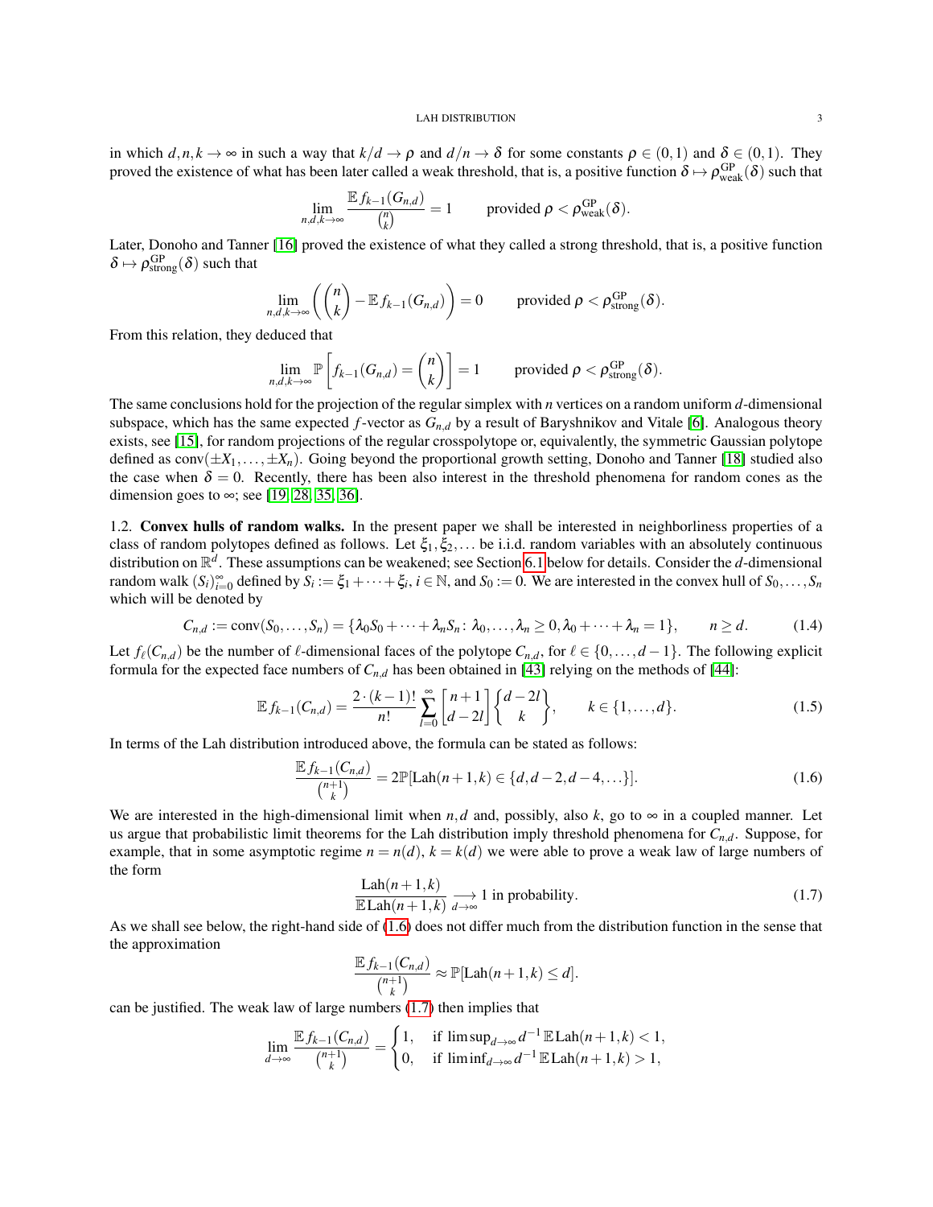in which  $d, n, k \to \infty$  in such a way that  $k/d \to \rho$  and  $d/n \to \delta$  for some constants  $\rho \in (0,1)$  and  $\delta \in (0,1)$ . They proved the existence of what has been later called a weak threshold, that is, a positive function  $\delta \mapsto \rho_{weak}^{GP}(\delta)$  such that

$$
\lim_{n,d,k\to\infty}\frac{\mathbb{E} f_{k-1}(G_{n,d})}{\binom{n}{k}}=1\qquad\text{provided }\rho<\rho_{\text{weak}}^{\text{GP}}(\delta).
$$

Later, Donoho and Tanner [\[16\]](#page-37-2) proved the existence of what they called a strong threshold, that is, a positive function  $\delta \mapsto \rho_{\text{strong}}^{\text{GP}}(\delta)$  such that

$$
\lim_{n,d,k\to\infty}\left(\binom{n}{k}-\mathbb{E} f_{k-1}(G_{n,d})\right)=0\qquad\text{ provided }\rho<\rho_{\text{strong}}^{\text{GP}}(\delta).
$$

From this relation, they deduced that

$$
\lim_{n,d,k\to\infty} \mathbb{P}\left[f_{k-1}(G_{n,d})=\binom{n}{k}\right]=1\qquad\text{ provided }\rho<\rho_{\text{strong}}^{\text{GP}}(\delta).
$$

The same conclusions hold for the projection of the regular simplex with *n* vertices on a random uniform *d*-dimensional subspace, which has the same expected *f*-vector as *Gn*,*<sup>d</sup>* by a result of Baryshnikov and Vitale [\[6\]](#page-36-5). Analogous theory exists, see [\[15\]](#page-37-1), for random projections of the regular crosspolytope or, equivalently, the symmetric Gaussian polytope defined as  $conv(\pm X_1, \ldots, \pm X_n)$ . Going beyond the proportional growth setting, Donoho and Tanner [\[18\]](#page-37-3) studied also the case when  $\delta = 0$ . Recently, there has been also interest in the threshold phenomena for random cones as the dimension goes to  $\infty$ ; see [\[19,](#page-37-4) [28,](#page-37-9) [35,](#page-37-10) [36\]](#page-37-11).

<span id="page-2-0"></span>1.2. Convex hulls of random walks. In the present paper we shall be interested in neighborliness properties of a class of random polytopes defined as follows. Let  $\xi_1, \xi_2,...$  be i.i.d. random variables with an absolutely continuous distribution on R *d* . These assumptions can be weakened; see Section [6.1](#page-26-1) below for details. Consider the *d*-dimensional random walk  $(S_i)_{i=0}^{\infty}$  defined by  $S_i := \xi_1 + \cdots + \xi_i$ ,  $i \in \mathbb{N}$ , and  $S_0 := 0$ . We are interested in the convex hull of  $S_0, \ldots, S_n$ which will be denoted by

<span id="page-2-3"></span>
$$
C_{n,d} := \text{conv}(S_0,\ldots,S_n) = \{\lambda_0 S_0 + \cdots + \lambda_n S_n \colon \lambda_0,\ldots,\lambda_n \ge 0, \lambda_0 + \cdots + \lambda_n = 1\}, \qquad n \ge d. \tag{1.4}
$$

Let  $f_{\ell}(C_{n,d})$  be the number of  $\ell$ -dimensional faces of the polytope  $C_{n,d}$ , for  $\ell \in \{0,\ldots,d-1\}$ . The following explicit formula for the expected face numbers of  $C_{n,d}$  has been obtained in [\[43\]](#page-38-1) relying on the methods of [\[44\]](#page-38-2):

<span id="page-2-4"></span>
$$
\mathbb{E} f_{k-1}(C_{n,d}) = \frac{2 \cdot (k-1)!}{n!} \sum_{l=0}^{\infty} \begin{bmatrix} n+1 \\ d-2l \end{bmatrix} \begin{Bmatrix} d-2l \\ k \end{Bmatrix}, \qquad k \in \{1, \dots, d\}.
$$
 (1.5)

In terms of the Lah distribution introduced above, the formula can be stated as follows:

<span id="page-2-1"></span>
$$
\frac{\mathbb{E} f_{k-1}(C_{n,d})}{\binom{n+1}{k}} = 2\mathbb{P}[\text{Lah}(n+1,k) \in \{d, d-2, d-4, \ldots\}].\tag{1.6}
$$

We are interested in the high-dimensional limit when *n*,*d* and, possibly, also *k*, go to  $\infty$  in a coupled manner. Let us argue that probabilistic limit theorems for the Lah distribution imply threshold phenomena for *Cn*,*d*. Suppose, for example, that in some asymptotic regime  $n = n(d)$ ,  $k = k(d)$  we were able to prove a weak law of large numbers of the form

<span id="page-2-2"></span>
$$
\frac{\text{Lah}(n+1,k)}{\text{ELah}(n+1,k)} \longrightarrow 1 \text{ in probability.}
$$
\n(1.7)

As we shall see below, the right-hand side of [\(1.6\)](#page-2-1) does not differ much from the distribution function in the sense that the approximation

$$
\frac{\mathbb{E} f_{k-1}(C_{n,d})}{\binom{n+1}{k}} \approx \mathbb{P}[\text{Lah}(n+1,k) \leq d].
$$

can be justified. The weak law of large numbers [\(1.7\)](#page-2-2) then implies that

$$
\lim_{d\to\infty}\frac{\mathbb{E} f_{k-1}(C_{n,d})}{\binom{n+1}{k}}=\begin{cases}1,&\text{if } \limsup_{d\to\infty}d^{-1}\mathbb{E} \text{Lah}(n+1,k)<1,\\0,&\text{if } \liminf_{d\to\infty}d^{-1}\mathbb{E} \text{Lah}(n+1,k)>1,\end{cases}
$$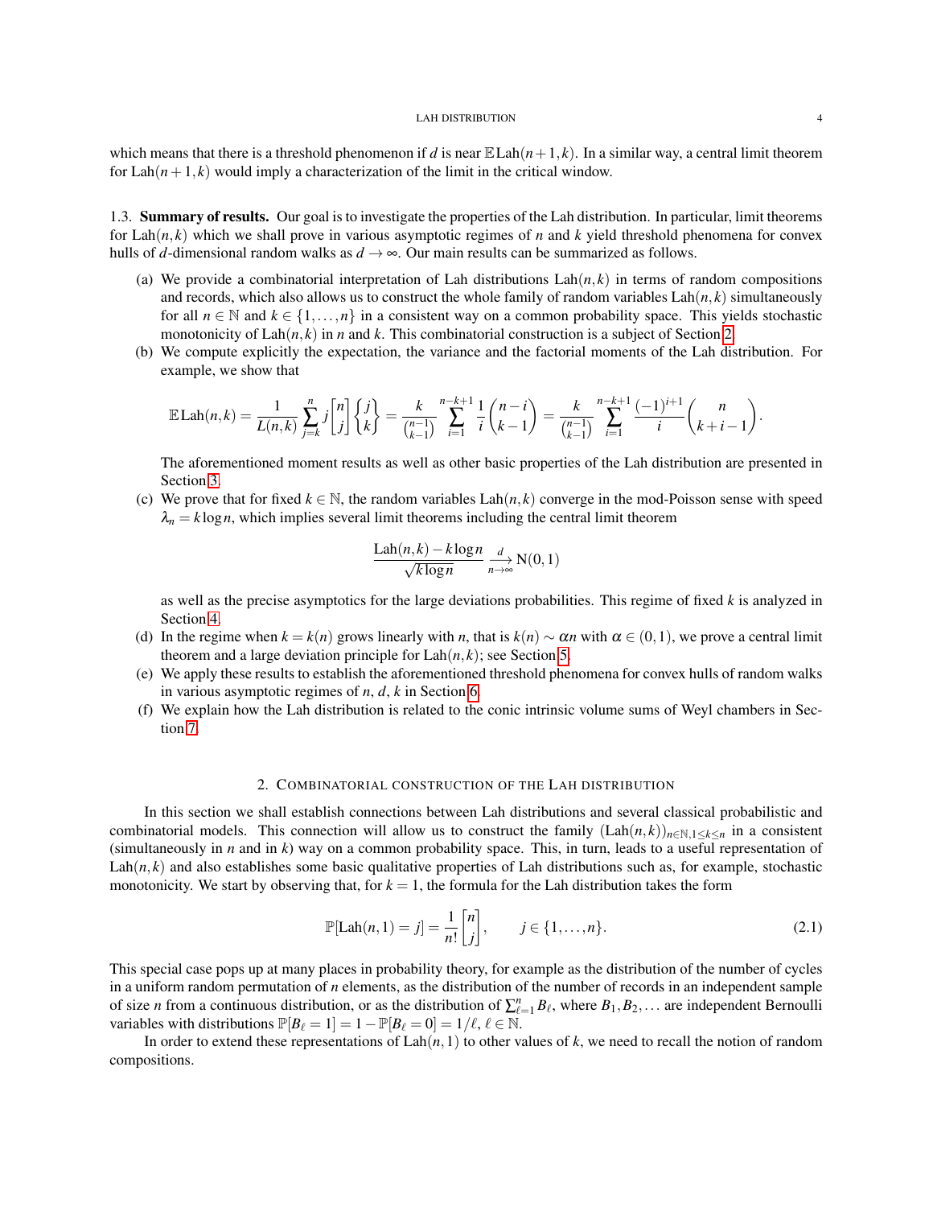which means that there is a threshold phenomenon if *d* is near  $\mathbb{E} \text{Lah}(n+1, k)$ . In a similar way, a central limit theorem for  $\text{Lah}(n+1, k)$  would imply a characterization of the limit in the critical window.

<span id="page-3-0"></span>1.3. Summary of results. Our goal is to investigate the properties of the Lah distribution. In particular, limit theorems for Lah $(n, k)$  which we shall prove in various asymptotic regimes of *n* and *k* yield threshold phenomena for convex hulls of *d*-dimensional random walks as  $d \rightarrow \infty$ . Our main results can be summarized as follows.

- (a) We provide a combinatorial interpretation of Lah distributions  $\text{Lah}(n, k)$  in terms of random compositions and records, which also allows us to construct the whole family of random variables  $\text{Lah}(n, k)$  simultaneously for all  $n \in \mathbb{N}$  and  $k \in \{1, \ldots, n\}$  in a consistent way on a common probability space. This yields stochastic monotonicity of  $\text{Lah}(n, k)$  in *n* and *k*. This combinatorial construction is a subject of Section [2.](#page-3-1)
- (b) We compute explicitly the expectation, the variance and the factorial moments of the Lah distribution. For example, we show that

$$
\mathbb{E}\text{Lah}(n,k) = \frac{1}{L(n,k)}\sum_{j=k}^{n}j\binom{n}{j}\begin{Bmatrix}j\\k\end{Bmatrix} = \frac{k}{\binom{n-1}{k-1}}\sum_{i=1}^{n-k+1}\frac{1}{i}\binom{n-i}{k-1} = \frac{k}{\binom{n-1}{k-1}}\sum_{i=1}^{n-k+1}\frac{(-1)^{i+1}}{i}\binom{n}{k+i-1}.
$$

The aforementioned moment results as well as other basic properties of the Lah distribution are presented in Section [3.](#page-6-2)

(c) We prove that for fixed  $k \in \mathbb{N}$ , the random variables Lah $(n, k)$  converge in the mod-Poisson sense with speed  $\lambda_n = k \log n$ , which implies several limit theorems including the central limit theorem

$$
\frac{\text{Lah}(n,k) - k \log n}{\sqrt{k \log n}} \underset{n \to \infty}{\longrightarrow} \mathcal{N}(0,1)
$$

as well as the precise asymptotics for the large deviations probabilities. This regime of fixed *k* is analyzed in Section [4.](#page-12-2)

- (d) In the regime when  $k = k(n)$  grows linearly with *n*, that is  $k(n) \sim \alpha n$  with  $\alpha \in (0,1)$ , we prove a central limit theorem and a large deviation principle for  $\text{Lah}(n, k)$ ; see Section [5.](#page-16-1)
- (e) We apply these results to establish the aforementioned threshold phenomena for convex hulls of random walks in various asymptotic regimes of *n*, *d*, *k* in Section [6.](#page-26-0)
- (f) We explain how the Lah distribution is related to the conic intrinsic volume sums of Weyl chambers in Section [7.](#page-34-0)

### 2. COMBINATORIAL CONSTRUCTION OF THE LAH DISTRIBUTION

<span id="page-3-1"></span>In this section we shall establish connections between Lah distributions and several classical probabilistic and combinatorial models. This connection will allow us to construct the family  $(\text{Lah}(n,k))_{n\in\mathbb{N},1\leq k\leq n}$  in a consistent (simultaneously in *n* and in *k*) way on a common probability space. This, in turn, leads to a useful representation of  $\text{Lah}(n, k)$  and also establishes some basic qualitative properties of Lah distributions such as, for example, stochastic monotonicity. We start by observing that, for  $k = 1$ , the formula for the Lah distribution takes the form

<span id="page-3-2"></span>
$$
\mathbb{P}[\text{Lah}(n,1) = j] = \frac{1}{n!} \begin{bmatrix} n \\ j \end{bmatrix}, \qquad j \in \{1, \dots, n\}. \tag{2.1}
$$

This special case pops up at many places in probability theory, for example as the distribution of the number of cycles in a uniform random permutation of *n* elements, as the distribution of the number of records in an independent sample of size *n* from a continuous distribution, or as the distribution of  $\sum_{\ell=1}^n B_\ell$ , where  $B_1, B_2, \ldots$  are independent Bernoulli variables with distributions  $\mathbb{P}[B_\ell = 1] = 1 - \mathbb{P}[B_\ell = 0] = 1/\ell, \ell \in \mathbb{N}.$ 

In order to extend these representations of  $\text{Lah}(n,1)$  to other values of k, we need to recall the notion of random compositions.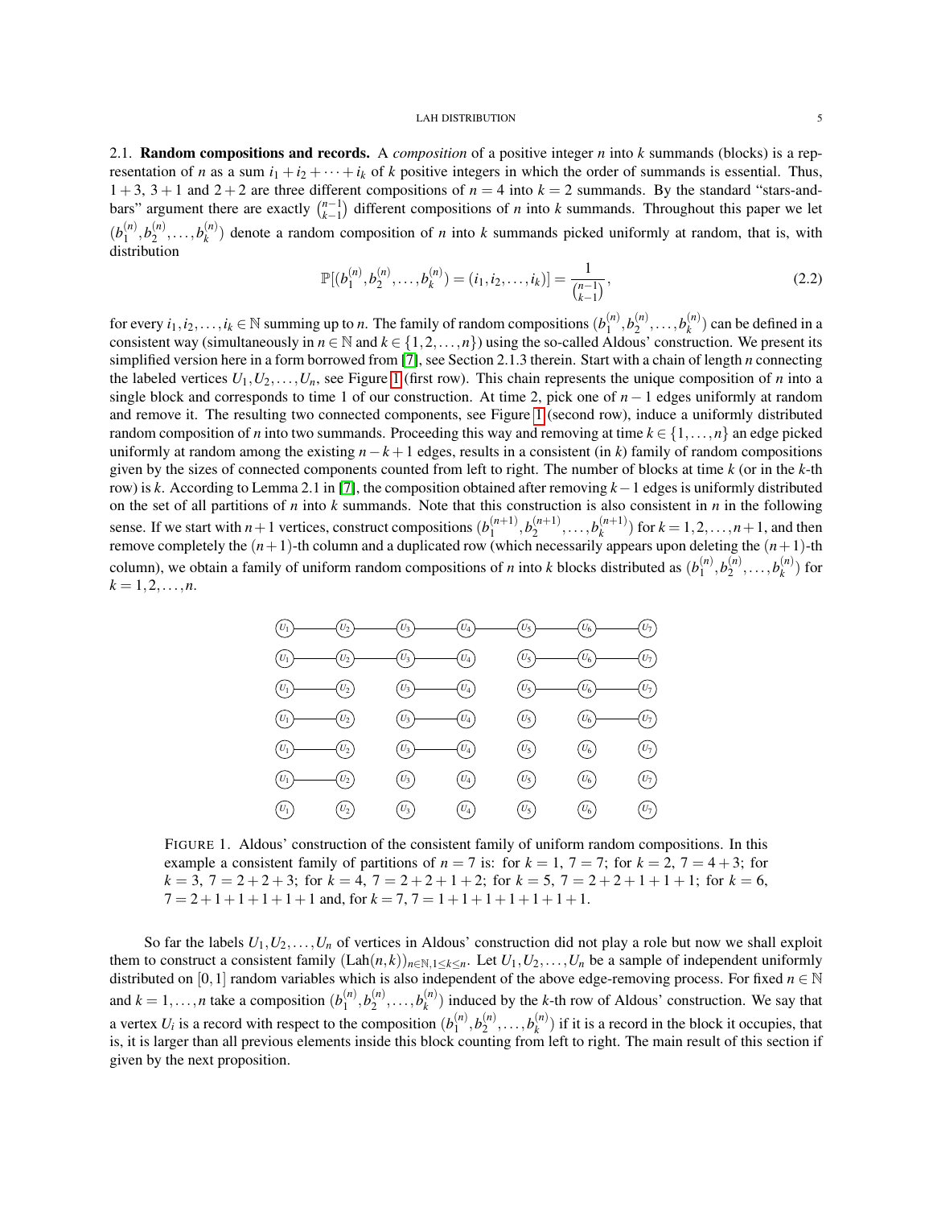<span id="page-4-0"></span>2.1. Random compositions and records. A *composition* of a positive integer *n* into *k* summands (blocks) is a representation of *n* as a sum  $i_1 + i_2 + \cdots + i_k$  of *k* positive integers in which the order of summands is essential. Thus,  $1 + 3$ ,  $3 + 1$  and  $2 + 2$  are three different compositions of  $n = 4$  into  $k = 2$  summands. By the standard "stars-andbars" argument there are exactly  $\binom{n-1}{k-1}$  different compositions of *n* into *k* summands. Throughout this paper we let  $(b_1^{(n)}$  $\binom{n}{1}$ ,  $b_2^{(n)}$  $b_2^{(n)}, \ldots, b_k^{(n)}$  $\binom{n}{k}$  denote a random composition of *n* into *k* summands picked uniformly at random, that is, with distribution

<span id="page-4-2"></span>
$$
\mathbb{P}[(b_1^{(n)}, b_2^{(n)}, \dots, b_k^{(n)}) = (i_1, i_2, \dots, i_k)] = \frac{1}{\binom{n-1}{k-1}},\tag{2.2}
$$

for every  $i_1, i_2, \ldots, i_k \in \mathbb{N}$  summing up to *n*. The family of random compositions  $(b_1^{(n)})$  $b_1^{(n)}, b_2^{(n)}$  $b_2^{(n)}, \ldots, b_k^{(n)}$  $\binom{n}{k}$  can be defined in a consistent way (simultaneously in  $n \in \mathbb{N}$  and  $k \in \{1,2,\ldots,n\}$ ) using the so-called Aldous' construction. We present its simplified version here in a form borrowed from [\[7\]](#page-36-6), see Section 2.1.3 therein. Start with a chain of length *n* connecting the labeled vertices  $U_1, U_2, \ldots, U_n$ , see Figure [1](#page-4-1) (first row). This chain represents the unique composition of *n* into a single block and corresponds to time 1 of our construction. At time 2, pick one of *n*−1 edges uniformly at random and remove it. The resulting two connected components, see Figure [1](#page-4-1) (second row), induce a uniformly distributed random composition of *n* into two summands. Proceeding this way and removing at time  $k \in \{1, \ldots, n\}$  an edge picked uniformly at random among the existing  $n-k+1$  edges, results in a consistent (in *k*) family of random compositions given by the sizes of connected components counted from left to right. The number of blocks at time *k* (or in the *k*-th row) is *k*. According to Lemma 2.1 in [\[7\]](#page-36-6), the composition obtained after removing *k*−1 edges is uniformly distributed on the set of all partitions of *n* into *k* summands. Note that this construction is also consistent in *n* in the following sense. If we start with  $n+1$  vertices, construct compositions  $(b_1^{(n+1)})$  $b_1^{(n+1)}, b_2^{(n+1)}$  $b_k^{(n+1)}, \ldots, b_k^{(n+1)}$  $\binom{n+1}{k}$  for  $k = 1, 2, ..., n+1$ , and then remove completely the (*n*+1)-th column and a duplicated row (which necessarily appears upon deleting the (*n*+1)-th column), we obtain a family of uniform random compositions of *n* into *k* blocks distributed as  $(b_1^{(n)})$  $b_1^{(n)}, b_2^{(n)}$  $b_2^{(n)}, \ldots, b_k^{(n)}$  $\binom{n}{k}$  for  $k = 1, 2, \ldots, n$ .



<span id="page-4-1"></span>FIGURE 1. Aldous' construction of the consistent family of uniform random compositions. In this example a consistent family of partitions of  $n = 7$  is: for  $k = 1, 7 = 7$ ; for  $k = 2, 7 = 4 + 3$ ; for  $k = 3$ ,  $7 = 2 + 2 + 3$ ; for  $k = 4$ ,  $7 = 2 + 2 + 1 + 2$ ; for  $k = 5$ ,  $7 = 2 + 2 + 1 + 1 + 1$ ; for  $k = 6$ ,  $7 = 2+1+1+1+1+1$  and, for  $k = 7$ ,  $7 = 1+1+1+1+1+1+1$ .

So far the labels  $U_1, U_2, \ldots, U_n$  of vertices in Aldous' construction did not play a role but now we shall exploit them to construct a consistent family  $(Lah(n,k))_{n\in\mathbb{N},1\leq k\leq n}$ . Let  $U_1,U_2,\ldots,U_n$  be a sample of independent uniformly distributed on [0,1] random variables which is also independent of the above edge-removing process. For fixed  $n \in \mathbb{N}$ and  $k = 1, \ldots, n$  take a composition  $(b_1^{(n)})$  $b_1^{(n)}, b_2^{(n)}$  $b_2^{(n)}, \ldots, b_k^{(n)}$  $k_k^{(n)}$ ) induced by the *k*-th row of Aldous' construction. We say that a vertex  $U_i$  is a record with respect to the composition  $(b_1^{(n)})$  $b_1^{(n)}, b_2^{(n)}$  $b_2^{(n)}, \ldots, b_k^{(n)}$  $\binom{n}{k}$  if it is a record in the block it occupies, that is, it is larger than all previous elements inside this block counting from left to right. The main result of this section if given by the next proposition.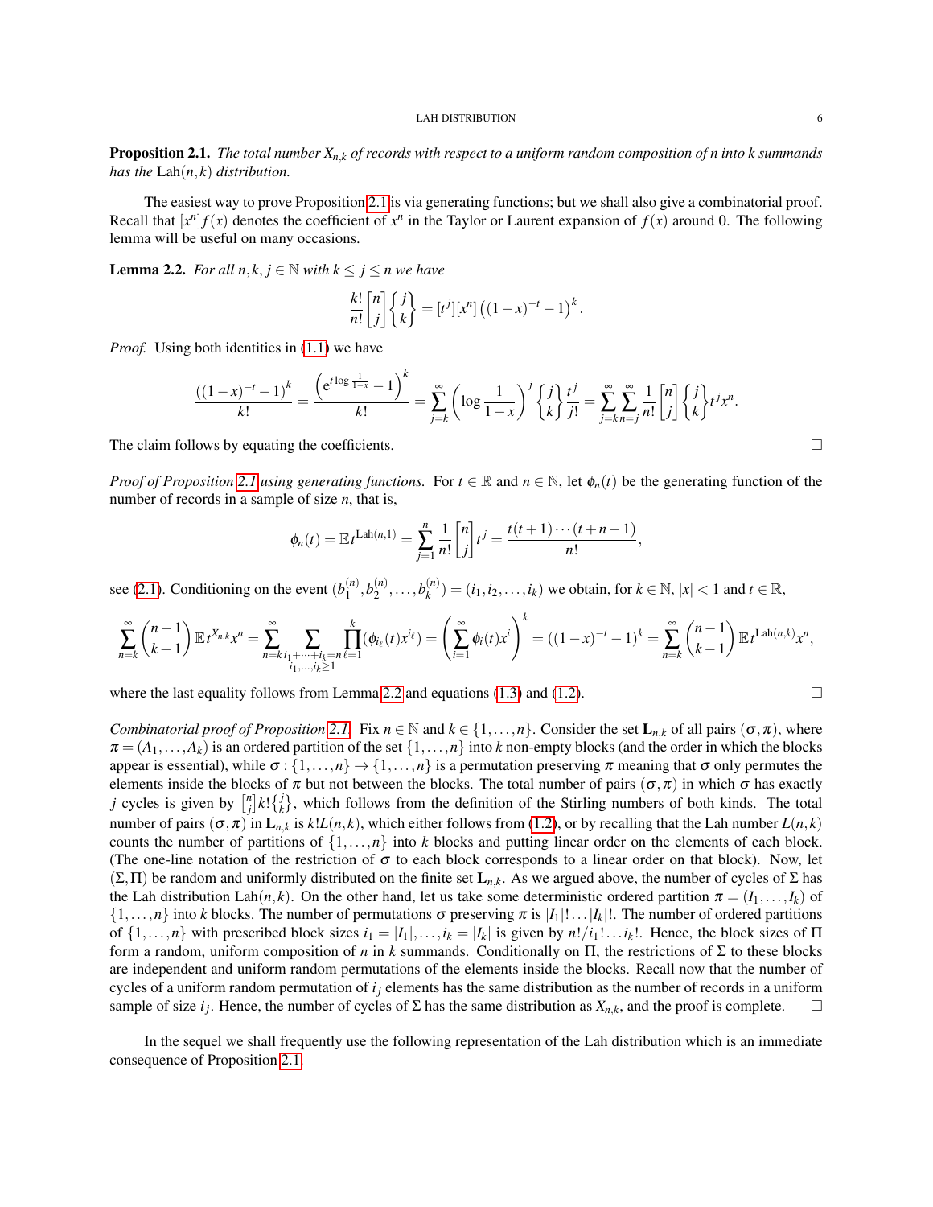<span id="page-5-0"></span>Proposition 2.1. *The total number Xn*,*<sup>k</sup> of records with respect to a uniform random composition of n into k summands has the* Lah(*n*, *k*) *distribution.*

The easiest way to prove Proposition [2.1](#page-5-0) is via generating functions; but we shall also give a combinatorial proof. Recall that  $[x^n] f(x)$  denotes the coefficient of  $x^n$  in the Taylor or Laurent expansion of  $f(x)$  around 0. The following lemma will be useful on many occasions.

<span id="page-5-1"></span>**Lemma 2.2.** *For all*  $n, k, j \in \mathbb{N}$  *with*  $k \leq j \leq n$  *we have* 

$$
\frac{k!}{n!} \begin{bmatrix} n \\ j \end{bmatrix} \begin{Bmatrix} j \\ k \end{Bmatrix} = [t^j][x^n] ((1-x)^{-t} - 1)^k
$$

*Proof.* Using both identities in [\(1.1\)](#page-1-3) we have

$$
\frac{((1-x)^{-t}-1)^k}{k!} = \frac{\left(e^{t \log \frac{1}{1-x}}-1\right)^k}{k!} = \sum_{j=k}^{\infty} \left(\log \frac{1}{1-x}\right)^j \left\{\frac{j}{k}\right\} \frac{t^j}{j!} = \sum_{j=k}^{\infty} \sum_{n=j}^{\infty} \frac{1}{n!} \begin{bmatrix} n \\ j \end{bmatrix} \left\{\frac{j}{k}\right\} t^j x^n.
$$

.

The claim follows by equating the coefficients.

*Proof of Proposition* [2.1](#page-5-0) *using generating functions.* For  $t \in \mathbb{R}$  and  $n \in \mathbb{N}$ , let  $\phi_n(t)$  be the generating function of the number of records in a sample of size *n*, that is,

$$
\phi_n(t) = \mathbb{E} t^{\text{Lah}(n,1)} = \sum_{j=1}^n \frac{1}{n!} \begin{bmatrix} n \\ j \end{bmatrix} t^j = \frac{t(t+1)\cdots(t+n-1)}{n!},
$$

see [\(2.1\)](#page-3-2). Conditioning on the event  $(b_1^{(n)})$  $b_1^{(n)}, b_2^{(n)}$  $b_2^{(n)}, \ldots, b_k^{(n)}$  $\binom{n}{k}$  =  $(i_1, i_2, \ldots, i_k)$  we obtain, for  $k \in \mathbb{N}$ ,  $|x| < 1$  and  $t \in \mathbb{R}$ ,

$$
\sum_{n=k}^{\infty} {n-1 \choose k-1} \mathbb{E} t^{X_{n,k}} x^n = \sum_{n=k}^{\infty} \sum_{\substack{i_1+\cdots+i_k=n \ \ell=1}} \prod_{\ell=1}^k (\phi_{i_\ell}(t) x^{i_\ell}) = \left(\sum_{i=1}^{\infty} \phi_i(t) x^i\right)^k = ((1-x)^{-t}-1)^k = \sum_{n=k}^{\infty} {n-1 \choose k-1} \mathbb{E} t^{\text{Lah}(n,k)} x^n,
$$

where the last equality follows from Lemma [2.2](#page-5-1) and equations [\(1.3\)](#page-1-2) and [\(1.2\)](#page-1-4).

*Combinatorial proof of Proposition* [2.1.](#page-5-0) Fix  $n \in \mathbb{N}$  and  $k \in \{1, \ldots, n\}$ . Consider the set  $\mathbf{L}_{n,k}$  of all pairs  $(\sigma, \pi)$ , where  $\pi = (A_1, \ldots, A_k)$  is an ordered partition of the set  $\{1, \ldots, n\}$  into *k* non-empty blocks (and the order in which the blocks appear is essential), while  $\sigma$ : {1,...,*n*}  $\rightarrow$  {1,...,*n*} is a permutation preserving  $\pi$  meaning that  $\sigma$  only permutes the elements inside the blocks of  $\pi$  but not between the blocks. The total number of pairs  $(\sigma, \pi)$  in which  $\sigma$  has exactly *j* cycles is given by  $\binom{n}{j} k! \binom{j}{k}$ , which follows from the definition of the Stirling numbers of both kinds. The total number of pairs  $(\sigma, \pi)$  in  $\mathbf{L}_{n,k}$  is  $k!L(n,k)$ , which either follows from [\(1.2\)](#page-1-4), or by recalling that the Lah number  $L(n,k)$ counts the number of partitions of  $\{1,\ldots,n\}$  into *k* blocks and putting linear order on the elements of each block. (The one-line notation of the restriction of  $\sigma$  to each block corresponds to a linear order on that block). Now, let  $(\Sigma,\Pi)$  be random and uniformly distributed on the finite set  $\mathbf{L}_{n,k}$ . As we argued above, the number of cycles of  $\Sigma$  has the Lah distribution Lah $(n, k)$ . On the other hand, let us take some deterministic ordered partition  $\pi = (I_1, \ldots, I_k)$  of  $\{1,\ldots,n\}$  into *k* blocks. The number of permutations  $\sigma$  preserving  $\pi$  is  $|I_1|! \ldots |I_k|!$ . The number of ordered partitions of  $\{1,\ldots,n\}$  with prescribed block sizes  $i_1 = |I_1|,\ldots,i_k = |I_k|$  is given by  $n!/i_1! \ldots i_k!$ . Hence, the block sizes of  $\Pi$ form a random, uniform composition of *n* in *k* summands. Conditionally on Π, the restrictions of Σ to these blocks are independent and uniform random permutations of the elements inside the blocks. Recall now that the number of cycles of a uniform random permutation of *i<sup>j</sup>* elements has the same distribution as the number of records in a uniform sample of size  $i_j$ . Hence, the number of cycles of  $\Sigma$  has the same distribution as  $X_{n,k}$ , and the proof is complete.  $\square$ 

In the sequel we shall frequently use the following representation of the Lah distribution which is an immediate consequence of Proposition [2.1.](#page-5-0)

$$
\sqcup
$$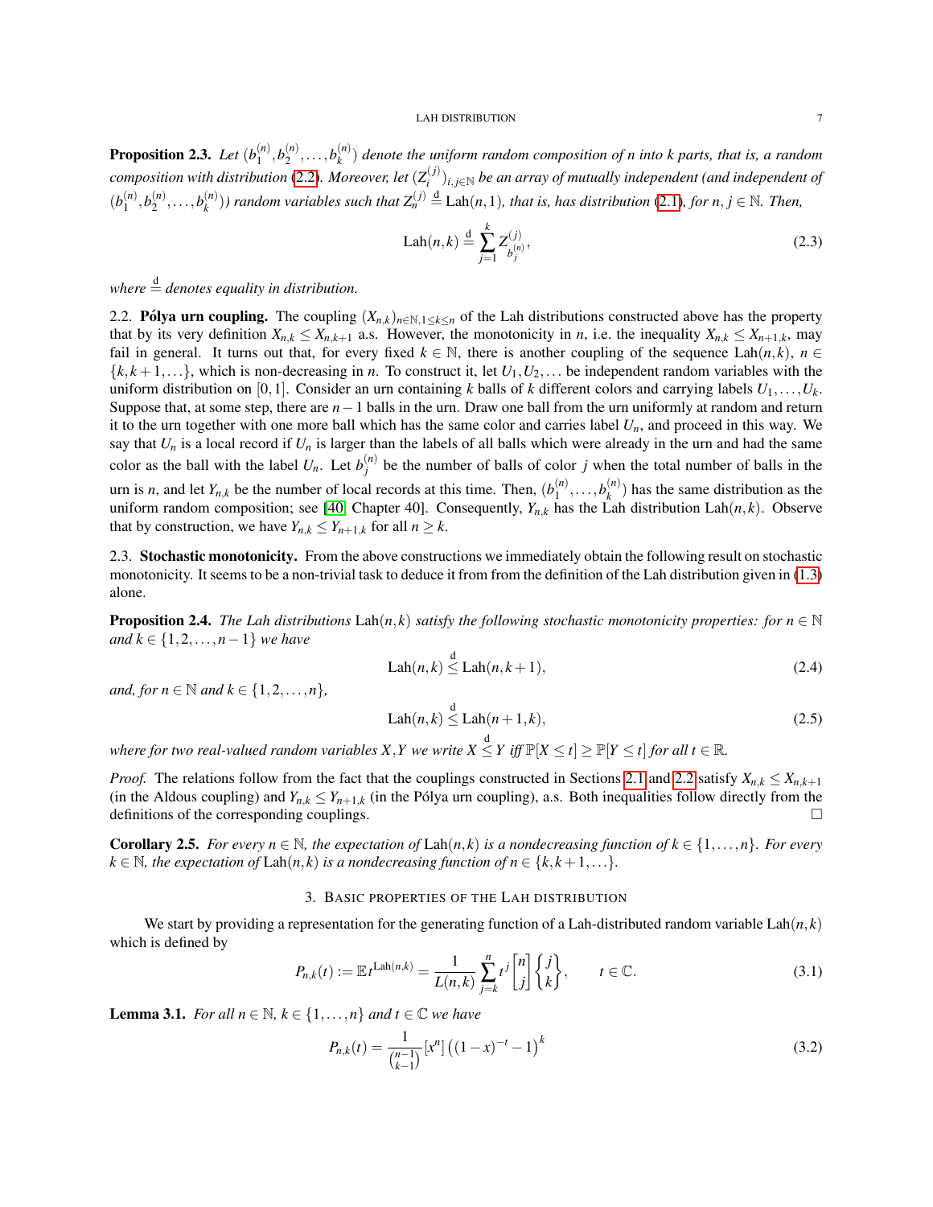**Proposition 2.3.** *Let*  $(b_1^{(n)})$  $b_1^{(n)}, b_2^{(n)}$  $b_2^{(n)}, \ldots, b_k^{(n)}$ *k* ) *denote the uniform random composition of n into k parts, that is, a random composition with distribution* [\(2.2\)](#page-4-2). Moreover, let  $(Z_i^{(j)})$ *i* )*i*, *<sup>j</sup>*∈<sup>N</sup> *be an array of mutually independent (and independent of*  $(b_1^{(n)}$  $b_1^{(n)}, b_2^{(n)}$  $b_2^{(n)}, \ldots, b_k^{(n)}$  $h_k^{(n)}$ )) random variables such that  $Z_n^{(j)} \stackrel{d}{=}$  Lah $(n,1)$ *, that is, has distribution* [\(2.1\)](#page-3-2)*, for n, j*  $\in$  N*. Then,* 

<span id="page-6-5"></span>
$$
Lah(n,k) \stackrel{d}{=} \sum_{j=1}^{k} Z_{b_j^{(n)}}^{(j)},
$$
\n(2.3)

*where*  $\stackrel{d}{=}$  *denotes equality in distribution.* 

<span id="page-6-0"></span>2.2. Pólya urn coupling. The coupling  $(X_{n,k})_{n \in \mathbb{N}, 1 \leq k \leq n}$  of the Lah distributions constructed above has the property that by its very definition  $X_{n,k} \leq X_{n,k+1}$  a.s. However, the monotonicity in *n*, i.e. the inequality  $X_{n,k} \leq X_{n+1,k}$ , may fail in general. It turns out that, for every fixed  $k \in \mathbb{N}$ , there is another coupling of the sequence Lah $(n, k)$ ,  $n \in \mathbb{N}$  $\{k, k+1, \ldots\}$ , which is non-decreasing in *n*. To construct it, let  $U_1, U_2, \ldots$  be independent random variables with the uniform distribution on [0,1]. Consider an urn containing *k* balls of *k* different colors and carrying labels *U*1,...,*U<sup>k</sup>* . Suppose that, at some step, there are *n*−1 balls in the urn. Draw one ball from the urn uniformly at random and return it to the urn together with one more ball which has the same color and carries label  $U_n$ , and proceed in this way. We say that  $U_n$  is a local record if  $U_n$  is larger than the labels of all balls which were already in the urn and had the same color as the ball with the label  $U_n$ . Let  $b_j^{(n)}$  $j^{(n)}$  be the number of balls of color *j* when the total number of balls in the urn is *n*, and let  $Y_{n,k}$  be the number of local records at this time. Then,  $(b_1^{(n)})$  $b_1^{(n)}, \ldots, b_k^{(n)}$  $\binom{n}{k}$  has the same distribution as the uniform random composition; see [\[40,](#page-38-3) Chapter 40]. Consequently,  $Y_{n,k}$  has the Lah distribution Lah $(n, k)$ . Observe that by construction, we have  $Y_{n,k} \leq Y_{n+1,k}$  for all  $n \geq k$ .

<span id="page-6-1"></span>2.3. Stochastic monotonicity. From the above constructions we immediately obtain the following result on stochastic monotonicity. It seems to be a non-trivial task to deduce it from from the definition of the Lah distribution given in [\(1.3\)](#page-1-2) alone.

<span id="page-6-7"></span>**Proposition 2.4.** *The Lah distributions*  $\text{Lah}(n, k)$  *satisfy the following stochastic monotonicity properties: for*  $n \in \mathbb{N}$ *and k* ∈ {1,2,...,*n*−1} *we have*

$$
Lah(n,k) \leq Lah(n,k+1),\tag{2.4}
$$

*and, for*  $n \in \mathbb{N}$  *and*  $k \in \{1, 2, ..., n\}$ ,

$$
Lah(n,k) \stackrel{d}{\leq} Lah(n+1,k),\tag{2.5}
$$

where for two real-valued random variables X,Y we write  $X \leq Y$  iff  $\mathbb{P}[X \leq t] \geq \mathbb{P}[Y \leq t]$  for all  $t \in \mathbb{R}$ .

*Proof.* The relations follow from the fact that the couplings constructed in Sections [2.1](#page-4-0) and [2.2](#page-6-0) satisfy  $X_{n,k} \leq X_{n,k+1}$ (in the Aldous coupling) and  $Y_{n,k} \leq Y_{n+1,k}$  (in the Pólya urn coupling), a.s. Both inequalities follow directly from the definitions of the corresponding couplings.  $\Box$ 

**Corollary 2.5.** *For every n*  $\in$  N, the expectation of Lah(n, k) is a nondecreasing function of  $k \in \{1, \ldots, n\}$ . For every  $k \in \mathbb{N}$ , the expectation of  $\text{Lah}(n, k)$  *is a nondecreasing function of*  $n \in \{k, k+1, \ldots\}$ .

## 3. BASIC PROPERTIES OF THE LAH DISTRIBUTION

<span id="page-6-2"></span>We start by providing a representation for the generating function of a Lah-distributed random variable  $\text{Lah}(n, k)$ which is defined by

<span id="page-6-6"></span>
$$
P_{n,k}(t) := \mathbb{E}_t \mathcal{L}^{\text{Lah}(n,k)} = \frac{1}{L(n,k)} \sum_{j=k}^n t^j \begin{bmatrix} n \\ j \end{bmatrix} \begin{Bmatrix} j \\ k \end{Bmatrix}, \qquad t \in \mathbb{C}.
$$
 (3.1)

<span id="page-6-4"></span>**Lemma 3.1.** *For all*  $n \in \mathbb{N}$ ,  $k \in \{1, ..., n\}$  *and*  $t \in \mathbb{C}$  *we have* 

<span id="page-6-3"></span>
$$
P_{n,k}(t) = \frac{1}{\binom{n-1}{k-1}} [x^n] \left( (1-x)^{-t} - 1 \right)^k \tag{3.2}
$$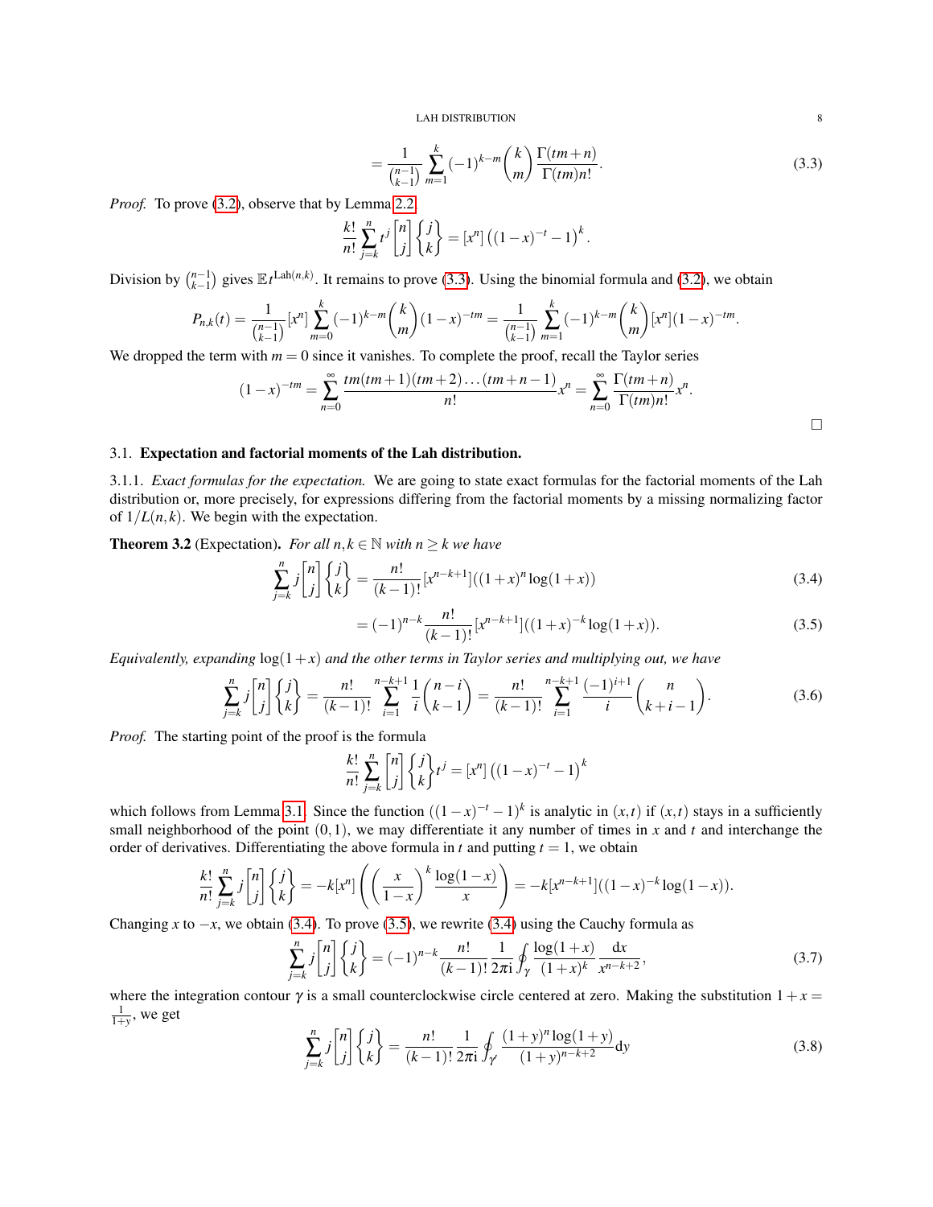$$
=\frac{1}{\binom{n-1}{k-1}}\sum_{m=1}^{k}(-1)^{k-m}\binom{k}{m}\frac{\Gamma(tm+n)}{\Gamma(tm)n!}.
$$
\n(3.3)

*Proof.* To prove [\(3.2\)](#page-6-3), observe that by Lemma [2.2,](#page-5-1)

$$
\frac{k!}{n!} \sum_{j=k}^{n} t^j \begin{bmatrix} n \\ j \end{bmatrix} \begin{Bmatrix} j \\ k \end{Bmatrix} = [x^n] \left( (1-x)^{-t} - 1 \right)^k.
$$

Division by  $\binom{n-1}{k-1}$  gives  $\mathbb{E}_t L^{Lah(n,k)}$ . It remains to prove [\(3.3\)](#page-7-1). Using the binomial formula and [\(3.2\)](#page-6-3), we obtain

$$
P_{n,k}(t) = \frac{1}{\binom{n-1}{k-1}} [x^n] \sum_{m=0}^k (-1)^{k-m} \binom{k}{m} (1-x)^{-tm} = \frac{1}{\binom{n-1}{k-1}} \sum_{m=1}^k (-1)^{k-m} \binom{k}{m} [x^n] (1-x)^{-tm}.
$$

We dropped the term with  $m = 0$  since it vanishes. To complete the proof, recall the Taylor series

$$
(1-x)^{-tm} = \sum_{n=0}^{\infty} \frac{tm(tm+1)(tm+2)\dots (tm+n-1)}{n!}x^n = \sum_{n=0}^{\infty} \frac{\Gamma(tm+n)}{\Gamma(tm)n!}x^n.
$$

## <span id="page-7-0"></span>3.1. Expectation and factorial moments of the Lah distribution.

3.1.1. *Exact formulas for the expectation.* We are going to state exact formulas for the factorial moments of the Lah distribution or, more precisely, for expressions differing from the factorial moments by a missing normalizing factor of  $1/L(n, k)$ . We begin with the expectation.

<span id="page-7-5"></span>**Theorem 3.2** (Expectation). *For all*  $n, k \in \mathbb{N}$  *with*  $n \geq k$  *we have* 

$$
\sum_{j=k}^{n} j \binom{n}{j} \binom{j}{k} = \frac{n!}{(k-1)!} [x^{n-k+1}]((1+x)^n \log(1+x))
$$
\n(3.4)

$$
= (-1)^{n-k} \frac{n!}{(k-1)!} [x^{n-k+1}]((1+x)^{-k} \log(1+x)). \tag{3.5}
$$

*Equivalently, expanding*  $log(1+x)$  *and the other terms in Taylor series and multiplying out, we have* 

<span id="page-7-4"></span>
$$
\sum_{j=k}^{n} j \binom{n}{j} \binom{j}{k} = \frac{n!}{(k-1)!} \sum_{i=1}^{n-k+1} \frac{1}{i} \binom{n-i}{k-1} = \frac{n!}{(k-1)!} \sum_{i=1}^{n-k+1} \frac{(-1)^{i+1}}{i} \binom{n}{k+i-1}.
$$
 (3.6)

*Proof.* The starting point of the proof is the formula

$$
\frac{k!}{n!} \sum_{j=k}^{n} \begin{bmatrix} n \\ j \end{bmatrix} \begin{Bmatrix} j \\ k \end{Bmatrix} t^{j} = [x^{n}] \left( (1-x)^{-t} - 1 \right)^{k}
$$

which follows from Lemma [3.1.](#page-6-4) Since the function  $((1-x)^{-t} - 1)^k$  is analytic in  $(x,t)$  if  $(x,t)$  stays in a sufficiently small neighborhood of the point (0,1), we may differentiate it any number of times in *x* and *t* and interchange the order of derivatives. Differentiating the above formula in  $t$  and putting  $t = 1$ , we obtain

$$
\frac{k!}{n!} \sum_{j=k}^{n} j \binom{n}{j} \left\{ \frac{j}{k} \right\} = -k[x^{n}] \left( \left( \frac{x}{1-x} \right)^{k} \frac{\log(1-x)}{x} \right) = -k[x^{n-k+1}] ((1-x)^{-k} \log(1-x)).
$$

Changing *x* to  $-x$ , we obtain [\(3.4\)](#page-7-2). To prove [\(3.5\)](#page-7-3), we rewrite (3.4) using the Cauchy formula as

<span id="page-7-6"></span>
$$
\sum_{j=k}^{n} j \binom{n}{j} \left\{ \begin{matrix} j \\ k \end{matrix} \right\} = (-1)^{n-k} \frac{n!}{(k-1)!} \frac{1}{2\pi i} \oint_{\gamma} \frac{\log(1+x)}{(1+x)^k} \frac{dx}{x^{n-k+2}},\tag{3.7}
$$

where the integration contour  $\gamma$  is a small counterclockwise circle centered at zero. Making the substitution  $1+x=$  $\frac{1}{1+y}$ , we get

<span id="page-7-7"></span>
$$
\sum_{j=k}^{n} j \binom{n}{j} \left\{ \binom{j}{k} \right\} = \frac{n!}{(k-1)!} \frac{1}{2\pi i} \oint_{\gamma} \frac{(1+y)^n \log(1+y)}{(1+y)^{n-k+2}} dy \tag{3.8}
$$

<span id="page-7-1"></span>

<span id="page-7-3"></span><span id="page-7-2"></span> $\Box$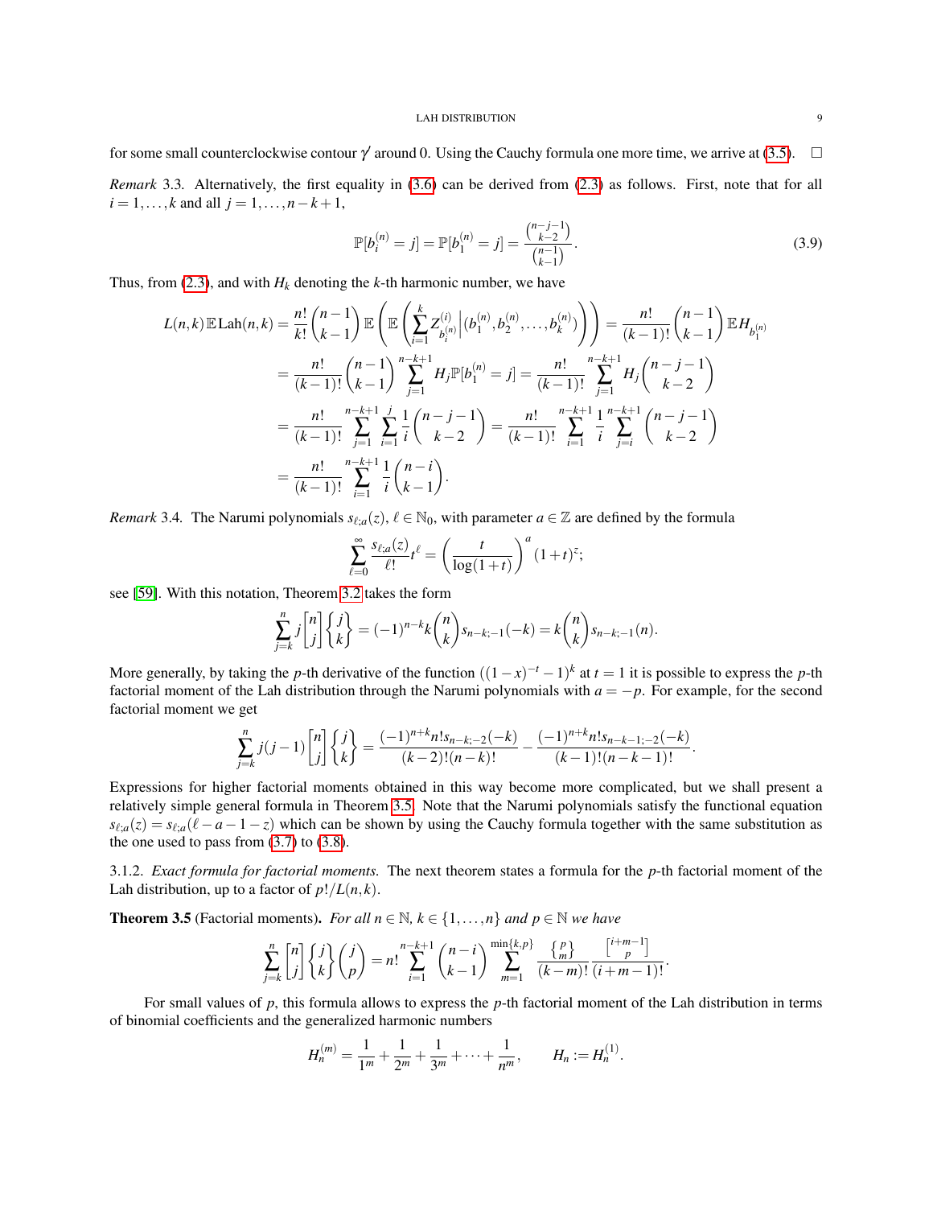for some small counterclockwise contour  $\gamma'$  around 0. Using the Cauchy formula one more time, we arrive at [\(3.5\)](#page-7-3).  $\Box$ *Remark* 3.3*.* Alternatively, the first equality in [\(3.6\)](#page-7-4) can be derived from [\(2.3\)](#page-6-5) as follows. First, note that for all *i* = 1,..., *k* and all *j* = 1,...,*n*−*k* +1,

<span id="page-8-1"></span>
$$
\mathbb{P}[b_i^{(n)} = j] = \mathbb{P}[b_1^{(n)} = j] = \frac{\binom{n-j-1}{k-2}}{\binom{n-1}{k-1}}.
$$
\n(3.9)

Thus, from [\(2.3\)](#page-6-5), and with  $H_k$  denoting the *k*-th harmonic number, we have

$$
L(n,k) \mathbb{E} \operatorname{Lah}(n,k) = \frac{n!}{k!} \binom{n-1}{k-1} \mathbb{E} \left( \mathbb{E} \left( \sum_{i=1}^{k} Z_{b_i^{(n)}}^{(i)} \middle| (b_1^{(n)}, b_2^{(n)}, \dots, b_k^{(n)}) \right) \right) = \frac{n!}{(k-1)!} \binom{n-1}{k-1} \mathbb{E} H_{b_1^{(n)}}
$$
  
\n
$$
= \frac{n!}{(k-1)!} \binom{n-1}{k-1} \sum_{j=1}^{n-k+1} H_j \mathbb{P} [b_1^{(n)} = j] = \frac{n!}{(k-1)!} \sum_{j=1}^{n-k+1} H_j \binom{n-j-1}{k-2}
$$
  
\n
$$
= \frac{n!}{(k-1)!} \sum_{j=1}^{n-k+1} \frac{1}{j} \frac{1}{k} \binom{n-j-1}{k-2} = \frac{n!}{(k-1)!} \sum_{i=1}^{n-k+1} \frac{1}{i} \sum_{j=i}^{n-k+1} \binom{n-j-1}{k-2}
$$
  
\n
$$
= \frac{n!}{(k-1)!} \sum_{i=1}^{n-k+1} \frac{1}{i} \binom{n-i}{k-1}.
$$

*Remark* 3.4. The Narumi polynomials  $s_{\ell,a}(z)$ ,  $\ell \in \mathbb{N}_0$ , with parameter  $a \in \mathbb{Z}$  are defined by the formula

$$
\sum_{\ell=0}^{\infty} \frac{s_{\ell;a}(z)}{\ell!} t^{\ell} = \left(\frac{t}{\log(1+t)}\right)^a (1+t)^z;
$$

see [\[59\]](#page-38-4). With this notation, Theorem [3.2](#page-7-5) takes the form

$$
\sum_{j=k}^{n} j \binom{n}{j} \binom{j}{k} = (-1)^{n-k} k \binom{n}{k} s_{n-k;-1}(-k) = k \binom{n}{k} s_{n-k;-1}(n).
$$

More generally, by taking the *p*-th derivative of the function  $((1-x)^{-t} - 1)^k$  at  $t = 1$  it is possible to express the *p*-th factorial moment of the Lah distribution through the Narumi polynomials with  $a = -p$ . For example, for the second factorial moment we get

$$
\sum_{j=k}^{n} j(j-1) {n \choose j} \begin{Bmatrix} j \\ k \end{Bmatrix} = \frac{(-1)^{n+k} n! s_{n-k;-2}(-k)}{(k-2)!(n-k)!} - \frac{(-1)^{n+k} n! s_{n-k-1;-2}(-k)}{(k-1)!(n-k-1)!}.
$$

Expressions for higher factorial moments obtained in this way become more complicated, but we shall present a relatively simple general formula in Theorem [3.5.](#page-8-0) Note that the Narumi polynomials satisfy the functional equation  $s_{\ell,a}(z) = s_{\ell,a}(\ell-a-1-z)$  which can be shown by using the Cauchy formula together with the same substitution as the one used to pass from  $(3.7)$  to  $(3.8)$ .

3.1.2. *Exact formula for factorial moments.* The next theorem states a formula for the *p*-th factorial moment of the Lah distribution, up to a factor of  $p!/L(n, k)$ .

<span id="page-8-0"></span>**Theorem 3.5** (Factorial moments). *For all*  $n \in \mathbb{N}$ ,  $k \in \{1, ..., n\}$  *and*  $p \in \mathbb{N}$  *we have* 

$$
\sum_{j=k}^{n} {n \choose j} {j \choose k} {j \choose p} = n! \sum_{i=1}^{n-k+1} {n-i \choose k-1} \sum_{m=1}^{\min\{k,p\}} \frac{{p \choose m}}{(k-m)!} \frac{{i+m-1 \choose p}}{(i+m-1)!}.
$$

For small values of *p*, this formula allows to express the *p*-th factorial moment of the Lah distribution in terms of binomial coefficients and the generalized harmonic numbers

$$
H_n^{(m)} = \frac{1}{1^m} + \frac{1}{2^m} + \frac{1}{3^m} + \cdots + \frac{1}{n^m}, \qquad H_n := H_n^{(1)}.
$$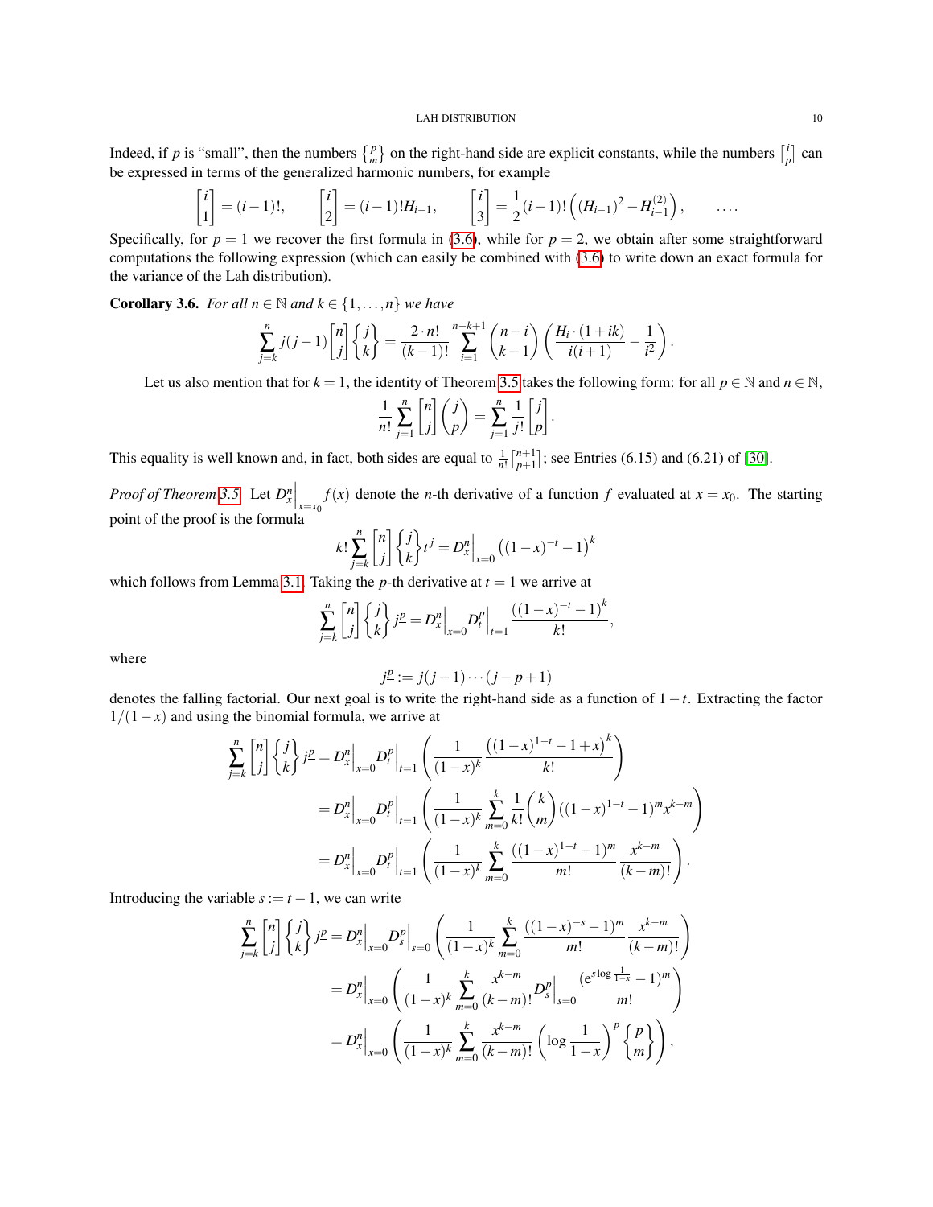Indeed, if *p* is "small", then the numbers  $\{p \atop m\}$  on the right-hand side are explicit constants, while the numbers  $\begin{bmatrix} i \\ p \end{bmatrix}$  can be expressed in terms of the generalized harmonic numbers, for example

$$
\begin{bmatrix} i \\ 1 \end{bmatrix} = (i-1)!, \qquad \begin{bmatrix} i \\ 2 \end{bmatrix} = (i-1)!H_{i-1}, \qquad \begin{bmatrix} i \\ 3 \end{bmatrix} = \frac{1}{2}(i-1)!\left( (H_{i-1})^2 - H_{i-1}^{(2)} \right), \qquad \dots
$$

Specifically, for  $p = 1$  we recover the first formula in [\(3.6\)](#page-7-4), while for  $p = 2$ , we obtain after some straightforward computations the following expression (which can easily be combined with [\(3.6\)](#page-7-4) to write down an exact formula for the variance of the Lah distribution).

**Corollary 3.6.** *For all*  $n \in \mathbb{N}$  *and*  $k \in \{1, ..., n\}$  *we have* 

$$
\sum_{j=k}^{n} j(j-1) {n \choose j} \left\{ {j \choose k} = \frac{2 \cdot n!}{(k-1)!} \sum_{i=1}^{n-k+1} {n-i \choose k-1} \left( \frac{H_i \cdot (1+ik)}{i(i+1)} - \frac{1}{i^2} \right).
$$

Let us also mention that for  $k = 1$ , the identity of Theorem [3.5](#page-8-0) takes the following form: for all  $p \in \mathbb{N}$  and  $n \in \mathbb{N}$ ,

$$
\frac{1}{n!} \sum_{j=1}^{n} \begin{bmatrix} n \\ j \end{bmatrix} \binom{j}{p} = \sum_{j=1}^{n} \frac{1}{j!} \begin{bmatrix} j \\ p \end{bmatrix}.
$$

This equality is well known and, in fact, both sides are equal to  $\frac{1}{n!} \binom{n+1}{p+1}$ ; see Entries (6.15) and (6.21) of [\[30\]](#page-37-0).

*Proof of Theorem* [3.5.](#page-8-0) Let  $D_x^n\Big|_{x=x_0} f(x)$  denote the *n*-th derivative of a function *f* evaluated at  $x = x_0$ . The starting point of the proof is the formula

$$
k! \sum_{j=k}^{n} \binom{n}{j} \binom{j}{k} t^{j} = D_{x}^{n} \Big|_{x=0} \left( (1-x)^{-t} - 1 \right)^{k}
$$

which follows from Lemma [3.1.](#page-6-4) Taking the *p*-th derivative at  $t = 1$  we arrive at

$$
\sum_{j=k}^{n} {n \choose j} {j \choose k} j^{\underline{p}} = D_{x}^{n} \Big|_{x=0} D_{t}^{p} \Big|_{t=1} \frac{((1-x)^{-t}-1)^{k}}{k!},
$$

where

$$
j^{\underline{p}}:=j(j-1)\cdots(j-p+1)
$$

denotes the falling factorial. Our next goal is to write the right-hand side as a function of 1−*t*. Extracting the factor  $1/(1-x)$  and using the binomial formula, we arrive at

*k*

$$
\sum_{j=k}^{n} {n \choose j} \left\{ j \atop k \right\} j^{\underline{p}} = D_{x}^{n} \Big|_{x=0} D_{t}^{p} \Big|_{t=1} \left( \frac{1}{(1-x)^{k}} \frac{\left( (1-x)^{1-t} - 1 + x \right)^{k}}{k!} \right)
$$
\n
$$
= D_{x}^{n} \Big|_{x=0} D_{t}^{p} \Big|_{t=1} \left( \frac{1}{(1-x)^{k}} \sum_{m=0}^{k} \frac{1}{k!} {k \choose m} \left( (1-x)^{1-t} - 1 \right)^{m} x^{k-m} \right)
$$
\n
$$
= D_{x}^{n} \Big|_{x=0} D_{t}^{p} \Big|_{t=1} \left( \frac{1}{(1-x)^{k}} \sum_{m=0}^{k} \frac{\left( (1-x)^{1-t} - 1 \right)^{m}}{m!} \frac{x^{k-m}}{(k-m)!} \right).
$$

Introducing the variable  $s := t - 1$ , we can write

$$
\sum_{j=k}^{n} {n \choose j} {j \choose k} j^{p} = D_{x}^{n} \Big|_{x=0} D_{s}^{p} \Big|_{s=0} \left( \frac{1}{(1-x)^{k}} \sum_{m=0}^{k} \frac{((1-x)^{-s} - 1)^{m}}{m!} \frac{x^{k-m}}{(k-m)!} \right)
$$
  
=  $D_{x}^{n} \Big|_{x=0} \left( \frac{1}{(1-x)^{k}} \sum_{m=0}^{k} \frac{x^{k-m}}{(k-m)!} D_{s}^{p} \Big|_{s=0} \frac{(e^{s \log \frac{1}{1-x}} - 1)^{m}}{m!} \right)$   
=  $D_{x}^{n} \Big|_{x=0} \left( \frac{1}{(1-x)^{k}} \sum_{m=0}^{k} \frac{x^{k-m}}{(k-m)!} \left( \log \frac{1}{1-x} \right)^{p} \begin{Bmatrix} p \\ m \end{Bmatrix} \right),$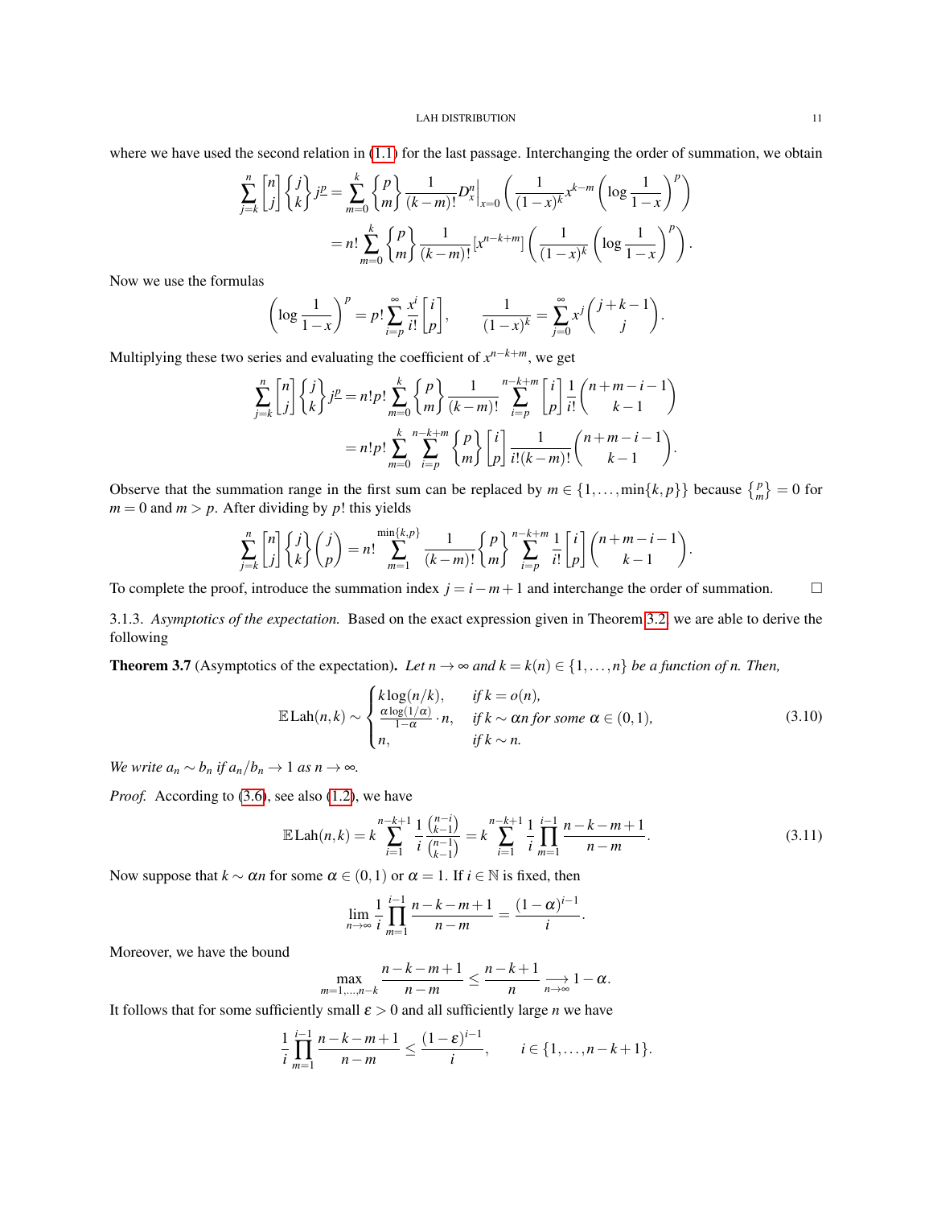where we have used the second relation in  $(1.1)$  for the last passage. Interchanging the order of summation, we obtain

$$
\sum_{j=k}^{n} \binom{n}{j} \binom{j}{k} j^{2} = \sum_{m=0}^{k} \binom{p}{m} \frac{1}{(k-m)!} D_{x}^{n} \Big|_{x=0} \left( \frac{1}{(1-x)^{k}} x^{k-m} \left( \log \frac{1}{1-x} \right)^{p} \right)
$$
  
=  $n! \sum_{m=0}^{k} \binom{p}{m} \frac{1}{(k-m)!} [x^{n-k+m}] \left( \frac{1}{(1-x)^{k}} \left( \log \frac{1}{1-x} \right)^{p} \right).$ 

Now we use the formulas

$$
\left(\log\frac{1}{1-x}\right)^p = p!\sum_{i=p}^{\infty}\frac{x^i}{i!}\begin{bmatrix}i\\p\end{bmatrix}, \qquad \frac{1}{(1-x)^k} = \sum_{j=0}^{\infty}x^j\binom{j+k-1}{j}.
$$

Multiplying these two series and evaluating the coefficient of *x <sup>n</sup>*−*k*+*m*, we get

$$
\sum_{j=k}^{n} {n \choose j} {j \choose k} j^{\underline{p}} = n! p! \sum_{m=0}^{k} {p \choose m} \frac{1}{(k-m)!} \sum_{i=p}^{n-k+m} {i \choose p} \frac{1}{i!} {n+m-i-1 \choose k-1}
$$

$$
= n! p! \sum_{m=0}^{k} \sum_{i=p}^{n-k+m} {p \choose m} {i \choose p} \frac{1}{i! (k-m)!} {n+m-i-1 \choose k-1}.
$$

Observe that the summation range in the first sum can be replaced by  $m \in \{1, ..., min\{k, p\}\}$  because  $\{p \atop m\} = 0$  for  $m = 0$  and  $m > p$ . After dividing by p! this yields

$$
\sum_{j=k}^{n} \begin{bmatrix} n \\ j \end{bmatrix} \begin{Bmatrix} j \\ k \end{Bmatrix} \begin{pmatrix} j \\ p \end{pmatrix} = n! \sum_{m=1}^{\min\{k,p\}} \frac{1}{(k-m)!} \begin{Bmatrix} p \\ m \end{Bmatrix} \sum_{i=p}^{n-k+m} \frac{1}{i!} \begin{bmatrix} i \\ p \end{bmatrix} \binom{n+m-i-1}{k-1}.
$$

To complete the proof, introduce the summation index  $j = i - m + 1$  and interchange the order of summation.

3.1.3. *Asymptotics of the expectation.* Based on the exact expression given in Theorem [3.2,](#page-7-5) we are able to derive the following

<span id="page-10-2"></span>**Theorem 3.7** (Asymptotics of the expectation). Let  $n \to \infty$  and  $k = k(n) \in \{1, \ldots, n\}$  be a function of n. Then,

<span id="page-10-1"></span>
$$
\mathbb{E}\text{Lah}(n,k) \sim \begin{cases} k\log(n/k), & \text{if } k = o(n), \\ \frac{\alpha\log(1/\alpha)}{1-\alpha} \cdot n, & \text{if } k \sim \alpha n \text{ for some } \alpha \in (0,1), \\ n, & \text{if } k \sim n. \end{cases} \tag{3.10}
$$

*We write*  $a_n \sim b_n$  *if*  $a_n/b_n \to 1$  *as*  $n \to \infty$ *.* 

*Proof.* According to [\(3.6\)](#page-7-4), see also [\(1.2\)](#page-1-4), we have

<span id="page-10-0"></span>
$$
\mathbb{E}\text{Lah}(n,k) = k \sum_{i=1}^{n-k+1} \frac{1}{i} \frac{\binom{n-i}{k-1}}{\binom{n-1}{k-1}} = k \sum_{i=1}^{n-k+1} \frac{1}{i} \prod_{m=1}^{i-1} \frac{n-k-m+1}{n-m}.
$$
\n(3.11)

Now suppose that  $k \sim \alpha n$  for some  $\alpha \in (0,1)$  or  $\alpha = 1$ . If  $i \in \mathbb{N}$  is fixed, then

$$
\lim_{n \to \infty} \frac{1}{i} \prod_{m=1}^{i-1} \frac{n-k-m+1}{n-m} = \frac{(1-\alpha)^{i-1}}{i}.
$$

Moreover, we have the bound

$$
\max_{m=1,\ldots,n-k} \frac{n-k-m+1}{n-m} \leq \frac{n-k+1}{n} \longrightarrow_{n\to\infty} 1-\alpha.
$$

It follows that for some sufficiently small  $\varepsilon > 0$  and all sufficiently large *n* we have

$$
\frac{1}{i}\prod_{m=1}^{i-1}\frac{n-k-m+1}{n-m}\leq \frac{(1-\varepsilon)^{i-1}}{i},\qquad i\in\{1,\ldots,n-k+1\}.
$$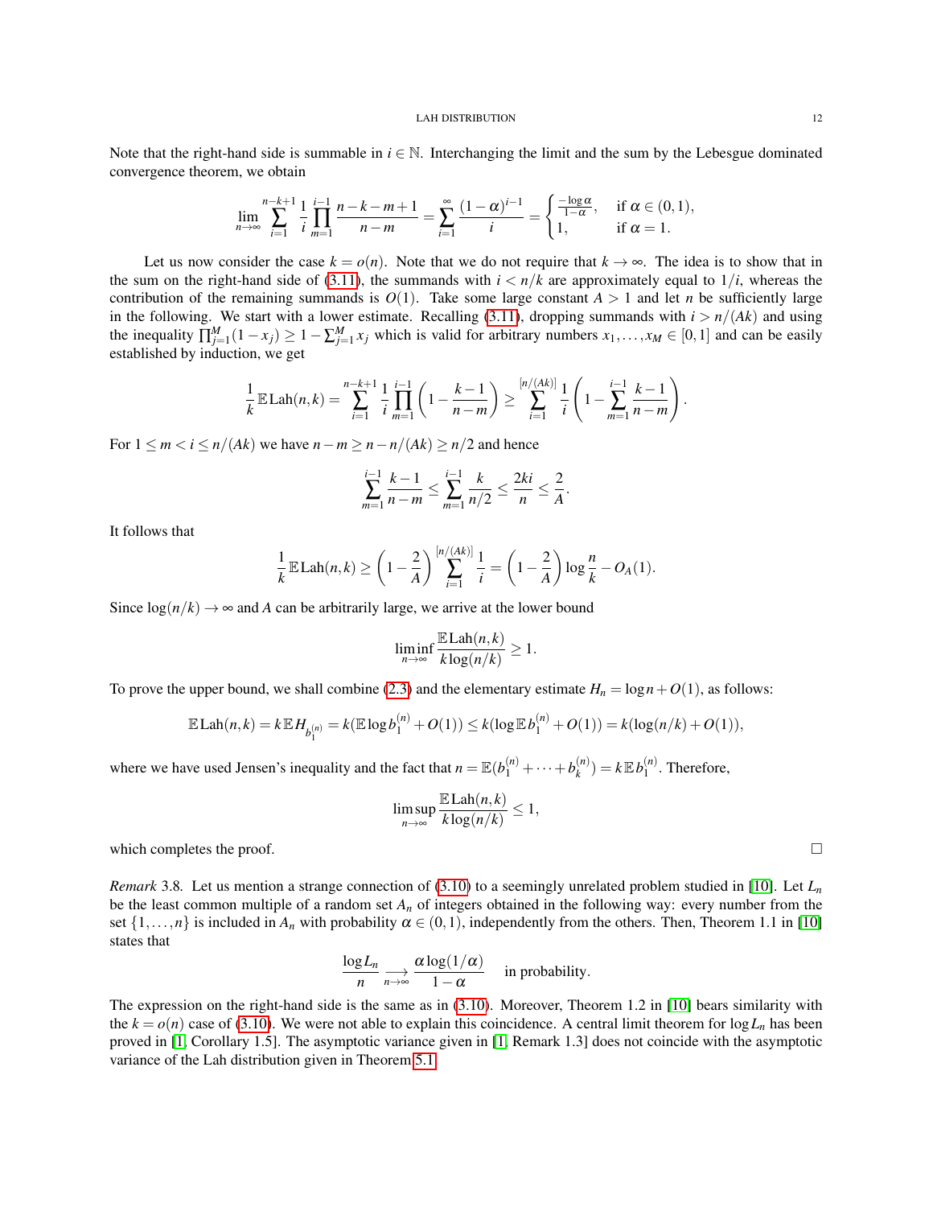Note that the right-hand side is summable in  $i \in \mathbb{N}$ . Interchanging the limit and the sum by the Lebesgue dominated convergence theorem, we obtain

$$
\lim_{n \to \infty} \sum_{i=1}^{n-k+1} \frac{1}{i} \prod_{m=1}^{i-1} \frac{n-k-m+1}{n-m} = \sum_{i=1}^{\infty} \frac{(1-\alpha)^{i-1}}{i} = \begin{cases} \frac{-\log \alpha}{1-\alpha}, & \text{if } \alpha \in (0,1), \\ 1, & \text{if } \alpha = 1. \end{cases}
$$

Let us now consider the case  $k = o(n)$ . Note that we do not require that  $k \to \infty$ . The idea is to show that in the sum on the right-hand side of [\(3.11\)](#page-10-0), the summands with  $i < n/k$  are approximately equal to  $1/i$ , whereas the contribution of the remaining summands is  $O(1)$ . Take some large constant  $A > 1$  and let *n* be sufficiently large in the following. We start with a lower estimate. Recalling [\(3.11\)](#page-10-0), dropping summands with  $i > n/(Ak)$  and using the inequality  $\prod_{j=1}^{M} (1-x_j) \geq 1 - \sum_{j=1}^{M} x_j$  which is valid for arbitrary numbers  $x_1, \ldots, x_M \in [0,1]$  and can be easily established by induction, we get

$$
\frac{1}{k}\mathbb{E}\text{Lah}(n,k) = \sum_{i=1}^{n-k+1} \frac{1}{i} \prod_{m=1}^{i-1} \left(1 - \frac{k-1}{n-m}\right) \ge \sum_{i=1}^{[n/(Ak)]} \frac{1}{i} \left(1 - \sum_{m=1}^{i-1} \frac{k-1}{n-m}\right).
$$

For  $1 \le m < i \le n/(Ak)$  we have  $n - m \ge n - n/(Ak) \ge n/2$  and hence

$$
\sum_{m=1}^{i-1} \frac{k-1}{n-m} \le \sum_{m=1}^{i-1} \frac{k}{n/2} \le \frac{2ki}{n} \le \frac{2}{A}.
$$

It follows that

$$
\frac{1}{k}\mathbb{E}\text{Lah}(n,k) \ge \left(1-\frac{2}{A}\right) \sum_{i=1}^{[n/(AK)]} \frac{1}{i} = \left(1-\frac{2}{A}\right) \log \frac{n}{k} - O_A(1).
$$

Since  $log(n/k) \rightarrow \infty$  and *A* can be arbitrarily large, we arrive at the lower bound

$$
\liminf_{n \to \infty} \frac{\mathbb{E} \text{Lah}(n,k)}{k \log(n/k)} \ge 1.
$$

To prove the upper bound, we shall combine [\(2.3\)](#page-6-5) and the elementary estimate  $H_n = \log n + O(1)$ , as follows:

$$
\mathbb{E}\,\text{Lah}(n,k) = k \mathbb{E}\,H_{b_1^{(n)}} = k(\mathbb{E}\log b_1^{(n)} + O(1)) \le k(\log \mathbb{E}\,b_1^{(n)} + O(1)) = k(\log(n/k) + O(1)),
$$

where we have used Jensen's inequality and the fact that  $n = \mathbb{E}(b_1^{(n)} + \cdots + b_k^{(n)})$  $\binom{n}{k}$  =  $k \mathbb{E} b_1^{(n)}$  $1^{(n)}$ . Therefore,

$$
\limsup_{n\to\infty}\frac{\mathbb{E}\text{Lah}(n,k)}{k\log(n/k)}\leq 1,
$$

which completes the proof.  $\Box$ 

*Remark* 3.8*.* Let us mention a strange connection of [\(3.10\)](#page-10-1) to a seemingly unrelated problem studied in [\[10\]](#page-36-7). Let *L<sup>n</sup>* be the least common multiple of a random set  $A_n$  of integers obtained in the following way: every number from the set  $\{1,\ldots,n\}$  is included in  $A_n$  with probability  $\alpha \in (0,1)$ , independently from the others. Then, Theorem 1.1 in [\[10\]](#page-36-7) states that

$$
\frac{\log L_n}{n} \underset{n \to \infty}{\longrightarrow} \frac{\alpha \log(1/\alpha)}{1-\alpha}
$$
 in probability.

The expression on the right-hand side is the same as in [\(3.10\)](#page-10-1). Moreover, Theorem 1.2 in [\[10\]](#page-36-7) bears similarity with the  $k = o(n)$  case of [\(3.10\)](#page-10-1). We were not able to explain this coincidence. A central limit theorem for  $\log L_n$  has been proved in [\[1,](#page-36-8) Corollary 1.5]. The asymptotic variance given in [\[1,](#page-36-8) Remark 1.3] does not coincide with the asymptotic variance of the Lah distribution given in Theorem [5.1.](#page-16-3)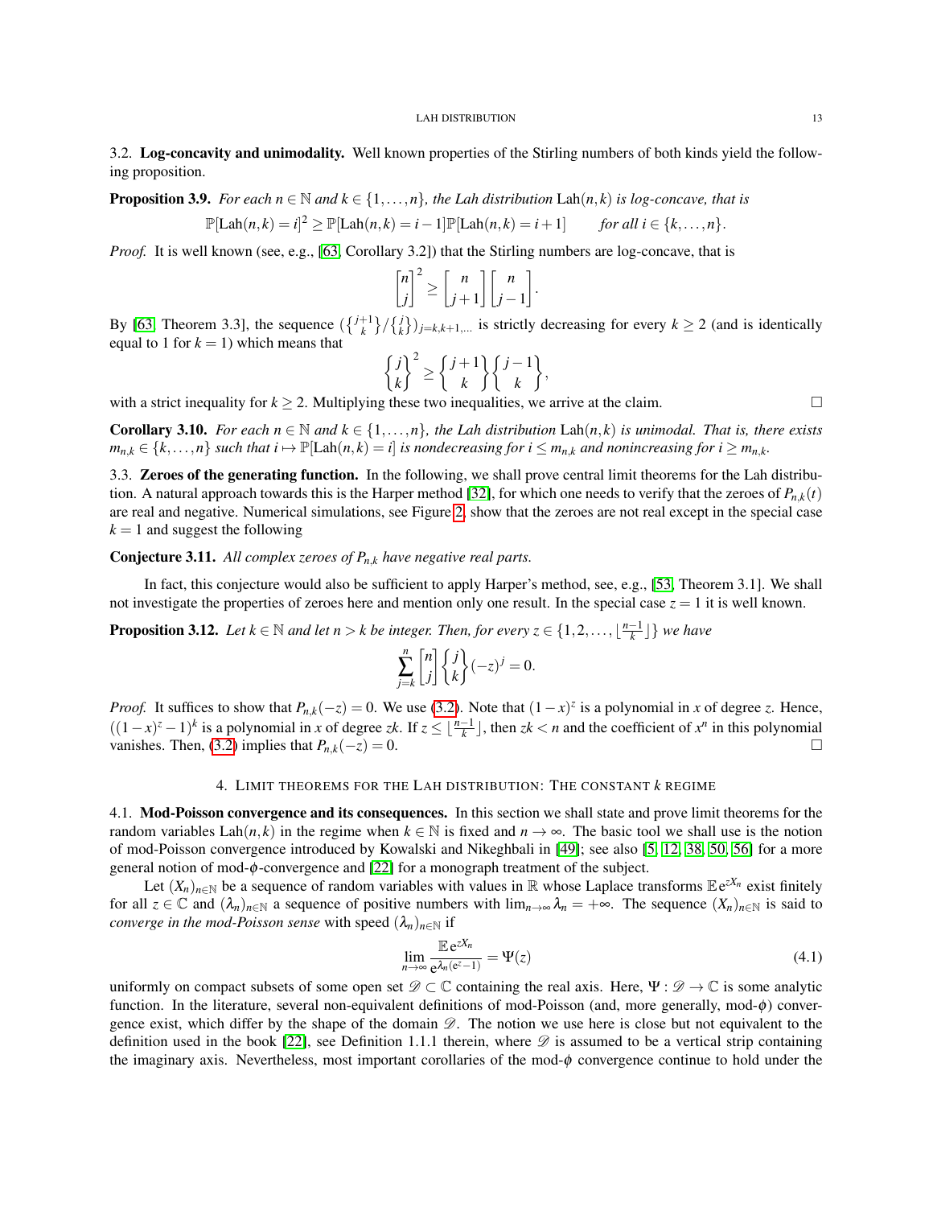## <span id="page-12-0"></span>3.2. Log-concavity and unimodality. Well known properties of the Stirling numbers of both kinds yield the following proposition.

**Proposition 3.9.** *For each*  $n \in \mathbb{N}$  *and*  $k \in \{1, \ldots, n\}$ *, the Lah distribution*  $\text{Lah}(n, k)$  *is log-concave, that is* 

$$
\mathbb{P}[\text{Lah}(n,k)=i]^2 \geq \mathbb{P}[\text{Lah}(n,k)=i-1]\mathbb{P}[\text{Lah}(n,k)=i+1] \qquad \text{for all } i \in \{k,\ldots,n\}.
$$

*Proof.* It is well known (see, e.g., [\[63,](#page-39-4) Corollary 3.2]) that the Stirling numbers are log-concave, that is

$$
\begin{bmatrix} n \\ j \end{bmatrix}^2 \ge \begin{bmatrix} n \\ j+1 \end{bmatrix} \begin{bmatrix} n \\ j-1 \end{bmatrix}.
$$

By [\[63,](#page-39-4) Theorem 3.3], the sequence  $(\binom{j+1}{k} \binom{j}{k}_{j=k,k+1,...}$  is strictly decreasing for every  $k \ge 2$  (and is identically equal to 1 for  $k = 1$ ) which means that

$$
\begin{Bmatrix} j \\ k \end{Bmatrix}^2 \ge \begin{Bmatrix} j+1 \\ k \end{Bmatrix} \begin{Bmatrix} j-1 \\ k \end{Bmatrix},
$$

with a strict inequality for  $k \ge 2$ . Multiplying these two inequalities, we arrive at the claim.

<span id="page-12-5"></span>**Corollary 3.10.** *For each n*  $\in \mathbb{N}$  *and*  $k \in \{1, ..., n\}$ *, the Lah distribution* Lah(*n*, *k*) *is unimodal. That is, there exists*  $m_{n,k} \in \{k,\ldots,n\}$  such that  $i \mapsto \mathbb{P}[\text{Lah}(n,k) = i]$  is nondecreasing for  $i \leq m_{n,k}$  and nonincreasing for  $i \geq m_{n,k}$ .

<span id="page-12-1"></span>3.3. Zeroes of the generating function. In the following, we shall prove central limit theorems for the Lah distribu-tion. A natural approach towards this is the Harper method [\[32\]](#page-37-12), for which one needs to verify that the zeroes of  $P_{n,k}(t)$ are real and negative. Numerical simulations, see Figure [2,](#page-13-1) show that the zeroes are not real except in the special case  $k = 1$  and suggest the following

Conjecture 3.11. *All complex zeroes of Pn*,*<sup>k</sup> have negative real parts.*

In fact, this conjecture would also be sufficient to apply Harper's method, see, e.g., [\[53,](#page-38-5) Theorem 3.1]. We shall not investigate the properties of zeroes here and mention only one result. In the special case  $z = 1$  it is well known.

**Proposition 3.12.** Let  $k \in \mathbb{N}$  and let  $n > k$  be integer. Then, for every  $z \in \{1, 2, ..., \lfloor \frac{n-1}{k} \rfloor\}$  we have

$$
\sum_{j=k}^{n} \begin{bmatrix} n \\ j \end{bmatrix} \begin{Bmatrix} j \\ k \end{Bmatrix} (-z)^{j} = 0.
$$

*Proof.* It suffices to show that  $P_{n,k}(-z) = 0$ . We use [\(3.2\)](#page-6-3). Note that  $(1-x)^z$  is a polynomial in *x* of degree *z*. Hence,  $((1-x)^{z} - 1)^{k}$  is a polynomial in *x* of degree *zk*. If  $z \leq \lfloor \frac{n-1}{k} \rfloor$ , then *zk* < *n* and the coefficient of *x<sup>n</sup>* in this polynomial vanishes. Then, [\(3.2\)](#page-6-3) implies that  $P_{n,k}(-z) = 0$ .

## 4. LIMIT THEOREMS FOR THE LAH DISTRIBUTION: THE CONSTANT *k* REGIME

<span id="page-12-3"></span><span id="page-12-2"></span>4.1. Mod-Poisson convergence and its consequences. In this section we shall state and prove limit theorems for the random variables Lah(*n*, *k*) in the regime when  $k \in \mathbb{N}$  is fixed and  $n \to \infty$ . The basic tool we shall use is the notion of mod-Poisson convergence introduced by Kowalski and Nikeghbali in [\[49\]](#page-38-6); see also [\[5,](#page-36-9) [12,](#page-37-13) [38,](#page-38-7) [50,](#page-38-8) [56\]](#page-38-9) for a more general notion of mod- $\phi$ -convergence and [\[22\]](#page-37-14) for a monograph treatment of the subject.

Let  $(X_n)_{n \in \mathbb{N}}$  be a sequence of random variables with values in  $\mathbb R$  whose Laplace transforms  $\mathbb E e^{zX_n}$  exist finitely for all  $z \in \mathbb{C}$  and  $(\lambda_n)_{n \in \mathbb{N}}$  a sequence of positive numbers with  $\lim_{n \to \infty} \lambda_n = +\infty$ . The sequence  $(X_n)_{n \in \mathbb{N}}$  is said to *converge in the mod-Poisson sense* with speed  $(\lambda_n)_{n \in \mathbb{N}}$  if

<span id="page-12-4"></span>
$$
\lim_{n \to \infty} \frac{\mathbb{E} e^{zX_n}}{e^{\lambda_n(e^z - 1)}} = \Psi(z)
$$
\n(4.1)

uniformly on compact subsets of some open set  $\mathscr{D} \subset \mathbb{C}$  containing the real axis. Here,  $\Psi : \mathscr{D} \to \mathbb{C}$  is some analytic function. In the literature, several non-equivalent definitions of mod-Poisson (and, more generally, mod- $\phi$ ) convergence exist, which differ by the shape of the domain  $\mathscr{D}$ . The notion we use here is close but not equivalent to the definition used in the book [\[22\]](#page-37-14), see Definition 1.1.1 therein, where  $\mathscr D$  is assumed to be a vertical strip containing the imaginary axis. Nevertheless, most important corollaries of the mod- $\phi$  convergence continue to hold under the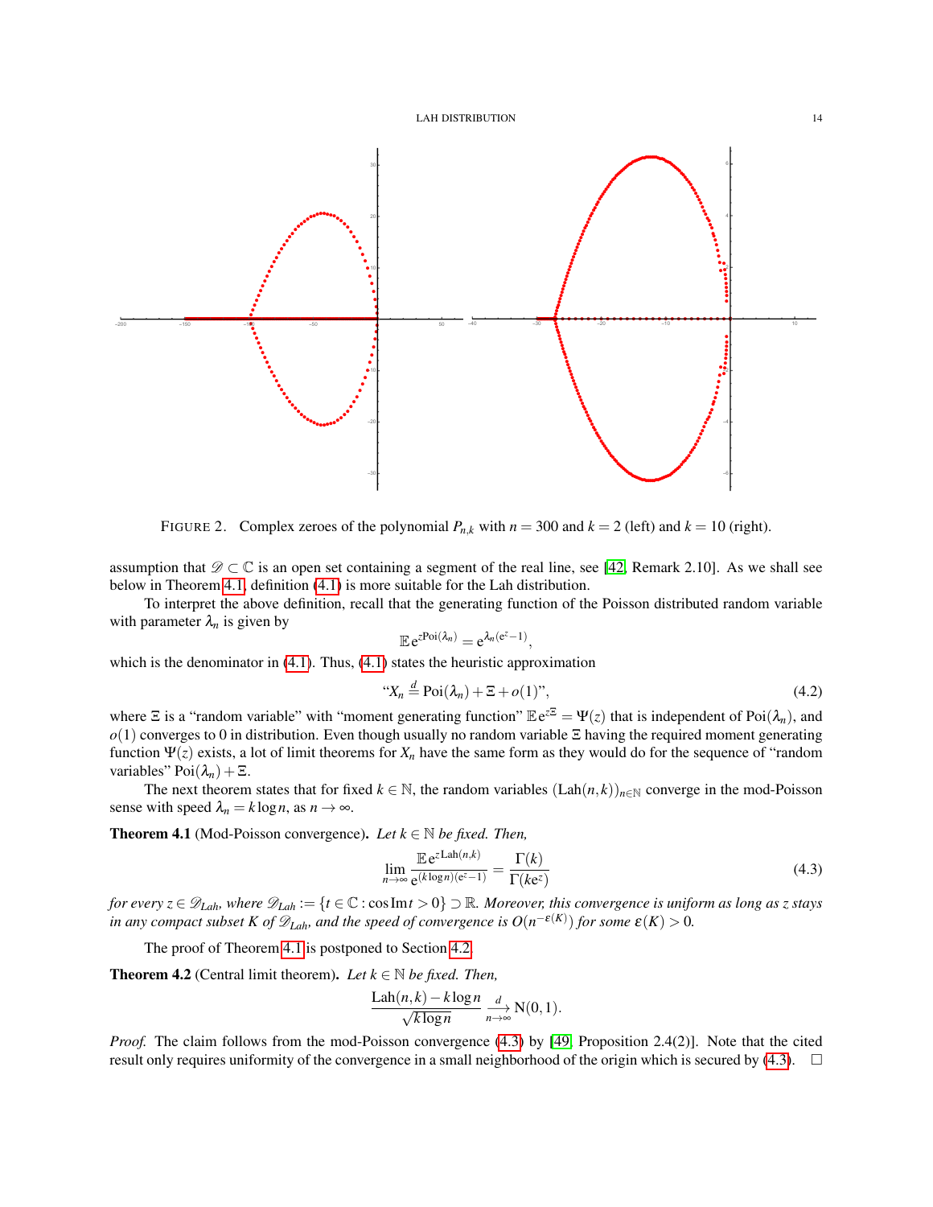

<span id="page-13-1"></span>FIGURE 2. Complex zeroes of the polynomial  $P_{n,k}$  with  $n = 300$  and  $k = 2$  (left) and  $k = 10$  (right).

assumption that  $\mathscr{D} \subset \mathbb{C}$  is an open set containing a segment of the real line, see [\[42,](#page-38-10) Remark 2.10]. As we shall see below in Theorem [4.1,](#page-13-0) definition [\(4.1\)](#page-12-4) is more suitable for the Lah distribution.

To interpret the above definition, recall that the generating function of the Poisson distributed random variable with parameter  $\lambda_n$  is given by

$$
\mathbb{E} e^{z \text{Poi}(\lambda_n)} = e^{\lambda_n (e^z - 1)},
$$

which is the denominator in [\(4.1\)](#page-12-4). Thus, (4.1) states the heuristic approximation

$$
\text{``}X_n \stackrel{d}{=} \text{Poi}(\lambda_n) + \Xi + o(1)\text{''},\tag{4.2}
$$

where  $\Xi$  is a "random variable" with "moment generating function"  $\mathbb{E}e^{z\Xi} = \Psi(z)$  that is independent of Poi $(\lambda_n)$ , and *o*(1) converges to 0 in distribution. Even though usually no random variable Ξ having the required moment generating function Ψ(*z*) exists, a lot of limit theorems for *X<sup>n</sup>* have the same form as they would do for the sequence of "random variables"  $Poi(\lambda_n) + \Xi$ .

The next theorem states that for fixed  $k \in \mathbb{N}$ , the random variables  $(Lab(n,k))_{n \in \mathbb{N}}$  converge in the mod-Poisson sense with speed  $\lambda_n = k \log n$ , as  $n \to \infty$ .

<span id="page-13-0"></span>**Theorem 4.1** (Mod-Poisson convergence). *Let*  $k \in \mathbb{N}$  *be fixed. Then,* 

<span id="page-13-2"></span>
$$
\lim_{n \to \infty} \frac{\mathbb{E} e^{z \text{Lah}(n,k)}}{e^{(k \log n)(e^z - 1)}} = \frac{\Gamma(k)}{\Gamma(ke^z)}
$$
(4.3)

*for every*  $z \in \mathscr{D}_{Lah}$ *, where*  $\mathscr{D}_{Lah} := \{t \in \mathbb{C} : \cos \text{Im} t > 0\} \supset \mathbb{R}$ *. Moreover, this convergence is uniform as long as z stays in any compact subset K of*  $\mathscr{D}_{Lah}$ *, and the speed of convergence is*  $O(n^{-\varepsilon(K)})$  *for some*  $\varepsilon(K) > 0$ *.* 

The proof of Theorem [4.1](#page-13-0) is postponed to Section [4.2.](#page-15-0)

<span id="page-13-3"></span>**Theorem 4.2** (Central limit theorem). Let  $k \in \mathbb{N}$  be fixed. Then,

$$
\frac{\text{Lah}(n,k) - k \log n}{\sqrt{k \log n}} \underset{n \to \infty}{\xrightarrow{d}} \text{N}(0,1).
$$

*Proof.* The claim follows from the mod-Poisson convergence [\(4.3\)](#page-13-2) by [\[49,](#page-38-6) Proposition 2.4(2)]. Note that the cited result only requires uniformity of the convergence in a small neighborhood of the origin which is secured by  $(4.3)$ .  $\Box$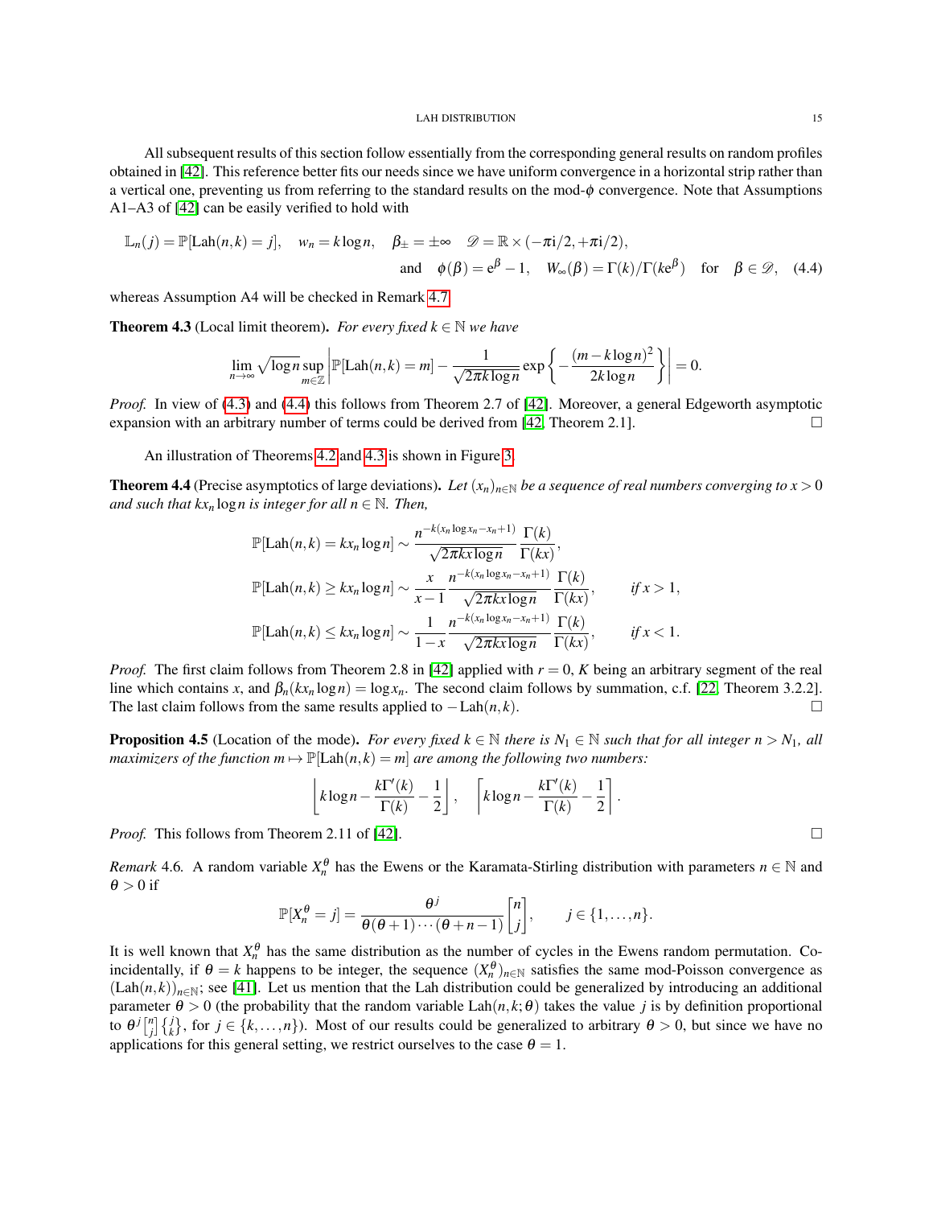All subsequent results of this section follow essentially from the corresponding general results on random profiles obtained in [\[42\]](#page-38-10). This reference better fits our needs since we have uniform convergence in a horizontal strip rather than a vertical one, preventing us from referring to the standard results on the mod- $\phi$  convergence. Note that Assumptions A1–A3 of [\[42\]](#page-38-10) can be easily verified to hold with

$$
\mathbb{L}_n(j) = \mathbb{P}[\text{Lah}(n,k) = j], \quad w_n = k \log n, \quad \beta_{\pm} = \pm \infty \quad \mathscr{D} = \mathbb{R} \times (-\pi i/2, +\pi i/2),
$$
  
and  $\phi(\beta) = e^{\beta} - 1, \quad W_{\infty}(\beta) = \Gamma(k)/\Gamma(ke^{\beta}) \quad \text{for} \quad \beta \in \mathscr{D}, \quad (4.4)$ 

whereas Assumption A4 will be checked in Remark [4.7.](#page-15-1)

<span id="page-14-1"></span>**Theorem 4.3** (Local limit theorem). *For every fixed*  $k \in \mathbb{N}$  *we have* 

$$
\lim_{n\to\infty}\sqrt{\log n}\sup_{m\in\mathbb{Z}}\left|\mathbb{P}[\text{Lah}(n,k)=m]-\frac{1}{\sqrt{2\pi k\log n}}\exp\left\{-\frac{(m-k\log n)^2}{2k\log n}\right\}\right|=0.
$$

*Proof.* In view of [\(4.3\)](#page-13-2) and [\(4.4\)](#page-14-0) this follows from Theorem 2.7 of [\[42\]](#page-38-10). Moreover, a general Edgeworth asymptotic expansion with an arbitrary number of terms could be derived from  $[42,$  Theorem 2.1].

An illustration of Theorems [4.2](#page-13-3) and [4.3](#page-14-1) is shown in Figure [3.](#page-15-2)

<span id="page-14-2"></span>**Theorem 4.4** (Precise asymptotics of large deviations). Let  $(x_n)_{n\in\mathbb{N}}$  be a sequence of real numbers converging to  $x > 0$ *and such that kx<sub>n</sub>* log *n* is integer for all  $n \in \mathbb{N}$ . Then,

$$
\mathbb{P}[\text{Lah}(n,k) = kx_n \log n] \sim \frac{n^{-k(x_n \log x_n - x_n + 1)}}{\sqrt{2\pi kx \log n}} \frac{\Gamma(k)}{\Gamma(kx)},
$$
  

$$
\mathbb{P}[\text{Lah}(n,k) \ge kx_n \log n] \sim \frac{x}{x-1} \frac{n^{-k(x_n \log x_n - x_n + 1)}}{\sqrt{2\pi kx \log n}} \frac{\Gamma(k)}{\Gamma(kx)}, \quad \text{if } x > 1,
$$
  

$$
\mathbb{P}[\text{Lah}(n,k) \le kx_n \log n] \sim \frac{1}{1-x} \frac{n^{-k(x_n \log x_n - x_n + 1)}}{\sqrt{2\pi kx \log n}} \frac{\Gamma(k)}{\Gamma(kx)}, \quad \text{if } x < 1.
$$

*Proof.* The first claim follows from Theorem 2.8 in [\[42\]](#page-38-10) applied with  $r = 0$ , K being an arbitrary segment of the real line which contains *x*, and  $\beta_n(kx_n \log n) = \log x_n$ . The second claim follows by summation, c.f. [\[22,](#page-37-14) Theorem 3.2.2]. The last claim follows from the same results applied to  $-Lah(n, k)$ .

<span id="page-14-3"></span>**Proposition 4.5** (Location of the mode). *For every fixed*  $k \in \mathbb{N}$  *there is*  $N_1 \in \mathbb{N}$  *such that for all integer*  $n > N_1$ *, all maximizers of the function*  $m \mapsto P[Lah(n, k) = m]$  *are among the following two numbers:* 

$$
\[ k \log n - \frac{k \Gamma'(k)}{\Gamma(k)} - \frac{1}{2} \], \quad \left\lceil k \log n - \frac{k \Gamma'(k)}{\Gamma(k)} - \frac{1}{2} \right\rceil
$$

<span id="page-14-0"></span>.

*Proof.* This follows from Theorem 2.11 of [\[42\]](#page-38-10). □

*Remark* 4.6. A random variable  $X_n^{\theta}$  has the Ewens or the Karamata-Stirling distribution with parameters  $n \in \mathbb{N}$  and  $\theta > 0$  if

$$
\mathbb{P}[X_n^{\theta}=j]=\frac{\theta^j}{\theta(\theta+1)\cdots(\theta+n-1)}\begin{bmatrix}n\\j\end{bmatrix}, \qquad j\in\{1,\ldots,n\}.
$$

It is well known that  $X_n^{\theta}$  has the same distribution as the number of cycles in the Ewens random permutation. Coincidentally, if  $\theta = k$  happens to be integer, the sequence  $(X_n^{\theta})_{n \in \mathbb{N}}$  satisfies the same mod-Poisson convergence as  $(Lah(n,k))_{n\in\mathbb{N}}$ ; see [\[41\]](#page-38-11). Let us mention that the Lah distribution could be generalized by introducing an additional parameter  $\theta > 0$  (the probability that the random variable Lah( $n, k; \theta$ ) takes the value *j* is by definition proportional to  $\theta^{j} \begin{bmatrix} n \\ j \end{bmatrix} \begin{Bmatrix} j \\ k \end{Bmatrix}$ , for  $j \in \{k, ..., n\}$ ). Most of our results could be generalized to arbitrary  $\theta > 0$ , but since we have no applications for this general setting, we restrict ourselves to the case  $\theta = 1$ .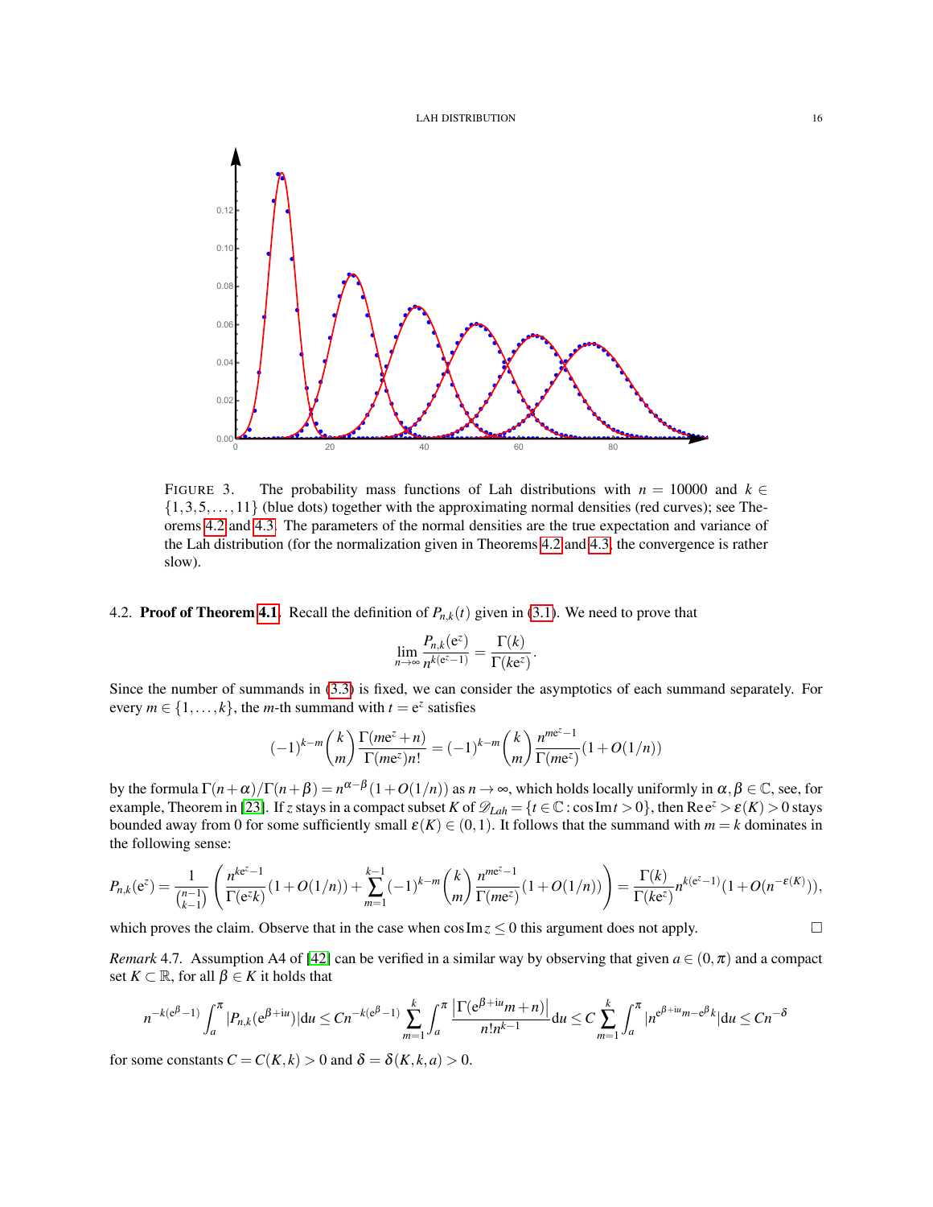

<span id="page-15-2"></span>FIGURE 3. The probability mass functions of Lah distributions with  $n = 10000$  and  $k \in$  $\{1,3,5,\ldots,11\}$  (blue dots) together with the approximating normal densities (red curves); see Theorems [4.2](#page-13-3) and [4.3.](#page-14-1) The parameters of the normal densities are the true expectation and variance of the Lah distribution (for the normalization given in Theorems [4.2](#page-13-3) and [4.3,](#page-14-1) the convergence is rather slow).

## <span id="page-15-0"></span>4.2. **Proof of Theorem [4.1.](#page-13-0)** Recall the definition of  $P_{n,k}(t)$  given in [\(3.1\)](#page-6-6). We need to prove that

$$
\lim_{n\to\infty}\frac{P_{n,k}(e^z)}{n^{k(e^z-1)}}=\frac{\Gamma(k)}{\Gamma(ke^z)}.
$$

Since the number of summands in [\(3.3\)](#page-7-1) is fixed, we can consider the asymptotics of each summand separately. For every  $m \in \{1, ..., k\}$ , the *m*-th summand with  $t = e^z$  satisfies

$$
(-1)^{k-m}\binom{k}{m}\frac{\Gamma(m\mathrm{e}^z+n)}{\Gamma(m\mathrm{e}^z)n!}=(-1)^{k-m}\binom{k}{m}\frac{n^{m\mathrm{e}^z-1}}{\Gamma(m\mathrm{e}^z)}(1+O(1/n))
$$

by the formula  $\Gamma(n+\alpha)/\Gamma(n+\beta) = n^{\alpha-\beta}(1+O(1/n))$  as  $n \to \infty$ , which holds locally uniformly in  $\alpha, \beta \in \mathbb{C}$ , see, for example, Theorem in [\[23\]](#page-37-15). If *z* stays in a compact subset *K* of  $\mathcal{D}_{Lah} = \{t \in \mathbb{C} : \cos \text{Im} t > 0\}$ , then Ree<sup>*z*</sup> >  $\varepsilon(K) > 0$  stays bounded away from 0 for some sufficiently small  $\varepsilon(K) \in (0,1)$ . It follows that the summand with  $m = k$  dominates in the following sense:

$$
P_{n,k}(\mathrm{e}^z)=\frac{1}{\binom{n-1}{k-1}}\left(\frac{n^{k\mathrm{e}^z-1}}{\Gamma(\mathrm{e}^z k)}(1+O(1/n))+\sum_{m=1}^{k-1}(-1)^{k-m}\binom{k}{m}\frac{n^{m\mathrm{e}^z-1}}{\Gamma(m\mathrm{e}^z)}(1+O(1/n))\right)=\frac{\Gamma(k)}{\Gamma(k\mathrm{e}^z)}n^{k(\mathrm{e}^z-1)}(1+O(n^{-\varepsilon(K)})),
$$

which proves the claim. Observe that in the case when  $\cos \mathrm{Im} z \leq 0$  this argument does not apply.

<span id="page-15-1"></span>*Remark* 4.7. Assumption A4 of [\[42\]](#page-38-10) can be verified in a similar way by observing that given  $a \in (0, \pi)$  and a compact set  $K \subset \mathbb{R}$ , for all  $\beta \in K$  it holds that

$$
n^{-k(e^{\beta}-1)}\int_{a}^{\pi} |P_{n,k}(e^{\beta+iu})|du \leq Cn^{-k(e^{\beta}-1)}\sum_{m=1}^{k}\int_{a}^{\pi}\frac{\left|\Gamma(e^{\beta+iu}m+n)\right|}{n!n^{k-1}}du \leq C\sum_{m=1}^{k}\int_{a}^{\pi}|n^{e^{\beta+iu}m-e^{\beta}k}|du \leq Cn^{-\delta}
$$

for some constants  $C = C(K, k) > 0$  and  $\delta = \delta(K, k, a) > 0$ .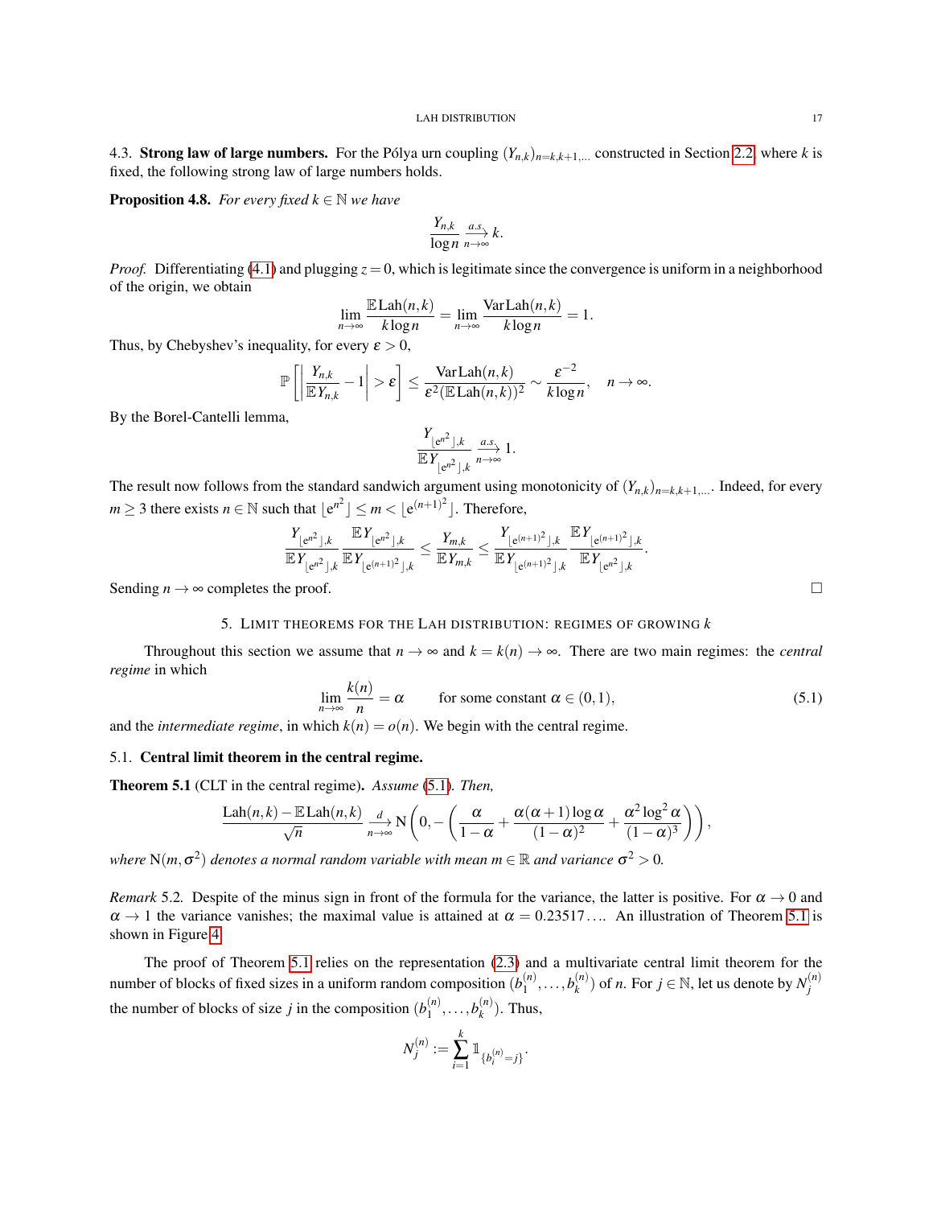<span id="page-16-0"></span>4.3. Strong law of large numbers. For the Pólya urn coupling  $(Y_{n,k})_{n=k,k+1,...}$  constructed in Section [2.2,](#page-6-0) where *k* is fixed, the following strong law of large numbers holds.

**Proposition 4.8.** *For every fixed*  $k \in \mathbb{N}$  *we have* 

$$
\frac{Y_{n,k}}{\log n}\xrightarrow[n\to\infty]{a.s.}k.
$$

*Proof.* Differentiating [\(4.1\)](#page-13-0) and plugging  $z = 0$ , which is legitimate since the convergence is uniform in a neighborhood of the origin, we obtain

$$
\lim_{n\to\infty} \frac{\mathbb{E}\text{Lah}(n,k)}{k\log n} = \lim_{n\to\infty} \frac{\text{Var}\text{Lah}(n,k)}{k\log n} = 1.
$$

Thus, by Chebyshev's inequality, for every  $\varepsilon > 0$ ,

$$
\mathbb{P}\left[\left|\frac{Y_{n,k}}{\mathbb{E}Y_{n,k}}-1\right|>\varepsilon\right]\leq \frac{\text{Var}\,\text{Lah}(n,k)}{\varepsilon^2(\mathbb{E}\,\text{Lah}(n,k))^2}\sim \frac{\varepsilon^{-2}}{k\log n},\quad n\to\infty.
$$

By the Borel-Cantelli lemma,

$$
\frac{Y_{\lfloor e^{n^2} \rfloor,k}}{\mathbb{E} Y_{\lfloor e^{n^2} \rfloor,k}} \overset{a.s.}{\underset{n\to\infty}\longrightarrow} 1.
$$

The result now follows from the standard sandwich argument using monotonicity of  $(Y_{n,k})_{n=k,k+1,\dots}$ . Indeed, for every  $m \geq 3$  there exists  $n \in \mathbb{N}$  such that  $|e^{n^2}| \leq m < |e^{(n+1)^2}|$ . Therefore,

$$
\frac{Y_{\lfloor e^{n^2} \rfloor,k}}{\mathbb{E} Y_{\lfloor e^{n^2} \rfloor,k}} \frac{\mathbb{E} Y_{\lfloor e^{n^2} \rfloor,k}}{\mathbb{E} Y_{\lfloor e^{(n+1)^2} \rfloor,k}} \le \frac{Y_{m,k}}{\mathbb{E} Y_{m,k}} \le \frac{Y_{\lfloor e^{(n+1)^2} \rfloor,k}}{\mathbb{E} Y_{\lfloor e^{(n+1)^2} \rfloor,k}} \frac{\mathbb{E} Y_{\lfloor e^{(n+1)^2} \rfloor,k}}{\mathbb{E} Y_{\lfloor e^{n^2} \rfloor,k}}.
$$
\nSending  $n \to \infty$  completes the proof.

### 5. LIMIT THEOREMS FOR THE LAH DISTRIBUTION: REGIMES OF GROWING *k*

<span id="page-16-1"></span>Throughout this section we assume that  $n \to \infty$  and  $k = k(n) \to \infty$ . There are two main regimes: the *central regime* in which

<span id="page-16-4"></span>
$$
\lim_{n \to \infty} \frac{k(n)}{n} = \alpha \qquad \text{for some constant } \alpha \in (0, 1), \tag{5.1}
$$

and the *intermediate regime*, in which  $k(n) = o(n)$ . We begin with the central regime.

## <span id="page-16-2"></span>5.1. Central limit theorem in the central regime.

<span id="page-16-3"></span>Theorem 5.1 (CLT in the central regime). *Assume* [\(5.1\)](#page-16-4)*. Then,*

$$
\frac{\text{Lah}(n,k)-\mathbb{E}\text{Lah}(n,k)}{\sqrt{n}}\xrightarrow[n\to\infty]{d}\mathrm{N}\left(0,-\left(\frac{\alpha}{1-\alpha}+\frac{\alpha(\alpha+1)\log\alpha}{(1-\alpha)^2}+\frac{\alpha^2\log^2\alpha}{(1-\alpha)^3}\right)\right),
$$

where  $N(m,\sigma^2)$  denotes a normal random variable with mean  $m \in \mathbb{R}$  and variance  $\sigma^2 > 0$ .

*Remark* 5.2. Despite of the minus sign in front of the formula for the variance, the latter is positive. For  $\alpha \to 0$  and  $\alpha \to 1$  the variance vanishes; the maximal value is attained at  $\alpha = 0.23517...$  An illustration of Theorem [5.1](#page-16-3) is shown in Figure [4.](#page-17-1)

The proof of Theorem [5.1](#page-16-3) relies on the representation [\(2.3\)](#page-6-5) and a multivariate central limit theorem for the number of blocks of fixed sizes in a uniform random composition  $(b_1^{(n)})$  $b_1^{(n)}, \ldots, b_k^{(n)}$  $\binom{n}{k}$ ) of *n*. For  $j \in \mathbb{N}$ , let us denote by  $N_j^{(n)}$ *j* the number of blocks of size *j* in the composition  $(b_1^{(n)})$  $b_1^{(n)}, \ldots, b_k^{(n)}$  $\binom{n}{k}$ . Thus,

$$
N_j^{(n)} := \sum_{i=1}^k \mathbb{1}_{\{b_i^{(n)} = j\}}.
$$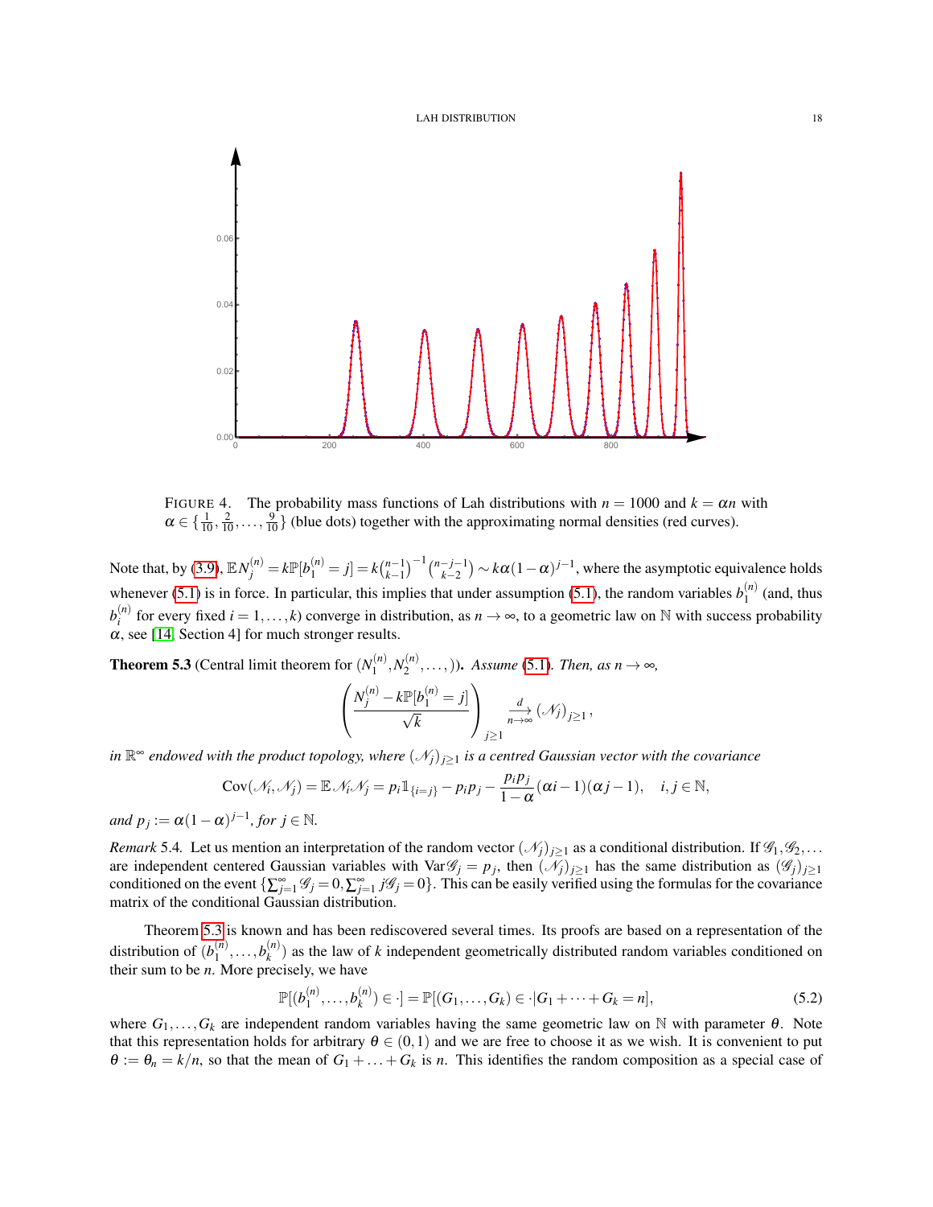

<span id="page-17-1"></span>FIGURE 4. The probability mass functions of Lah distributions with  $n = 1000$  and  $k = \alpha n$  with  $\alpha \in \{\frac{1}{10}, \frac{2}{10}, \dots, \frac{9}{10}\}$  (blue dots) together with the approximating normal densities (red curves).

Note that, by [\(3.9\)](#page-8-1),  $\mathbb{E} N_j^{(n)} = k \mathbb{P}[b_1^{(n)} = j] = k \binom{n-1}{k-1}^{-1} \binom{n-j-1}{k-2} \sim k \alpha (1-\alpha)^{j-1}$ , where the asymptotic equivalence holds whenever [\(5.1\)](#page-16-4) is in force. In particular, this implies that under assumption (5.1), the random variables  $b_1^{(n)}$  $\int_1^{(n)}$  (and, thus  $b_i^{(n)}$ *<sup>(n)</sup>* for every fixed *i* = 1,...,*k*) converge in distribution, as *n* → ∞, to a geometric law on N with success probability  $\alpha$ , see [\[14,](#page-37-16) Section 4] for much stronger results.

<span id="page-17-0"></span>**Theorem 5.3** (Central limit theorem for  $(N_1^{(n)})$  $N_1^{(n)}, N_2^{(n)}$  $\mathcal{L}_2^{(n)}, \ldots,$ )). Assume [\(5.1\)](#page-16-4). Then, as  $n \to \infty$ ,

$$
\left(\frac{N_j^{(n)} - k \mathbb{P}[b_1^{(n)} = j]}{\sqrt{k}}\right)_{j \geq 1} \xrightarrow[n \to \infty]{d} (\mathcal{N}_j)_{j \geq 1},
$$

*in*  $\mathbb{R}^{\infty}$  endowed with the product topology, where  $(\mathscr{N}_j)_{j≥1}$  is a centred Gaussian vector with the covariance

$$
Cov(\mathcal{N}_i, \mathcal{N}_j) = \mathbb{E} \mathcal{N}_i \mathcal{N}_j = p_i \mathbb{1}_{\{i=j\}} - p_i p_j - \frac{p_i p_j}{1-\alpha} (\alpha i - 1)(\alpha j - 1), \quad i, j \in \mathbb{N},
$$

*and*  $p_j := \alpha(1-\alpha)^{j-1}$ , for  $j \in \mathbb{N}$ .

*Remark* 5.4. Let us mention an interpretation of the random vector  $(\mathcal{N}_j)_{j\geq 1}$  as a conditional distribution. If  $\mathcal{G}_1, \mathcal{G}_2, \ldots$ are independent centered Gaussian variables with Var $\mathscr{G}_j = p_j$ , then  $(\mathscr{N}_j)_{j\geq1}$  has the same distribution as  $(\mathscr{G}_j)_{j\geq1}$ conditioned on the event  $\{\sum_{j=1}^{\infty} \mathcal{G}_j = 0, \sum_{j=1}^{\infty} j\mathcal{G}_j = 0\}$ . This can be easily verified using the formulas for the covariance matrix of the conditional Gaussian distribution.

Theorem [5.3](#page-17-0) is known and has been rediscovered several times. Its proofs are based on a representation of the distribution of  $(b_1^{(n)}$  $b_1^{(n)}, \ldots, b_k^{(n)}$  $k_k^{(n)}$ ) as the law of *k* independent geometrically distributed random variables conditioned on their sum to be *n*. More precisely, we have

<span id="page-17-2"></span>
$$
\mathbb{P}[(b_1^{(n)},...,b_k^{(n)}) \in \cdot] = \mathbb{P}[(G_1,...,G_k) \in \cdot | G_1 + \dots + G_k = n],
$$
\n(5.2)

where  $G_1, \ldots, G_k$  are independent random variables having the same geometric law on N with parameter  $\theta$ . Note that this representation holds for arbitrary  $\theta \in (0,1)$  and we are free to choose it as we wish. It is convenient to put  $\theta := \theta_n = k/n$ , so that the mean of  $G_1 + \ldots + G_k$  is *n*. This identifies the random composition as a special case of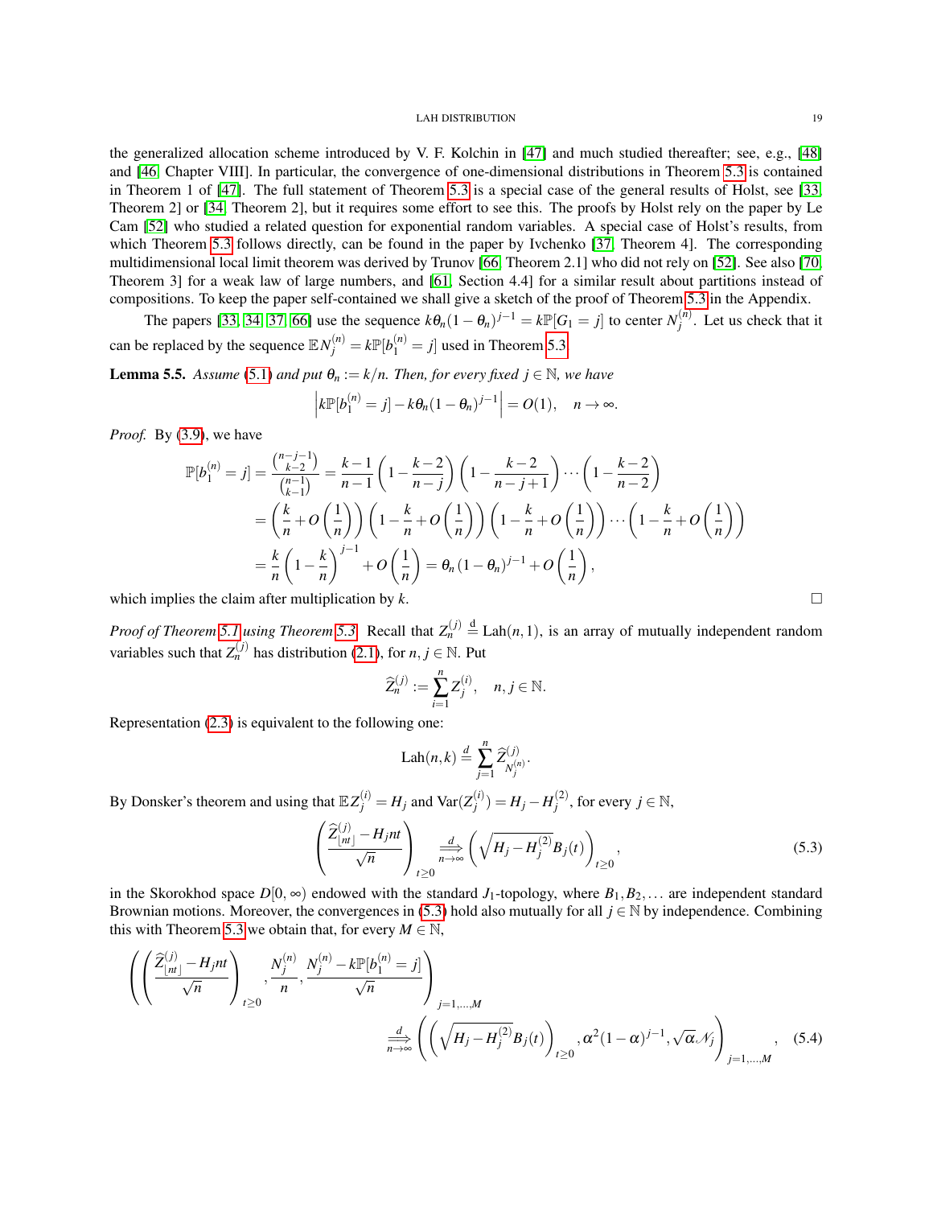the generalized allocation scheme introduced by V. F. Kolchin in [\[47\]](#page-38-12) and much studied thereafter; see, e.g., [\[48\]](#page-38-13) and [\[46,](#page-38-14) Chapter VIII]. In particular, the convergence of one-dimensional distributions in Theorem [5.3](#page-17-0) is contained in Theorem 1 of [\[47\]](#page-38-12). The full statement of Theorem [5.3](#page-17-0) is a special case of the general results of Holst, see [\[33,](#page-37-17) Theorem 2] or [\[34,](#page-37-18) Theorem 2], but it requires some effort to see this. The proofs by Holst rely on the paper by Le Cam [\[52\]](#page-38-15) who studied a related question for exponential random variables. A special case of Holst's results, from which Theorem [5.3](#page-17-0) follows directly, can be found in the paper by Ivchenko [\[37,](#page-37-19) Theorem 4]. The corresponding multidimensional local limit theorem was derived by Trunov [\[66,](#page-39-5) Theorem 2.1] who did not rely on [\[52\]](#page-38-15). See also [\[70,](#page-39-6) Theorem 3] for a weak law of large numbers, and [\[61,](#page-38-16) Section 4.4] for a similar result about partitions instead of compositions. To keep the paper self-contained we shall give a sketch of the proof of Theorem [5.3](#page-17-0) in the Appendix.

The papers [\[33,](#page-37-17) [34,](#page-37-18) [37,](#page-37-19) [66\]](#page-39-5) use the sequence  $k\theta_n(1-\theta_n)^{j-1} = k\mathbb{P}[G_1 = j]$  to center  $N_i^{(n)}$  $j^{\mu}$ . Let us check that it can be replaced by the sequence  $\mathbb{E} N_j^{(n)} = k \mathbb{P}[b_1^{(n)} = j]$  used in Theorem [5.3.](#page-17-0)

<span id="page-18-2"></span>**Lemma 5.5.** *Assume* [\(5.1\)](#page-16-4) *and put*  $\theta_n := k/n$ *. Then, for every fixed*  $j \in \mathbb{N}$ *, we have* 

$$
\left|k\mathbb{P}[b_1^{(n)}=j]-k\theta_n(1-\theta_n)^{j-1}\right|=O(1),\quad n\to\infty.
$$

*Proof.* By [\(3.9\)](#page-8-1), we have

$$
\mathbb{P}[b_1^{(n)} = j] = \frac{\binom{n-j-1}{k-2}}{\binom{n-1}{k-1}} = \frac{k-1}{n-1} \left(1 - \frac{k-2}{n-j}\right) \left(1 - \frac{k-2}{n-j+1}\right) \cdots \left(1 - \frac{k-2}{n-2}\right)
$$

$$
= \left(\frac{k}{n} + O\left(\frac{1}{n}\right)\right) \left(1 - \frac{k}{n} + O\left(\frac{1}{n}\right)\right) \left(1 - \frac{k}{n} + O\left(\frac{1}{n}\right)\right) \cdots \left(1 - \frac{k}{n} + O\left(\frac{1}{n}\right)\right)
$$

$$
= \frac{k}{n} \left(1 - \frac{k}{n}\right)^{j-1} + O\left(\frac{1}{n}\right) = \theta_n (1 - \theta_n)^{j-1} + O\left(\frac{1}{n}\right),
$$

which implies the claim after multiplication by  $k$ .

*Proof of Theorem [5.1](#page-16-3) using Theorem [5.3.](#page-17-0)* Recall that  $Z_n^{(j)} \stackrel{d}{=} \text{Lah}(n,1)$ , is an array of mutually independent random variables such that  $Z_n^{(j)}$  has distribution [\(2.1\)](#page-3-2), for  $n, j \in \mathbb{N}$ . Put

$$
\widehat{Z}_n^{(j)} := \sum_{i=1}^n Z_j^{(i)}, \quad n, j \in \mathbb{N}.
$$

Representation [\(2.3\)](#page-6-5) is equivalent to the following one:

$$
\text{Lah}(n,k) \stackrel{d}{=} \sum_{j=1}^n \widehat{Z}_{N_j^{(n)}}^{(j)}.
$$

By Donsker's theorem and using that  $\mathbb{E}Z_j^{(i)} = H_j$  and  $\text{Var}(Z_j^{(i)})$  $\binom{i}{j}$  = *H<sub>j</sub>* − *H*<sub>j</sub><sup>(2)</sup>  $j^{(2)}$ , for every  $j \in \mathbb{N}$ ,

<span id="page-18-0"></span>
$$
\left(\frac{\widehat{Z}_{\lfloor nt \rfloor}^{(j)} - H_j nt}{\sqrt{n}}\right)_{t \ge 0} \xrightarrow[n \to \infty]{d} \left(\sqrt{H_j - H_j^{(2)}} B_j(t)\right)_{t \ge 0},\tag{5.3}
$$

in the Skorokhod space  $D[0, \infty)$  endowed with the standard  $J_1$ -topology, where  $B_1, B_2, \ldots$  are independent standard Brownian motions. Moreover, the convergences in [\(5.3\)](#page-18-0) hold also mutually for all *j* ∈ N by independence. Combining this with Theorem [5.3](#page-17-0) we obtain that, for every  $M \in \mathbb{N}$ ,

$$
\left( \left( \frac{\hat{Z}_{\lfloor nt \rfloor}^{(j)} - H_j nt}{\sqrt{n}} \right)_{t \ge 0}, \frac{N_j^{(n)}}{n}, \frac{N_j^{(n)} - k \mathbb{P}[b_1^{(n)} = j]}{\sqrt{n}} \right)_{j=1,\ldots,M}
$$
\n
$$
\frac{d}{n \to \infty} \left( \left( \sqrt{H_j - H_j^{(2)}} B_j(t) \right)_{t \ge 0}, \alpha^2 (1 - \alpha)^{j-1}, \sqrt{\alpha} \mathcal{N}_j \right)_{j=1,\ldots,M}, \quad (5.4)
$$

<span id="page-18-1"></span>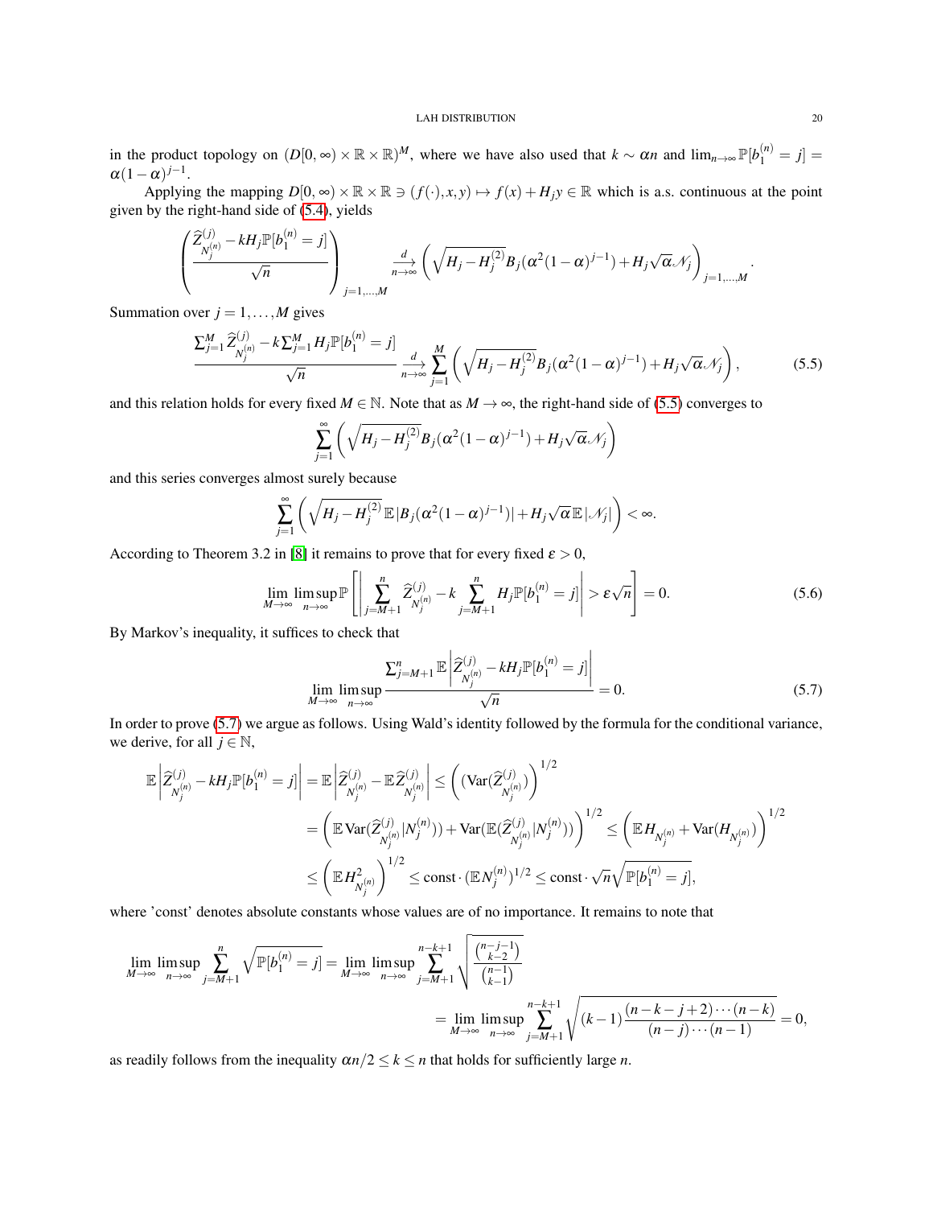in the product topology on  $(D[0, \infty) \times \mathbb{R} \times \mathbb{R})^M$ , where we have also used that  $k \sim \alpha n$  and  $\lim_{n \to \infty} \mathbb{P}[b_1^{(n)} = j] =$  $\alpha(1-\alpha)^{j-1}$ .

Applying the mapping  $D[0, \infty) \times \mathbb{R} \times \mathbb{R} \ni (f(\cdot), x, y) \mapsto f(x) + H_j y \in \mathbb{R}$  which is a.s. continuous at the point given by the right-hand side of [\(5.4\)](#page-18-1), yields

$$
\left(\frac{\widehat{Z}_{N_j^{(n)}}^{(j)} - kH_j \mathbb{P}[b_1^{(n)} = j]}{\sqrt{n}}\right)_{j=1,\ldots,M} \frac{d}{n \to \infty} \left(\sqrt{H_j - H_j^{(2)}} B_j (\alpha^2 (1-\alpha)^{j-1}) + H_j \sqrt{\alpha} \mathcal{N}_j\right)_{j=1,\ldots,M}.
$$

Summation over  $j = 1, \ldots, M$  gives

<span id="page-19-0"></span>
$$
\frac{\sum_{j=1}^{M} \widehat{Z}_{N_j^{(n)}}^{(j)} - k \sum_{j=1}^{M} H_j \mathbb{P}[b_1^{(n)} = j]}{\sqrt{n}} \frac{d}{n \to \infty} \sum_{j=1}^{M} \left( \sqrt{H_j - H_j^{(2)}} B_j (\alpha^2 (1 - \alpha)^{j-1}) + H_j \sqrt{\alpha} \mathcal{N}_j \right),
$$
(5.5)

and this relation holds for every fixed  $M \in \mathbb{N}$ . Note that as  $M \to \infty$ , the right-hand side of [\(5.5\)](#page-19-0) converges to

$$
\sum_{j=1}^{\infty} \left( \sqrt{H_j - H_j^{(2)}} B_j (\alpha^2 (1 - \alpha)^{j-1}) + H_j \sqrt{\alpha} \mathcal{N}_j \right)
$$

and this series converges almost surely because

$$
\sum_{j=1}^{\infty} \left( \sqrt{H_j - H_j^{(2)}} \mathbb{E} |B_j (\alpha^2 (1 - \alpha)^{j-1})| + H_j \sqrt{\alpha} \mathbb{E} |\mathcal{N}_j| \right) < \infty.
$$

According to Theorem 3.2 in [\[8\]](#page-36-10) it remains to prove that for every fixed  $\varepsilon > 0$ ,

<span id="page-19-2"></span>
$$
\lim_{M \to \infty} \limsup_{n \to \infty} \mathbb{P}\left[\left|\sum_{j=M+1}^{n} \widehat{Z}_{N_j^{(n)}}^{(j)} - k \sum_{j=M+1}^{n} H_j \mathbb{P}[b_1^{(n)} = j]\right| > \varepsilon \sqrt{n}\right] = 0.
$$
\n(5.6)

By Markov's inequality, it suffices to check that

<span id="page-19-1"></span>
$$
\lim_{M \to \infty} \limsup_{n \to \infty} \frac{\sum_{j=M+1}^{n} \mathbb{E} \left| \widehat{Z}_{N_j^{(n)}}^{(j)} - k H_j \mathbb{P}[b_1^{(n)} = j] \right|}{\sqrt{n}} = 0.
$$
\n(5.7)

In order to prove [\(5.7\)](#page-19-1) we argue as follows. Using Wald's identity followed by the formula for the conditional variance, we derive, for all  $j \in \mathbb{N}$ ,

$$
\mathbb{E}\left|\widehat{Z}_{N_j^{(n)}}^{(j)} - kH_j \mathbb{P}[b_1^{(n)} = j]\right| = \mathbb{E}\left|\widehat{Z}_{N_j^{(n)}}^{(j)} - \mathbb{E}\widehat{Z}_{N_j^{(n)}}^{(j)}\right| \leq \left((\text{Var}(\widehat{Z}_{N_j^{(n)}}^{(j)}))\right)^{1/2}
$$
  
\n
$$
= \left(\mathbb{E}\text{Var}(\widehat{Z}_{N_j^{(n)}}^{(j)}|N_j^{(n)})) + \text{Var}(\mathbb{E}(\widehat{Z}_{N_j^{(n)}}^{(j)}|N_j^{(n)}))\right)^{1/2} \leq \left(\mathbb{E}H_{N_j^{(n)}} + \text{Var}(H_{N_j^{(n)}})\right)^{1/2}
$$
  
\n
$$
\leq \left(\mathbb{E}H_{N_j^{(n)}}^2\right)^{1/2} \leq \text{const} \cdot (\mathbb{E}N_j^{(n)})^{1/2} \leq \text{const} \cdot \sqrt{n}\sqrt{\mathbb{P}[b_1^{(n)} = j]},
$$

where 'const' denotes absolute constants whose values are of no importance. It remains to note that

$$
\lim_{M \to \infty} \limsup_{n \to \infty} \sum_{j=M+1}^{n} \sqrt{\mathbb{P}[b_1^{(n)} = j]} = \lim_{M \to \infty} \limsup_{n \to \infty} \sum_{j=M+1}^{n-k+1} \sqrt{\frac{\binom{n-j-1}{k-2}}{\binom{n-1}{k-1}}} \\
= \lim_{M \to \infty} \limsup_{n \to \infty} \sum_{j=M+1}^{n-k+1} \sqrt{\binom{n-k-j+2 \cdots (n-k)}{(n-j) \cdots (n-1)}} = 0,
$$

as readily follows from the inequality  $\alpha n/2 \le k \le n$  that holds for sufficiently large *n*.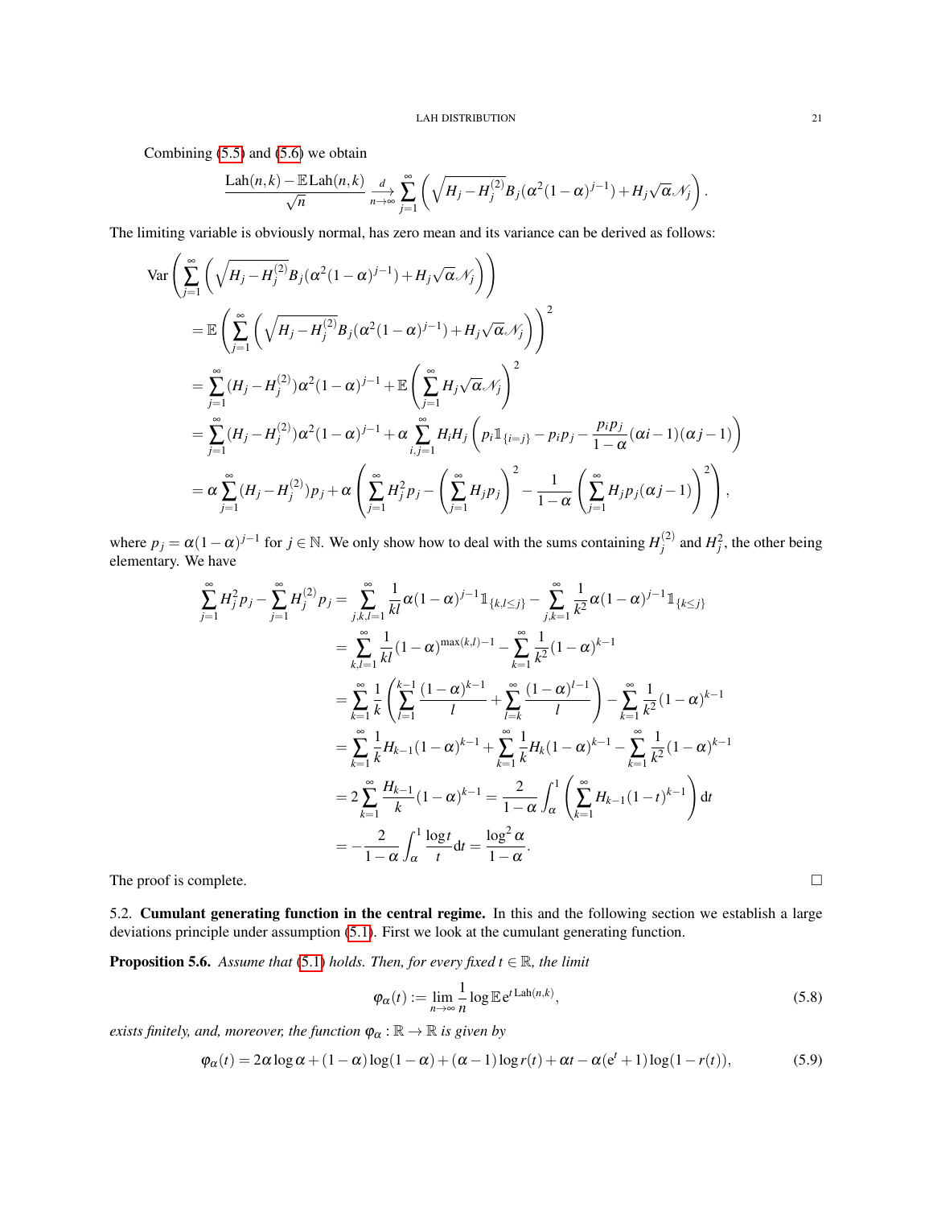Combining [\(5.5\)](#page-19-0) and [\(5.6\)](#page-19-2) we obtain

$$
\frac{\text{Lah}(n,k)-\mathbb{E}\text{Lah}(n,k)}{\sqrt{n}}\xrightarrow[n\to\infty]{d}\sum_{j=1}^{\infty}\left(\sqrt{H_j-H_j^{(2)}}B_j(\alpha^2(1-\alpha)^{j-1})+H_j\sqrt{\alpha}\mathcal{N}_j\right).
$$

The limiting variable is obviously normal, has zero mean and its variance can be derived as follows:

$$
\begin{split}\n\text{Var}\left(\sum_{j=1}^{\infty} \left(\sqrt{H_j - H_j^{(2)}} B_j (\alpha^2 (1 - \alpha)^{j-1}) + H_j \sqrt{\alpha} \mathcal{N}_j\right)\right) \\
&= \mathbb{E}\left(\sum_{j=1}^{\infty} \left(\sqrt{H_j - H_j^{(2)}} B_j (\alpha^2 (1 - \alpha)^{j-1}) + H_j \sqrt{\alpha} \mathcal{N}_j\right)\right)^2 \\
&= \sum_{j=1}^{\infty} (H_j - H_j^{(2)}) \alpha^2 (1 - \alpha)^{j-1} + \mathbb{E}\left(\sum_{j=1}^{\infty} H_j \sqrt{\alpha} \mathcal{N}_j\right)^2 \\
&= \sum_{j=1}^{\infty} (H_j - H_j^{(2)}) \alpha^2 (1 - \alpha)^{j-1} + \alpha \sum_{i,j=1}^{\infty} H_i H_j \left(p_i \mathbbm{1}_{\{i=j\}} - p_i p_j - \frac{p_i p_j}{1 - \alpha} (\alpha i - 1)(\alpha j - 1)\right) \\
&= \alpha \sum_{j=1}^{\infty} (H_j - H_j^{(2)}) p_j + \alpha \left(\sum_{j=1}^{\infty} H_j^2 p_j - \left(\sum_{j=1}^{\infty} H_j p_j\right)^2 - \frac{1}{1 - \alpha} \left(\sum_{j=1}^{\infty} H_j p_j (\alpha j - 1)\right)^2\right),\n\end{split}
$$

where  $p_j = \alpha (1 - \alpha)^{j-1}$  for  $j \in \mathbb{N}$ . We only show how to deal with the sums containing  $H_j^{(2)}$  $j^{(2)}$  and  $H_j^2$ , the other being elementary. We have

$$
\sum_{j=1}^{\infty} H_j^2 p_j - \sum_{j=1}^{\infty} H_j^{(2)} p_j = \sum_{j,k,l=1}^{\infty} \frac{1}{kl} \alpha (1 - \alpha)^{j-1} \mathbb{1}_{\{k,l \le j\}} - \sum_{j,k=1}^{\infty} \frac{1}{k^2} \alpha (1 - \alpha)^{j-1} \mathbb{1}_{\{k \le j\}}
$$
  
\n
$$
= \sum_{k,l=1}^{\infty} \frac{1}{kl} (1 - \alpha)^{\max(k,l)-1} - \sum_{k=1}^{\infty} \frac{1}{k^2} (1 - \alpha)^{k-1}
$$
  
\n
$$
= \sum_{k=1}^{\infty} \frac{1}{k} \left( \sum_{l=1}^{k-1} \frac{(1 - \alpha)^{k-1}}{l} + \sum_{l=k}^{\infty} \frac{(1 - \alpha)^{l-1}}{l} \right) - \sum_{k=1}^{\infty} \frac{1}{k^2} (1 - \alpha)^{k-1}
$$
  
\n
$$
= \sum_{k=1}^{\infty} \frac{1}{k} H_{k-1} (1 - \alpha)^{k-1} + \sum_{k=1}^{\infty} \frac{1}{k} H_k (1 - \alpha)^{k-1} - \sum_{k=1}^{\infty} \frac{1}{k^2} (1 - \alpha)^{k-1}
$$
  
\n
$$
= 2 \sum_{k=1}^{\infty} \frac{H_{k-1}}{k} (1 - \alpha)^{k-1} = \frac{2}{1 - \alpha} \int_{\alpha}^{1} \left( \sum_{k=1}^{\infty} H_{k-1} (1 - t)^{k-1} \right) dt
$$
  
\n
$$
= -\frac{2}{1 - \alpha} \int_{\alpha}^{1} \frac{\log t}{t} dt = \frac{\log^2 \alpha}{1 - \alpha}.
$$
  
\nThe proof is complete.

<span id="page-20-0"></span>5.2. Cumulant generating function in the central regime. In this and the following section we establish a large deviations principle under assumption [\(5.1\)](#page-16-4). First we look at the cumulant generating function.

<span id="page-20-1"></span>**Proposition 5.6.** *Assume that* [\(5.1\)](#page-16-4) *holds. Then, for every fixed*  $t \in \mathbb{R}$ *, the limit* 

<span id="page-20-3"></span>
$$
\varphi_{\alpha}(t) := \lim_{n \to \infty} \frac{1}{n} \log \mathbb{E} e^{t \operatorname{Lah}(n,k)},\tag{5.8}
$$

*exists finitely, and, moreover, the function*  $\varphi_{\alpha} : \mathbb{R} \to \mathbb{R}$  *is given by* 

<span id="page-20-2"></span>
$$
\varphi_{\alpha}(t) = 2\alpha \log \alpha + (1 - \alpha) \log(1 - \alpha) + (\alpha - 1) \log r(t) + \alpha t - \alpha (e^{t} + 1) \log(1 - r(t)),\tag{5.9}
$$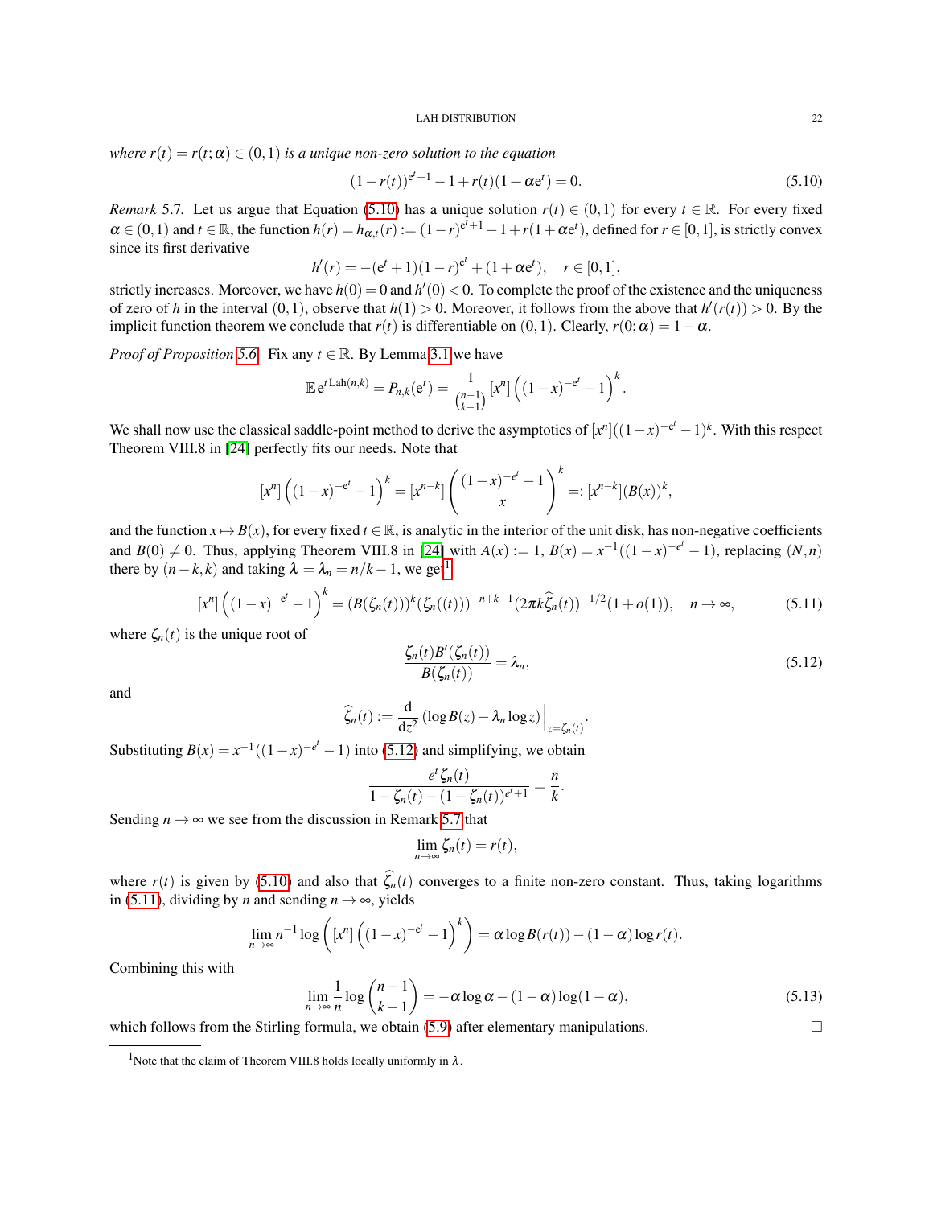*where*  $r(t) = r(t; \alpha) \in (0, 1)$  *is a unique non-zero solution to the equation* 

<span id="page-21-0"></span>
$$
(1 - r(t))^{e^{t} + 1} - 1 + r(t)(1 + \alpha e^{t}) = 0.
$$
\n(5.10)

<span id="page-21-3"></span>*Remark* 5.7. Let us argue that Equation [\(5.10\)](#page-21-0) has a unique solution  $r(t) \in (0,1)$  for every  $t \in \mathbb{R}$ . For every fixed  $\alpha \in (0,1)$  and  $t \in \mathbb{R}$ , the function  $h(r) = h_{\alpha,t}(r) := (1-r)^{e^t+1} - 1 + r(1+\alpha e^t)$ , defined for  $r \in [0,1]$ , is strictly convex since its first derivative

$$
h'(r) = -(e^t + 1)(1 - r)^{e^t} + (1 + \alpha e^t), \quad r \in [0, 1],
$$

strictly increases. Moreover, we have  $h(0) = 0$  and  $h'(0) < 0$ . To complete the proof of the existence and the uniqueness of zero of *h* in the interval  $(0,1)$ , observe that  $h(1) > 0$ . Moreover, it follows from the above that  $h'(r(t)) > 0$ . By the implicit function theorem we conclude that  $r(t)$  is differentiable on  $(0,1)$ . Clearly,  $r(0; \alpha) = 1 - \alpha$ .

*Proof of Proposition* [5.6.](#page-20-1) Fix any  $t \in \mathbb{R}$ . By Lemma [3.1](#page-6-4) we have

$$
\mathbb{E} e^{t\operatorname{Lah}(n,k)} = P_{n,k}(e^t) = \frac{1}{\binom{n-1}{k-1}} [x^n] \left( (1-x)^{-e^t} - 1 \right)^k.
$$

We shall now use the classical saddle-point method to derive the asymptotics of  $[x^n]((1-x)^{-e^t}-1)^k$ . With this respect Theorem VIII.8 in [\[24\]](#page-37-20) perfectly fits our needs. Note that

$$
[x^n] \left( (1-x)^{-e^t} - 1 \right)^k = [x^{n-k}] \left( \frac{(1-x)^{-e^t} - 1}{x} \right)^k =: [x^{n-k}] (B(x))^k,
$$

and the function  $x \mapsto B(x)$ , for every fixed  $t \in \mathbb{R}$ , is analytic in the interior of the unit disk, has non-negative coefficients and  $B(0) \neq 0$ . Thus, applying Theorem VIII.8 in [\[24\]](#page-37-20) with  $A(x) := 1$ ,  $B(x) = x^{-1}((1-x)^{-e^t} - 1)$ , replacing  $(N, n)$ there by  $(n-k, k)$  and taking  $\lambda = \lambda_n = n/k - 1$  $\lambda = \lambda_n = n/k - 1$ , we get<sup>1</sup>

<span id="page-21-4"></span>
$$
[x^n] \left( (1-x)^{-e^t} - 1 \right)^k = (B(\zeta_n(t)))^k (\zeta_n((t)))^{-n+k-1} (2\pi k \widehat{\zeta}_n(t))^{-1/2} (1+o(1)), \quad n \to \infty,
$$
 (5.11)

where  $\zeta_n(t)$  is the unique root of

<span id="page-21-2"></span>
$$
\frac{\zeta_n(t)B'(\zeta_n(t))}{B(\zeta_n(t))} = \lambda_n,\tag{5.12}
$$

.

and

$$
\widehat{\zeta}_n(t) := \frac{\mathrm{d}}{\mathrm{d}z^2} \left( \log B(z) - \lambda_n \log z \right) \Big|_{z = \zeta_n(t)}
$$

Substituting  $B(x) = x^{-1}((1-x)^{-e^t} - 1)$  into [\(5.12\)](#page-21-2) and simplifying, we obtain

$$
\frac{e^{t}\zeta_n(t)}{1-\zeta_n(t)-(1-\zeta_n(t))^{e^{t}+1}}=\frac{n}{k}.
$$

Sending  $n \rightarrow \infty$  we see from the discussion in Remark [5.7](#page-21-3) that

$$
\lim_{n\to\infty}\zeta_n(t)=r(t),
$$

where  $r(t)$  is given by [\(5.10\)](#page-21-0) and also that  $\hat{\zeta}_n(t)$  converges to a finite non-zero constant. Thus, taking logarithms in [\(5.11\)](#page-21-4), dividing by *n* and sending  $n \rightarrow \infty$ , yields

$$
\lim_{n\to\infty} n^{-1} \log \left( \left[ x^n \right] \left( (1-x)^{-e^t} - 1 \right)^k \right) = \alpha \log B(r(t)) - (1-\alpha) \log r(t).
$$

Combining this with

<span id="page-21-5"></span>
$$
\lim_{n \to \infty} \frac{1}{n} \log \binom{n-1}{k-1} = -\alpha \log \alpha - (1 - \alpha) \log(1 - \alpha),\tag{5.13}
$$

which follows from the Stirling formula, we obtain  $(5.9)$  after elementary manipulations.

<span id="page-21-1"></span><sup>&</sup>lt;sup>1</sup>Note that the claim of Theorem VIII.8 holds locally uniformly in  $\lambda$ .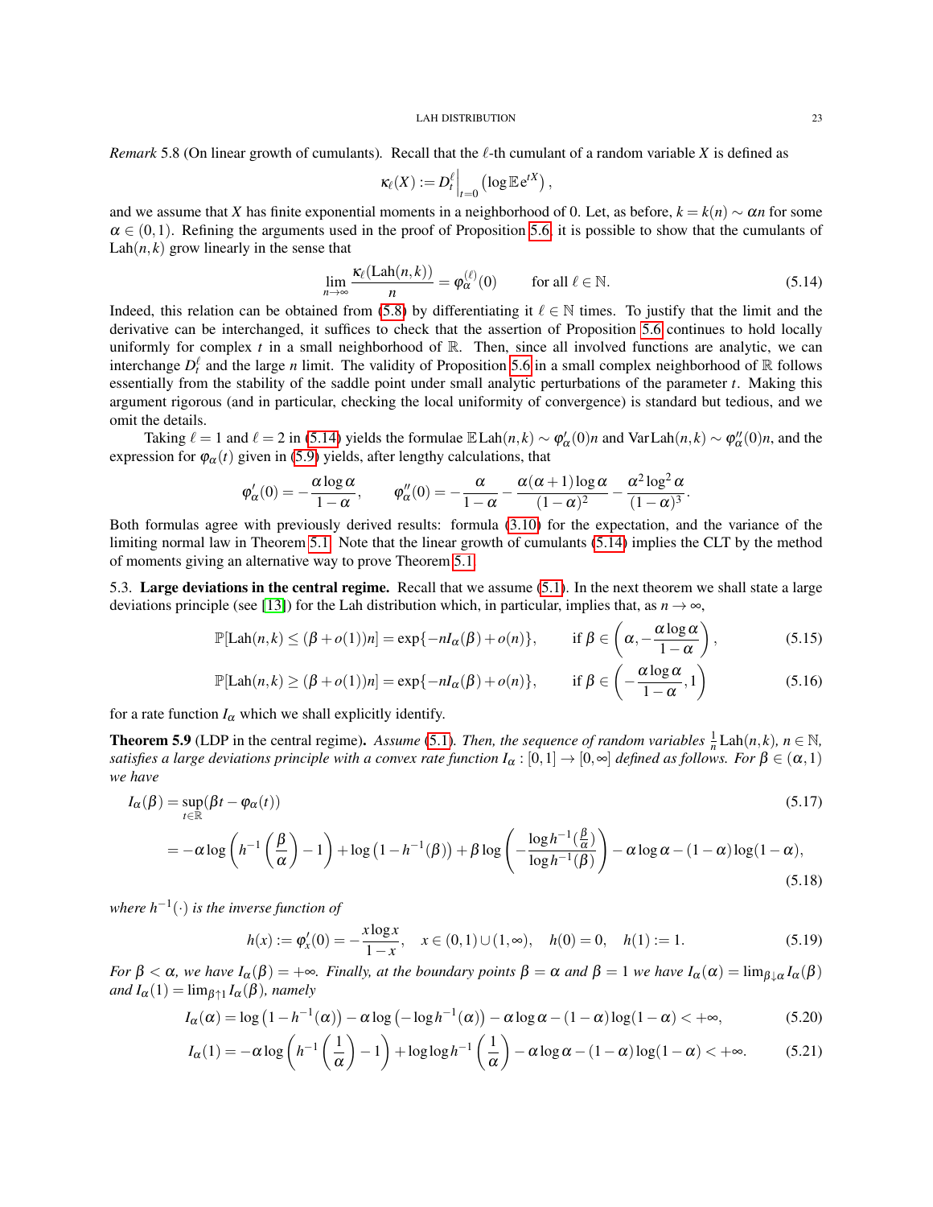*Remark* 5.8 (On linear growth of cumulants). Recall that the  $\ell$ -th cumulant of a random variable *X* is defined as

$$
\kappa_\ell(X) := D_t^\ell \Big|_{t=0} \left(\log \mathbb{E} e^{tX}\right),
$$

and we assume that *X* has finite exponential moments in a neighborhood of 0. Let, as before,  $k = k(n) \sim \alpha n$  for some  $\alpha \in (0,1)$ . Refining the arguments used in the proof of Proposition [5.6,](#page-20-1) it is possible to show that the cumulants of  $Lah(n, k)$  grow linearly in the sense that

<span id="page-22-1"></span>
$$
\lim_{n \to \infty} \frac{\kappa_{\ell}(\text{Lah}(n,k))}{n} = \varphi_{\alpha}^{(\ell)}(0) \qquad \text{for all } \ell \in \mathbb{N}.
$$
 (5.14)

Indeed, this relation can be obtained from [\(5.8\)](#page-20-3) by differentiating it  $\ell \in \mathbb{N}$  times. To justify that the limit and the derivative can be interchanged, it suffices to check that the assertion of Proposition [5.6](#page-20-1) continues to hold locally uniformly for complex  $t$  in a small neighborhood of  $\mathbb{R}$ . Then, since all involved functions are analytic, we can interchange  $D_t^{\ell}$  and the large *n* limit. The validity of Proposition [5.6](#page-20-1) in a small complex neighborhood of R follows essentially from the stability of the saddle point under small analytic perturbations of the parameter *t*. Making this argument rigorous (and in particular, checking the local uniformity of convergence) is standard but tedious, and we omit the details.

Taking  $\ell = 1$  and  $\ell = 2$  in [\(5.14\)](#page-22-1) yields the formulae  $\mathbb{E} \text{Lah}(n,k) \sim \varphi_{\alpha}'(0)n$  and  $\text{Var} \text{Lah}(n,k) \sim \varphi_{\alpha}''(0)n$ , and the expression for  $\varphi_{\alpha}(t)$  given in [\(5.9\)](#page-20-2) yields, after lengthy calculations, that

<span id="page-22-8"></span>
$$
\phi_\alpha'(0)=-\frac{\alpha\log\alpha}{1-\alpha},\qquad \phi_\alpha''(0)=-\frac{\alpha}{1-\alpha}-\frac{\alpha(\alpha+1)\log\alpha}{(1-\alpha)^2}-\frac{\alpha^2\log^2\alpha}{(1-\alpha)^3}.
$$

Both formulas agree with previously derived results: formula [\(3.10\)](#page-10-1) for the expectation, and the variance of the limiting normal law in Theorem [5.1.](#page-16-3) Note that the linear growth of cumulants [\(5.14\)](#page-22-1) implies the CLT by the method of moments giving an alternative way to prove Theorem [5.1.](#page-16-3)

<span id="page-22-0"></span>5.3. Large deviations in the central regime. Recall that we assume [\(5.1\)](#page-16-4). In the next theorem we shall state a large deviations principle (see [\[13\]](#page-37-21)) for the Lah distribution which, in particular, implies that, as  $n \to \infty$ ,

$$
\mathbb{P}[\text{Lah}(n,k) \le (\beta + o(1))n] = \exp\{-nI_{\alpha}(\beta) + o(n)\}, \quad \text{if } \beta \in \left(\alpha, -\frac{\alpha \log \alpha}{1-\alpha}\right), \tag{5.15}
$$

<span id="page-22-9"></span>
$$
\mathbb{P}[\text{Lah}(n,k) \ge (\beta + o(1))n] = \exp\{-nI_{\alpha}(\beta) + o(n)\}, \quad \text{if } \beta \in \left(-\frac{\alpha \log \alpha}{1 - \alpha}, 1\right) \tag{5.16}
$$

for a rate function  $I_{\alpha}$  which we shall explicitly identify.

<span id="page-22-3"></span>**Theorem 5.9** (LDP in the central regime). Assume [\(5.1\)](#page-16-4). Then, the sequence of random variables  $\frac{1}{n}$  Lah(n, k),  $n \in \mathbb{N}$ , *satisfies a large deviations principle with a convex rate function*  $I_\alpha:[0,1]\to[0,\infty]$  *defined as follows. For*  $\beta\in(\alpha,1)$ *we have*

$$
I_{\alpha}(\beta) = \sup_{t \in \mathbb{R}} (\beta t - \varphi_{\alpha}(t))
$$
\n(5.17)

$$
= -\alpha \log \left( h^{-1} \left( \frac{\beta}{\alpha} \right) - 1 \right) + \log \left( 1 - h^{-1}(\beta) \right) + \beta \log \left( -\frac{\log h^{-1}(\frac{\beta}{\alpha})}{\log h^{-1}(\beta)} \right) - \alpha \log \alpha - (1 - \alpha) \log (1 - \alpha), \tag{5.18}
$$

*where h*−<sup>1</sup> (·) *is the inverse function of*

<span id="page-22-7"></span><span id="page-22-6"></span><span id="page-22-5"></span><span id="page-22-4"></span><span id="page-22-2"></span>
$$
h(x) := \varphi'_x(0) = -\frac{x \log x}{1 - x}, \quad x \in (0, 1) \cup (1, \infty), \quad h(0) = 0, \quad h(1) := 1.
$$
 (5.19)

*For*  $\beta < \alpha$ *, we have*  $I_\alpha(\beta) = +\infty$ *. Finally, at the boundary points*  $\beta = \alpha$  *and*  $\beta = 1$  *we have*  $I_\alpha(\alpha) = \lim_{\beta \downarrow \alpha} I_\alpha(\beta)$  $and I_{\alpha}(1) = \lim_{\beta \uparrow 1} I_{\alpha}(\beta)$ *, namely* 

$$
I_{\alpha}(\alpha) = \log\left(1 - h^{-1}(\alpha)\right) - \alpha \log\left(-\log h^{-1}(\alpha)\right) - \alpha \log\alpha - (1 - \alpha) \log(1 - \alpha) < +\infty,\tag{5.20}
$$

$$
I_{\alpha}(1) = -\alpha \log \left( h^{-1}\left(\frac{1}{\alpha}\right) - 1 \right) + \log \log h^{-1}\left(\frac{1}{\alpha}\right) - \alpha \log \alpha - (1 - \alpha) \log (1 - \alpha) < +\infty. \tag{5.21}
$$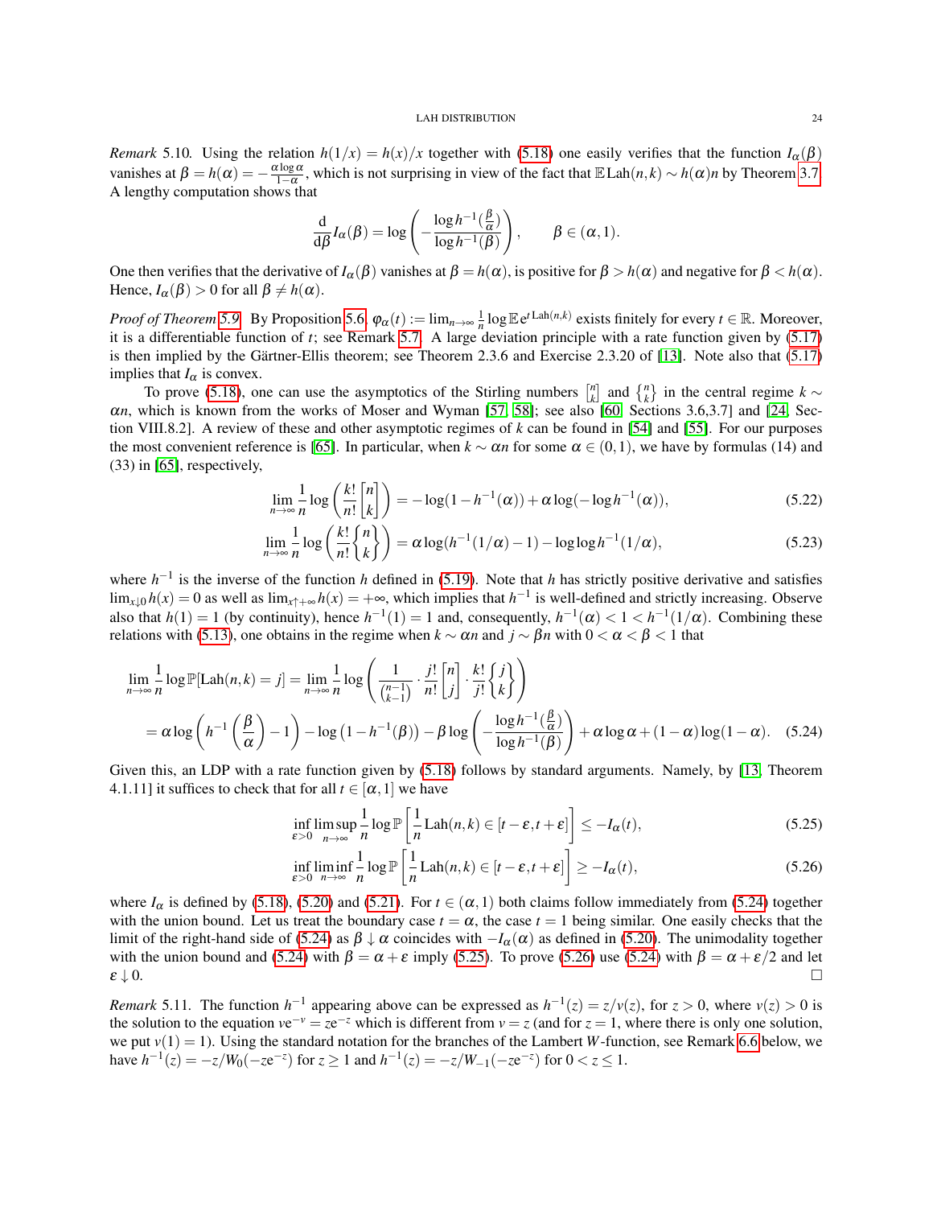<span id="page-23-3"></span>*Remark* 5.10*.* Using the relation  $h(1/x) = h(x)/x$  together with [\(5.18\)](#page-22-2) one easily verifies that the function  $I_\alpha(\beta)$ vanishes at  $\beta = h(\alpha) = -\frac{\alpha \log \alpha}{1-\alpha}$ , which is not surprising in view of the fact that  $\mathbb{E} \text{Lah}(n,k) \sim h(\alpha)n$  by Theorem [3.7.](#page-10-2) A lengthy computation shows that

$$
\frac{\mathrm{d}}{\mathrm{d}\beta}I_{\alpha}(\beta) = \log\left(-\frac{\log h^{-1}(\frac{\beta}{\alpha})}{\log h^{-1}(\beta)}\right), \qquad \beta \in (\alpha, 1).
$$

One then verifies that the derivative of  $I_\alpha(\beta)$  vanishes at  $\beta = h(\alpha)$ , is positive for  $\beta > h(\alpha)$  and negative for  $\beta < h(\alpha)$ . Hence,  $I_{\alpha}(\beta) > 0$  for all  $\beta \neq h(\alpha)$ .

*Proof of Theorem* [5.9.](#page-22-3) By Proposition [5.6,](#page-20-1)  $\varphi_{\alpha}(t) := \lim_{n \to \infty} \frac{1}{n} \log \mathbb{E} e^{t \operatorname{Lah}(n,k)}$  exists finitely for every  $t \in \mathbb{R}$ . Moreover, it is a differentiable function of *t*; see Remark [5.7.](#page-21-3) A large deviation principle with a rate function given by [\(5.17\)](#page-22-4) is then implied by the Gärtner-Ellis theorem; see Theorem 2.3.6 and Exercise 2.3.20 of  $[13]$ . Note also that  $(5.17)$ implies that  $I_{\alpha}$  is convex.

To prove [\(5.18\)](#page-22-2), one can use the asymptotics of the Stirling numbers  $\begin{bmatrix} n \\ k \end{bmatrix}$  and  $\begin{Bmatrix} n \\ k \end{Bmatrix}$  in the central regime  $k \sim$ α*n*, which is known from the works of Moser and Wyman [\[57,](#page-38-17) [58\]](#page-38-18); see also [\[60,](#page-38-19) Sections 3.6,3.7] and [\[24,](#page-37-20) Section VIII.8.2]. A review of these and other asymptotic regimes of *k* can be found in [\[54\]](#page-38-20) and [\[55\]](#page-38-21). For our purposes the most convenient reference is [\[65\]](#page-39-7). In particular, when  $k \sim \alpha n$  for some  $\alpha \in (0,1)$ , we have by formulas (14) and (33) in [\[65\]](#page-39-7), respectively,

$$
\lim_{n \to \infty} \frac{1}{n} \log \left( \frac{k!}{n!} \binom{n}{k} \right) = -\log(1 - h^{-1}(\alpha)) + \alpha \log(-\log h^{-1}(\alpha)),\tag{5.22}
$$

$$
\lim_{n \to \infty} \frac{1}{n} \log \left( \frac{k!}{n!} \binom{n}{k} \right) = \alpha \log(h^{-1}(1/\alpha) - 1) - \log \log h^{-1}(1/\alpha),\tag{5.23}
$$

where  $h^{-1}$  is the inverse of the function *h* defined in [\(5.19\)](#page-22-5). Note that *h* has strictly positive derivative and satisfies lim<sub>*x*↓0</sub> *h*(*x*) = 0 as well as lim<sub>*x*↑+∞</sub> *h*(*x*) = +∞, which implies that *h*<sup>-1</sup> is well-defined and strictly increasing. Observe also that  $h(1) = 1$  (by continuity), hence  $h^{-1}(1) = 1$  and, consequently,  $h^{-1}(\alpha) < 1 < h^{-1}(1/\alpha)$ . Combining these relations with [\(5.13\)](#page-21-5), one obtains in the regime when  $k \sim \alpha n$  and  $j \sim \beta n$  with  $0 < \alpha < \beta < 1$  that

$$
\lim_{n \to \infty} \frac{1}{n} \log \mathbb{P}[\text{Lah}(n,k) = j] = \lim_{n \to \infty} \frac{1}{n} \log \left( \frac{1}{\binom{n-1}{k-1}} \cdot \frac{j!}{n!} \binom{n}{j} \cdot \frac{k!}{j!} \binom{j}{k} \right)
$$
\n
$$
= \alpha \log \left( h^{-1} \left( \frac{\beta}{\alpha} \right) - 1 \right) - \log \left( 1 - h^{-1}(\beta) \right) - \beta \log \left( -\frac{\log h^{-1} \left( \frac{\beta}{\alpha} \right)}{\log h^{-1}(\beta)} \right) + \alpha \log \alpha + (1 - \alpha) \log (1 - \alpha). \quad (5.24)
$$

Given this, an LDP with a rate function given by [\(5.18\)](#page-22-2) follows by standard arguments. Namely, by [\[13,](#page-37-21) Theorem 4.1.11] it suffices to check that for all  $t \in [\alpha, 1]$  we have

<span id="page-23-0"></span>
$$
\inf_{\varepsilon>0} \limsup_{n\to\infty} \frac{1}{n} \log \mathbb{P}\left[\frac{1}{n} \text{Lah}(n,k) \in [t-\varepsilon, t+\varepsilon] \right] \le -I_\alpha(t),\tag{5.25}
$$

<span id="page-23-2"></span><span id="page-23-1"></span>
$$
\inf_{\varepsilon>0} \liminf_{n\to\infty} \frac{1}{n} \log \mathbb{P}\left[\frac{1}{n} \text{Lah}(n,k) \in [t-\varepsilon, t+\varepsilon] \right] \ge -I_\alpha(t),\tag{5.26}
$$

where  $I_\alpha$  is defined by [\(5.18\)](#page-22-2), [\(5.20\)](#page-22-6) and [\(5.21\)](#page-22-7). For  $t \in (\alpha, 1)$  both claims follow immediately from [\(5.24\)](#page-23-0) together with the union bound. Let us treat the boundary case  $t = \alpha$ , the case  $t = 1$  being similar. One easily checks that the limit of the right-hand side of [\(5.24\)](#page-23-0) as β ↓ α coincides with −*I*α(α) as defined in [\(5.20\)](#page-22-6). The unimodality together with the union bound and [\(5.24\)](#page-23-0) with  $\beta = \alpha + \varepsilon$  imply [\(5.25\)](#page-23-1). To prove [\(5.26\)](#page-23-2) use (5.24) with  $\beta = \alpha + \varepsilon/2$  and let  $\varepsilon \downarrow 0.$ 

*Remark* 5.11. The function  $h^{-1}$  appearing above can be expressed as  $h^{-1}(z) = z/v(z)$ , for  $z > 0$ , where  $v(z) > 0$  is the solution to the equation  $ve^{-\nu} = ze^{-z}$  which is different from  $\nu = z$  (and for  $z = 1$ , where there is only one solution, we put  $v(1) = 1$ ). Using the standard notation for the branches of the Lambert *W*-function, see Remark [6.6](#page-30-1) below, we have  $h^{-1}(z) = -z/W_0(-z e^{-z})$  for  $z \ge 1$  and  $h^{-1}(z) = -z/W_{-1}(-z e^{-z})$  for  $0 < z \le 1$ .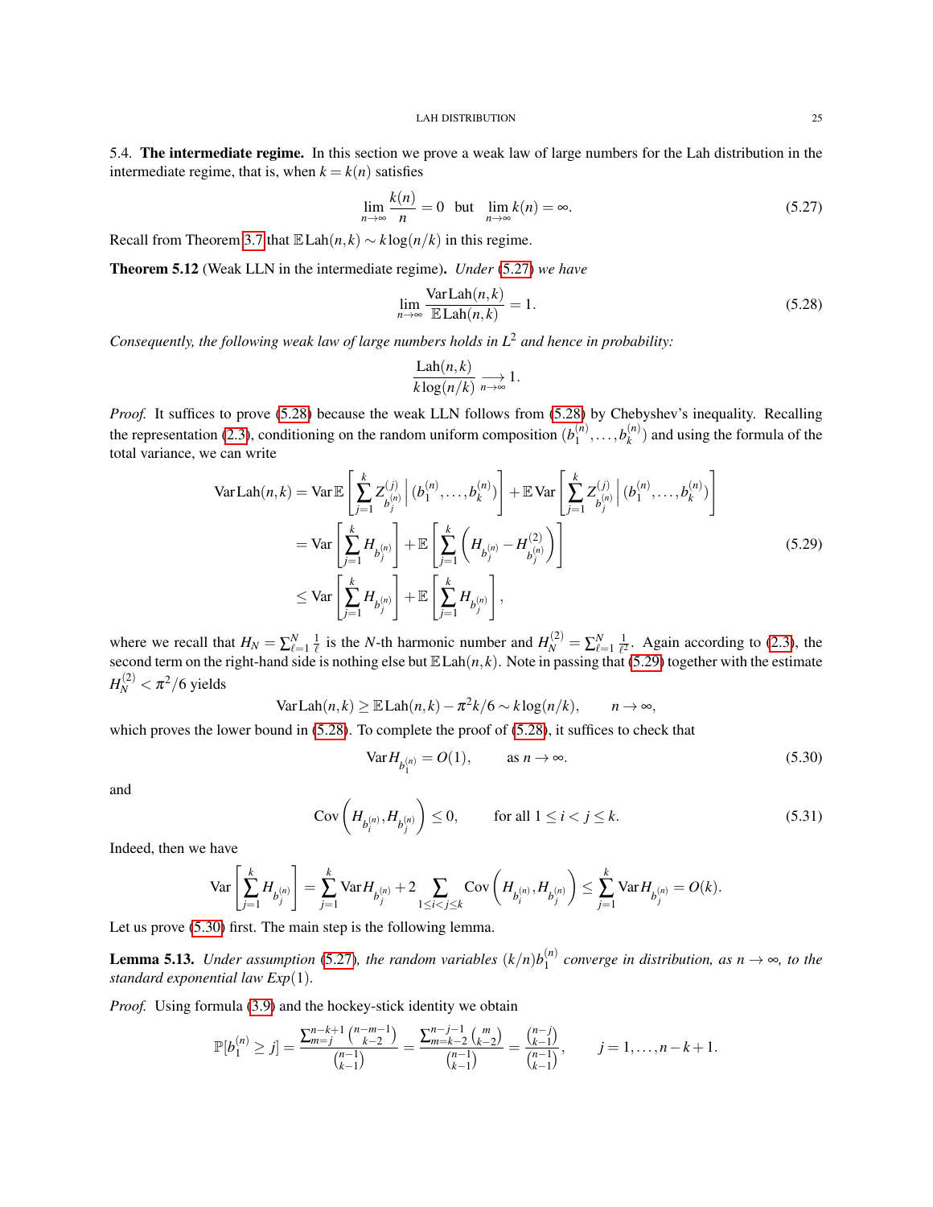<span id="page-24-0"></span>5.4. The intermediate regime. In this section we prove a weak law of large numbers for the Lah distribution in the intermediate regime, that is, when  $k = k(n)$  satisfies

<span id="page-24-1"></span>
$$
\lim_{n \to \infty} \frac{k(n)}{n} = 0 \quad \text{but} \quad \lim_{n \to \infty} k(n) = \infty. \tag{5.27}
$$

Recall from Theorem [3.7](#page-10-2) that  $\mathbb{E} \text{Lah}(n, k) \sim k \log(n/k)$  in this regime.

<span id="page-24-7"></span>Theorem 5.12 (Weak LLN in the intermediate regime). *Under* [\(5.27\)](#page-24-1) *we have*

<span id="page-24-2"></span>
$$
\lim_{n \to \infty} \frac{\text{Var} \, \text{Lah}(n, k)}{\mathbb{E} \, \text{Lah}(n, k)} = 1. \tag{5.28}
$$

*Consequently, the following weak law of large numbers holds in L*<sup>2</sup> *and hence in probability:*

<span id="page-24-3"></span>
$$
\frac{\text{Lah}(n,k)}{k \log(n/k)} \underset{n \to \infty}{\longrightarrow} 1.
$$

*Proof.* It suffices to prove [\(5.28\)](#page-24-2) because the weak LLN follows from (5.28) by Chebyshev's inequality. Recalling the representation [\(2.3\)](#page-6-5), conditioning on the random uniform composition  $(b_1^{(n)})$  $b_1^{(n)}, \ldots, b_k^{(n)}$  $\binom{n}{k}$  and using the formula of the total variance, we can write

$$
\text{Var} \, \text{Lah}(n, k) = \text{Var} \, \mathbb{E} \left[ \sum_{j=1}^{k} Z_{b_j^{(n)}}^{(j)} \, \Big| \, (b_1^{(n)}, \dots, b_k^{(n)}) \right] + \mathbb{E} \, \text{Var} \left[ \sum_{j=1}^{k} Z_{b_j^{(n)}}^{(j)} \, \Big| \, (b_1^{(n)}, \dots, b_k^{(n)}) \right]
$$
\n
$$
= \text{Var} \left[ \sum_{j=1}^{k} H_{b_j^{(n)}} \right] + \mathbb{E} \left[ \sum_{j=1}^{k} \left( H_{b_j^{(n)}} - H_{b_j^{(n)}}^{(2)} \right) \right]
$$
\n
$$
\leq \text{Var} \left[ \sum_{j=1}^{k} H_{b_j^{(n)}} \right] + \mathbb{E} \left[ \sum_{j=1}^{k} H_{b_j^{(n)}} \right], \tag{5.29}
$$

where we recall that  $H_N = \sum_{\ell=1}^N \frac{1}{\ell}$  is the *N*-th harmonic number and  $H_N^{(2)} = \sum_{\ell=1}^N \frac{1}{\ell^2}$ . Again according to [\(2.3\)](#page-6-5), the second term on the right-hand side is nothing else but  $\mathbb{E} \text{Lah}(n, k)$ . Note in passing that [\(5.29\)](#page-24-3) together with the estimate  $H_N^{(2)} < \pi^2/6$  yields

$$
Var \, \text{Lah}(n,k) \geq \mathbb{E} \, \text{Lah}(n,k) - \pi^2 k / 6 \sim k \log(n/k), \qquad n \to \infty,
$$

which proves the lower bound in  $(5.28)$ . To complete the proof of  $(5.28)$ , it suffices to check that

<span id="page-24-4"></span>
$$
\text{Var} H_{b_1^{(n)}} = O(1), \qquad \text{as } n \to \infty. \tag{5.30}
$$

and

<span id="page-24-6"></span>
$$
Cov\left(H_{b_i^{(n)}}, H_{b_j^{(n)}}\right) \le 0, \qquad \text{for all } 1 \le i < j \le k. \tag{5.31}
$$

Indeed, then we have

$$
\text{Var}\left[\sum_{j=1}^kH_{b_j^{(n)}}\right] = \sum_{j=1}^k\text{Var}H_{b_j^{(n)}} + 2\sum_{1\leq i < j \leq k}\text{Cov}\left(H_{b_i^{(n)}},H_{b_j^{(n)}}\right) \leq \sum_{j=1}^k\text{Var}H_{b_j^{(n)}} = O(k).
$$

Let us prove [\(5.30\)](#page-24-4) first. The main step is the following lemma.

<span id="page-24-5"></span>**Lemma 5.13.** *Under assumption* [\(5.27\)](#page-24-1), the random variables  $(k/n)b_1^{(n)}$  $n_1^{(n)}$  converge in distribution, as  $n \to \infty$ , to the *standard exponential law Exp*(1)*.*

*Proof.* Using formula [\(3.9\)](#page-8-1) and the hockey-stick identity we obtain

$$
\mathbb{P}[b_1^{(n)} \geq j] = \frac{\sum_{m=j}^{n-k+1} {n-m-1 \choose k-2}}{\binom{n-1}{k-1}} = \frac{\sum_{m=k-2}^{n-j-1} {m \choose k-2}}{\binom{n-1}{k-1}} = \frac{\binom{n-j}{k-1}}{\binom{n-1}{k-1}}, \qquad j = 1, \ldots, n-k+1.
$$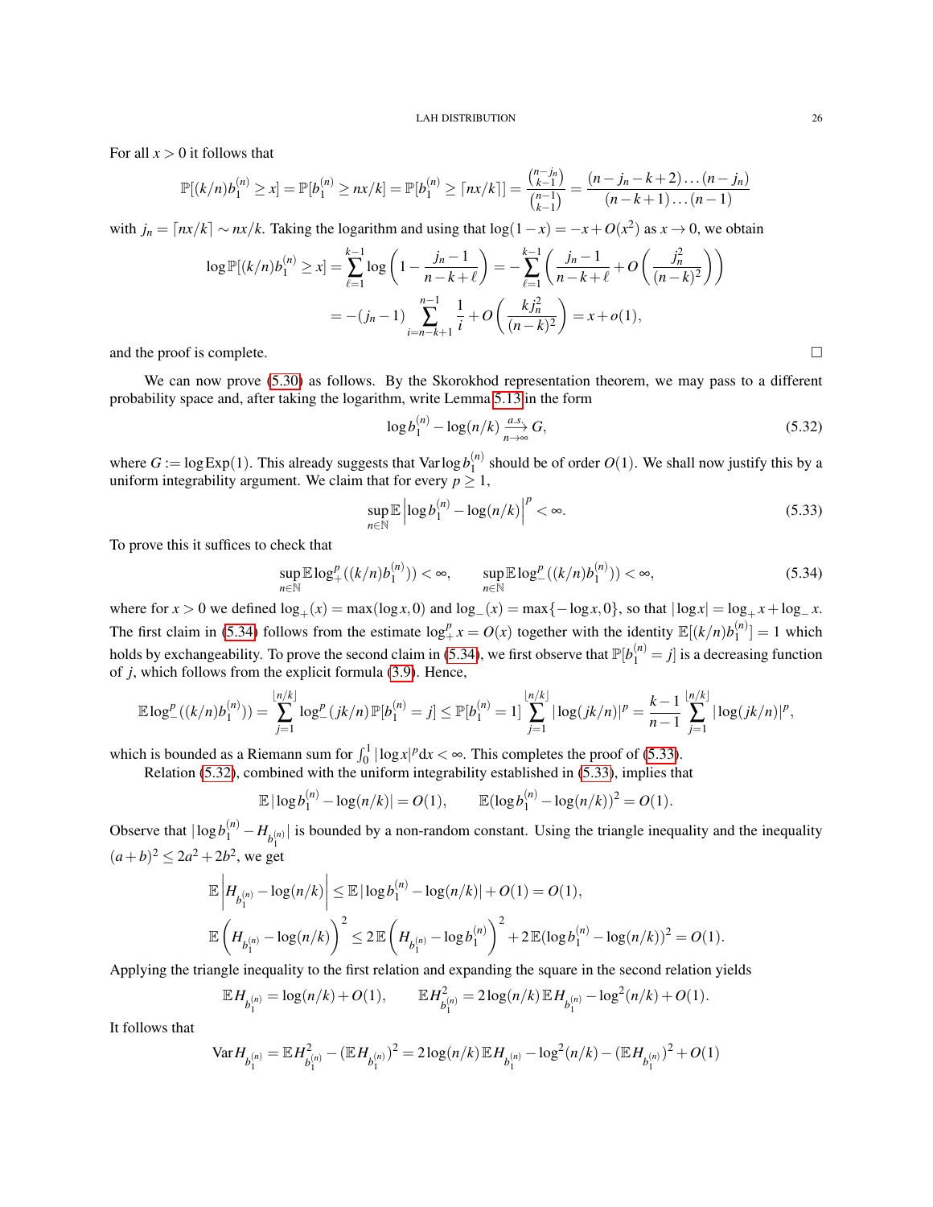For all  $x > 0$  it follows that

$$
\mathbb{P}[(k/n)b_1^{(n)} \ge x] = \mathbb{P}[b_1^{(n)} \ge nx/k] = \mathbb{P}[b_1^{(n)} \ge \lceil nx/k \rceil] = \frac{\binom{n-j_n}{k-1}}{\binom{n-1}{k-1}} = \frac{(n-j_n-k+2)\dots(n-j_n)}{(n-k+1)\dots(n-1)}
$$

with  $j_n = \lceil nx/k \rceil \sim nx/k$ . Taking the logarithm and using that  $\log(1-x) = -x + O(x^2)$  as  $x \to 0$ , we obtain

$$
\log \mathbb{P}[(k/n)b_1^{(n)} \ge x] = \sum_{\ell=1}^{k-1} \log \left(1 - \frac{j_n - 1}{n - k + \ell}\right) = -\sum_{\ell=1}^{k-1} \left(\frac{j_n - 1}{n - k + \ell} + O\left(\frac{j_n^2}{(n - k)^2}\right)\right)
$$
  
= -(j\_n - 1)  $\sum_{i=n-k+1}^{n-1} \frac{1}{i} + O\left(\frac{kj_n^2}{(n - k)^2}\right) = x + o(1),$ 

and the proof is complete.

We can now prove [\(5.30\)](#page-24-4) as follows. By the Skorokhod representation theorem, we may pass to a different probability space and, after taking the logarithm, write Lemma [5.13](#page-24-5) in the form

<span id="page-25-2"></span>
$$
\log b_1^{(n)} - \log(n/k) \xrightarrow[n \to \infty]{a.s.} G,\tag{5.32}
$$

where  $G := \log \text{Exp}(1)$ . This already suggests that  $\text{Var} \log b_1^{(n)}$  $\binom{n}{1}$  should be of order  $O(1)$ . We shall now justify this by a uniform integrability argument. We claim that for every  $p \geq 1$ ,

<span id="page-25-1"></span>
$$
\sup_{n \in \mathbb{N}} \mathbb{E} \left| \log b_1^{(n)} - \log(n/k) \right|^p < \infty. \tag{5.33}
$$

To prove this it suffices to check that

<span id="page-25-0"></span>
$$
\sup_{n \in \mathbb{N}} \mathbb{E} \log_{+}^{p}((k/n)b_{1}^{(n)})) < \infty, \qquad \sup_{n \in \mathbb{N}} \mathbb{E} \log_{-}^{p}((k/n)b_{1}^{(n)})) < \infty,\tag{5.34}
$$

where for  $x > 0$  we defined  $\log_+(x) = \max(\log x, 0)$  and  $\log_-(x) = \max\{-\log x, 0\}$ , so that  $|\log x| = \log_+ x + \log_+ x$ . The first claim in [\(5.34\)](#page-25-0) follows from the estimate  $\log_{+}^{p} x = O(x)$  together with the identity  $\mathbb{E}[(k/n)b_1^{(n)}]$  $\binom{n}{1} = 1$  which holds by exchangeability. To prove the second claim in [\(5.34\)](#page-25-0), we first observe that  $\mathbb{P}[b_1^{(n)}=j]$  is a decreasing function of *j*, which follows from the explicit formula [\(3.9\)](#page-8-1). Hence,

$$
\mathbb{E}\log_{-}^p((k/n)b_1^{(n)})) = \sum_{j=1}^{\lfloor n/k\rfloor} \log_{-}^p(jk/n)\mathbb{P}[b_1^{(n)}=j] \leq \mathbb{P}[b_1^{(n)}=1] \sum_{j=1}^{\lfloor n/k\rfloor} |\log(jk/n)|^p = \frac{k-1}{n-1} \sum_{j=1}^{\lfloor n/k\rfloor} |\log(jk/n)|^p,
$$

which is bounded as a Riemann sum for  $\int_0^1 |\log x|^p dx < \infty$ . This completes the proof of [\(5.33\)](#page-25-1).

Relation [\(5.32\)](#page-25-2), combined with the uniform integrability established in [\(5.33\)](#page-25-1), implies that

$$
\mathbb{E} |\log b_1^{(n)} - \log(n/k)| = O(1), \qquad \mathbb{E} (\log b_1^{(n)} - \log(n/k))^2 = O(1).
$$

Observe that  $|\log b_1^{(n)} - H_{b_1^{(n)}}|$  is bounded by a non-random constant. Using the triangle inequality and the inequality  $(a+b)^2 \leq 2a^2 + 2b^2$ , we get

$$
\label{eq:4.1} \begin{split} &\mathbb{E}\left|H_{b_1^{(n)}}-\log(n/k)\right|\leq \mathbb{E}\left|\log b_1^{(n)}-\log(n/k)\right|+O(1)=O(1),\\ &\mathbb{E}\left(H_{b_1^{(n)}}-\log(n/k)\right)^2\leq 2\mathbb{E}\left(H_{b_1^{(n)}}-\log b_1^{(n)}\right)^2+2\mathbb{E}(\log b_1^{(n)}-\log(n/k))^2=O(1). \end{split}
$$

Applying the triangle inequality to the first relation and expanding the square in the second relation yields

$$
\mathbb{E} H_{b_1^{(n)}} = \log(n/k) + O(1), \qquad \mathbb{E} H_{b_1^{(n)}}^2 = 2\log(n/k) \mathbb{E} H_{b_1^{(n)}} - \log^2(n/k) + O(1).
$$

It follows that

$$
\text{Var} H_{b_1^{(n)}} = \mathbb{E} H_{b_1^{(n)}}^2 - (\mathbb{E} H_{b_1^{(n)}})^2 = 2 \log(n/k) \mathbb{E} H_{b_1^{(n)}} - \log^2(n/k) - (\mathbb{E} H_{b_1^{(n)}})^2 + O(1)
$$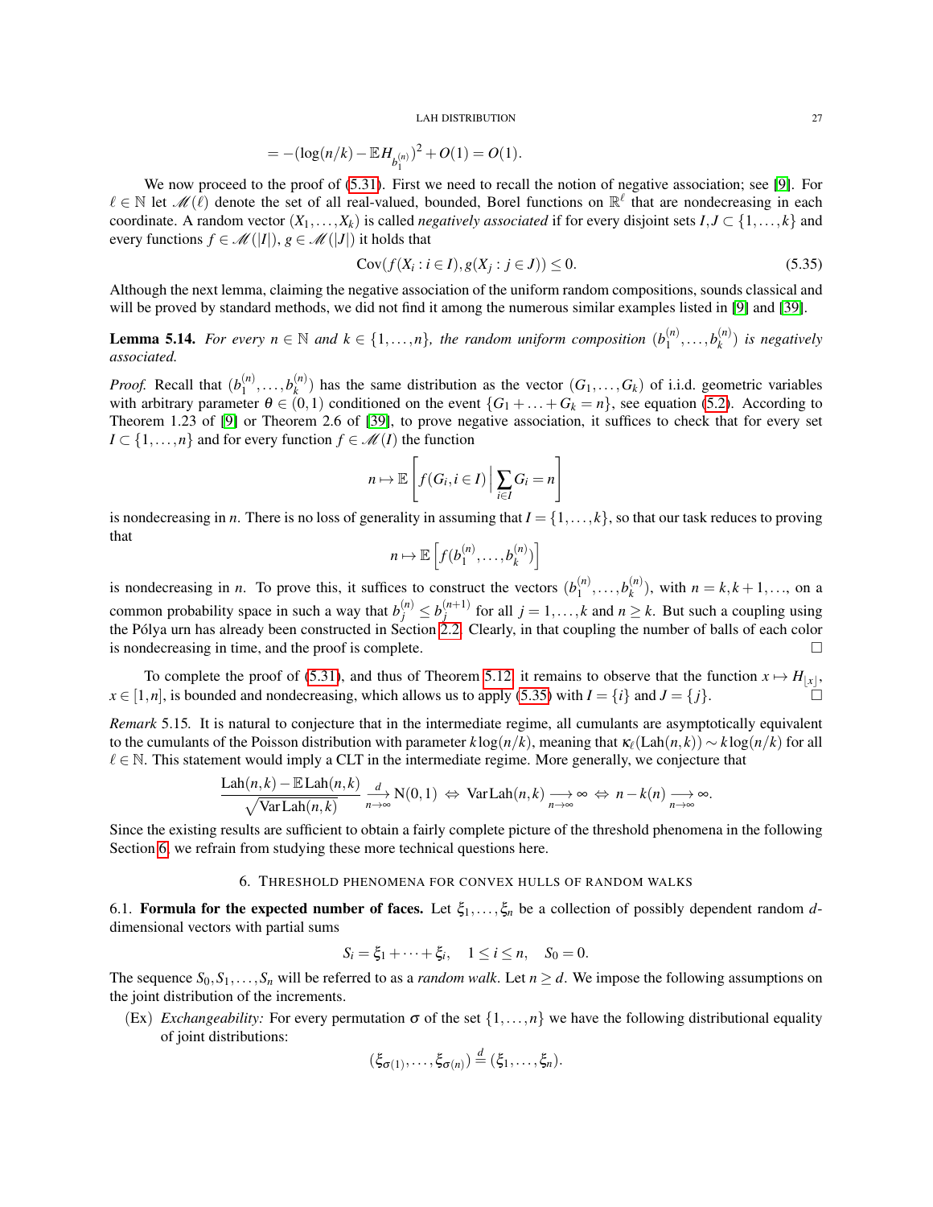$$
=-(\log(n/k)-\mathbb{E} H_{b_1^{(n)}})^2+O(1)=O(1).
$$

We now proceed to the proof of  $(5.31)$ . First we need to recall the notion of negative association; see [\[9\]](#page-36-11). For  $\ell \in \mathbb{N}$  let  $\mathcal{M}(\ell)$  denote the set of all real-valued, bounded, Borel functions on  $\mathbb{R}^{\ell}$  that are nondecreasing in each coordinate. A random vector  $(X_1, \ldots, X_k)$  is called *negatively associated* if for every disjoint sets  $I, J \subset \{1, \ldots, k\}$  and every functions  $f \in \mathcal{M}(|I|), g \in \mathcal{M}(|J|)$  it holds that

<span id="page-26-2"></span>
$$
\operatorname{Cov}(f(X_i : i \in I), g(X_j : j \in J)) \le 0. \tag{5.35}
$$

Although the next lemma, claiming the negative association of the uniform random compositions, sounds classical and will be proved by standard methods, we did not find it among the numerous similar examples listed in [\[9\]](#page-36-11) and [\[39\]](#page-38-22).

**Lemma 5.14.** *For every*  $n \in \mathbb{N}$  *and*  $k \in \{1, ..., n\}$ *, the random uniform composition*  $(b_1^{(n)})$  $b_1^{(n)}, \ldots, b_k^{(n)}$ *k* ) *is negatively associated.*

*Proof.* Recall that  $(b_1^{(n)})$  $b_1^{(n)}, \ldots, b_k^{(n)}$  $\binom{n}{k}$  has the same distribution as the vector  $(G_1, \ldots, G_k)$  of i.i.d. geometric variables with arbitrary parameter  $\theta \in (0,1)$  conditioned on the event  $\{G_1 + \ldots + G_k = n\}$ , see equation [\(5.2\)](#page-17-2). According to Theorem 1.23 of [\[9\]](#page-36-11) or Theorem 2.6 of [\[39\]](#page-38-22), to prove negative association, it suffices to check that for every set  $I \subset \{1, \ldots, n\}$  and for every function  $f \in \mathcal{M}(I)$  the function

$$
n \mapsto \mathbb{E}\left[f(G_i, i \in I) \mid \sum_{i \in I} G_i = n\right]
$$

is nondecreasing in *n*. There is no loss of generality in assuming that  $I = \{1, \ldots, k\}$ , so that our task reduces to proving that

$$
n \mapsto \mathbb{E}\left[f(b_1^{(n)}, \ldots, b_k^{(n)})\right]
$$

is nondecreasing in *n*. To prove this, it suffices to construct the vectors  $(b_1^{(n)})$  $b_1^{(n)}, \ldots, b_k^{(n)}$  $k^{(n)}_k$ , with  $n = k, k + 1, \ldots$ , on a common probability space in such a way that  $b_j^{(n)} \leq b_j^{(n+1)}$ *j*<sup>*n*+1)</sup> for all *j* = 1,...,*k* and *n*  $\geq$  *k*. But such a coupling using the Pólya urn has already been constructed in Section [2.2.](#page-6-0) Clearly, in that coupling the number of balls of each color is nondecreasing in time, and the proof is complete.

To complete the proof of [\(5.31\)](#page-24-6), and thus of Theorem [5.12,](#page-24-7) it remains to observe that the function  $x \mapsto H_{|x|}$ ,  $x \in [1, n]$ , is bounded and nondecreasing, which allows us to apply [\(5.35\)](#page-26-2) with  $I = \{i\}$  and  $J = \{j\}$ .

<span id="page-26-3"></span>*Remark* 5.15*.* It is natural to conjecture that in the intermediate regime, all cumulants are asymptotically equivalent to the cumulants of the Poisson distribution with parameter  $k \log(n/k)$ , meaning that  $\kappa_{\ell}(\text{Lah}(n,k)) \sim k \log(n/k)$  for all  $\ell \in \mathbb{N}$ . This statement would imply a CLT in the intermediate regime. More generally, we conjecture that

$$
\frac{\text{Lah}(n,k) - \mathbb{E} \text{Lah}(n,k)}{\sqrt{\text{Var} \text{Lah}(n,k)}} \xrightarrow[n \to \infty]{d} \text{N}(0,1) \Leftrightarrow \text{Var} \text{Lah}(n,k) \xrightarrow[n \to \infty]{n \to \infty} \Leftrightarrow n - k(n) \xrightarrow[n \to \infty]{n \to \infty}.
$$

Since the existing results are sufficient to obtain a fairly complete picture of the threshold phenomena in the following Section [6,](#page-26-0) we refrain from studying these more technical questions here.

## 6. THRESHOLD PHENOMENA FOR CONVEX HULLS OF RANDOM WALKS

<span id="page-26-1"></span><span id="page-26-0"></span>6.1. **Formula for the expected number of faces.** Let  $\xi_1,\ldots,\xi_n$  be a collection of possibly dependent random *d*dimensional vectors with partial sums

$$
S_i = \xi_1 + \cdots + \xi_i, \quad 1 \le i \le n, \quad S_0 = 0.
$$

The sequence  $S_0, S_1, \ldots, S_n$  will be referred to as a *random walk*. Let  $n \ge d$ . We impose the following assumptions on the joint distribution of the increments.

(Ex) *Exchangeability:* For every permutation  $\sigma$  of the set  $\{1,\ldots,n\}$  we have the following distributional equality of joint distributions:

$$
(\xi_{\sigma(1)},\ldots,\xi_{\sigma(n)})\stackrel{d}{=}(\xi_1,\ldots,\xi_n).
$$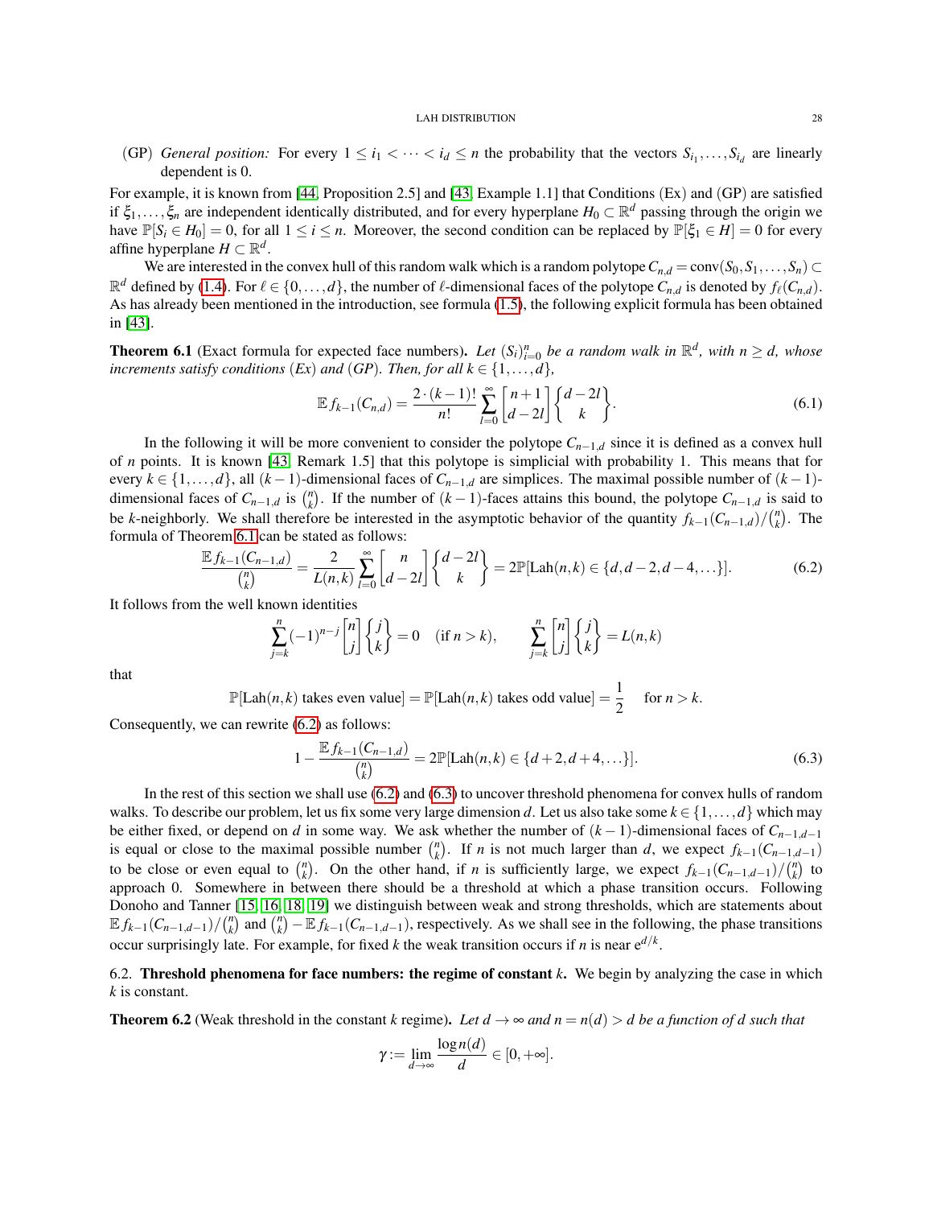(GP) *General position:* For every  $1 \le i_1 < \cdots < i_d \le n$  the probability that the vectors  $S_{i_1}, \ldots, S_{i_d}$  are linearly dependent is 0.

For example, it is known from [\[44,](#page-38-2) Proposition 2.5] and [\[43,](#page-38-1) Example 1.1] that Conditions (Ex) and (GP) are satisfied if  $\xi_1,\ldots,\xi_n$  are independent identically distributed, and for every hyperplane  $H_0 \subset \mathbb{R}^d$  passing through the origin we have  $\mathbb{P}[S_i \in H_0] = 0$ , for all  $1 \le i \le n$ . Moreover, the second condition can be replaced by  $\mathbb{P}[\xi_1 \in H] = 0$  for every affine hyperplane  $H \subset \mathbb{R}^d$ .

We are interested in the convex hull of this random walk which is a random polytope  $C_{n,d} = \text{conv}(S_0, S_1, \ldots, S_n)$  $\mathbb{R}^d$  defined by [\(1.4\)](#page-2-3). For  $\ell \in \{0,\ldots,d\}$ , the number of  $\ell$ -dimensional faces of the polytope  $C_{n,d}$  is denoted by  $f_{\ell}(C_{n,d})$ . As has already been mentioned in the introduction, see formula [\(1.5\)](#page-2-4), the following explicit formula has been obtained in [\[43\]](#page-38-1).

<span id="page-27-1"></span>**Theorem 6.1** (Exact formula for expected face numbers). Let  $(S_i)_{i=0}^n$  be a random walk in  $\mathbb{R}^d$ , with  $n \ge d$ , whose *increments satisfy conditions*  $(EX)$  *and*  $(GP)$ *. Then, for all*  $k \in \{1, \ldots, d\}$ *,* 

$$
\mathbb{E} f_{k-1}(C_{n,d}) = \frac{2 \cdot (k-1)!}{n!} \sum_{l=0}^{\infty} \begin{bmatrix} n+1 \\ d-2l \end{bmatrix} \begin{Bmatrix} d-2l \\ k \end{Bmatrix}.
$$
 (6.1)

In the following it will be more convenient to consider the polytope  $C_{n-1,d}$  since it is defined as a convex hull of *n* points. It is known [\[43,](#page-38-1) Remark 1.5] that this polytope is simplicial with probability 1. This means that for every  $k \in \{1, \ldots, d\}$ , all  $(k-1)$ -dimensional faces of  $C_{n-1,d}$  are simplices. The maximal possible number of  $(k-1)$ dimensional faces of  $C_{n-1,d}$  is  $\binom{n}{k}$ . If the number of  $(k-1)$ -faces attains this bound, the polytope  $C_{n-1,d}$  is said to be *k*-neighborly. We shall therefore be interested in the asymptotic behavior of the quantity  $f_{k-1}(C_{n-1,d})/(n)$ . The formula of Theorem [6.1](#page-27-1) can be stated as follows:

<span id="page-27-2"></span>
$$
\frac{\mathbb{E} f_{k-1}(C_{n-1,d})}{\binom{n}{k}} = \frac{2}{L(n,k)} \sum_{l=0}^{\infty} \binom{n}{d-2l} \binom{d-2l}{k} = 2\mathbb{P}[\text{Lah}(n,k) \in \{d, d-2, d-4, \ldots\}].\tag{6.2}
$$

It follows from the well known identities

$$
\sum_{j=k}^{n} (-1)^{n-j} \begin{bmatrix} n \\ j \end{bmatrix} \begin{Bmatrix} j \\ k \end{Bmatrix} = 0 \quad (\text{if } n > k), \qquad \sum_{j=k}^{n} \begin{bmatrix} n \\ j \end{bmatrix} \begin{Bmatrix} j \\ k \end{Bmatrix} = L(n,k)
$$

that

 $\mathbb{P}[\text{Lah}(n,k) \text{ takes even value}] = \mathbb{P}[\text{Lah}(n,k) \text{ takes odd value}] = \frac{1}{2}$  for  $n > k$ .

Consequently, we can rewrite [\(6.2\)](#page-27-2) as follows:

<span id="page-27-3"></span>
$$
1 - \frac{\mathbb{E} f_{k-1}(C_{n-1,d})}{\binom{n}{k}} = 2\mathbb{P}[\text{Lah}(n,k) \in \{d+2, d+4, \ldots\}].\tag{6.3}
$$

In the rest of this section we shall use [\(6.2\)](#page-27-2) and [\(6.3\)](#page-27-3) to uncover threshold phenomena for convex hulls of random walks. To describe our problem, let us fix some very large dimension *d*. Let us also take some  $k \in \{1, ..., d\}$  which may be either fixed, or depend on *d* in some way. We ask whether the number of  $(k-1)$ -dimensional faces of  $C_{n-1,d-1}$ is equal or close to the maximal possible number  $\binom{n}{k}$ . If *n* is not much larger than *d*, we expect  $f_{k-1}(C_{n-1,d-1})$ to be close or even equal to  $\binom{n}{k}$ . On the other hand, if *n* is sufficiently large, we expect  $f_{k-1}(C_{n-1,d-1})/\binom{n}{k}$  to approach 0. Somewhere in between there should be a threshold at which a phase transition occurs. Following Donoho and Tanner [\[15,](#page-37-1) [16,](#page-37-2) [18,](#page-37-3) [19\]](#page-37-4) we distinguish between weak and strong thresholds, which are statements about  $\mathbb{E} f_{k-1}(C_{n-1,d-1})/\binom{n}{k}$  and  $\binom{n}{k} - \mathbb{E} f_{k-1}(C_{n-1,d-1})$ , respectively. As we shall see in the following, the phase transitions occur surprisingly late. For example, for fixed *k* the weak transition occurs if *n* is near  $e^{d/k}$ .

<span id="page-27-0"></span>6.2. Threshold phenomena for face numbers: the regime of constant *k*. We begin by analyzing the case in which *k* is constant.

<span id="page-27-4"></span>**Theorem 6.2** (Weak threshold in the constant *k* regime). Let  $d \to \infty$  and  $n = n(d) > d$  be a function of d such that

$$
\gamma := \lim_{d \to \infty} \frac{\log n(d)}{d} \in [0, +\infty].
$$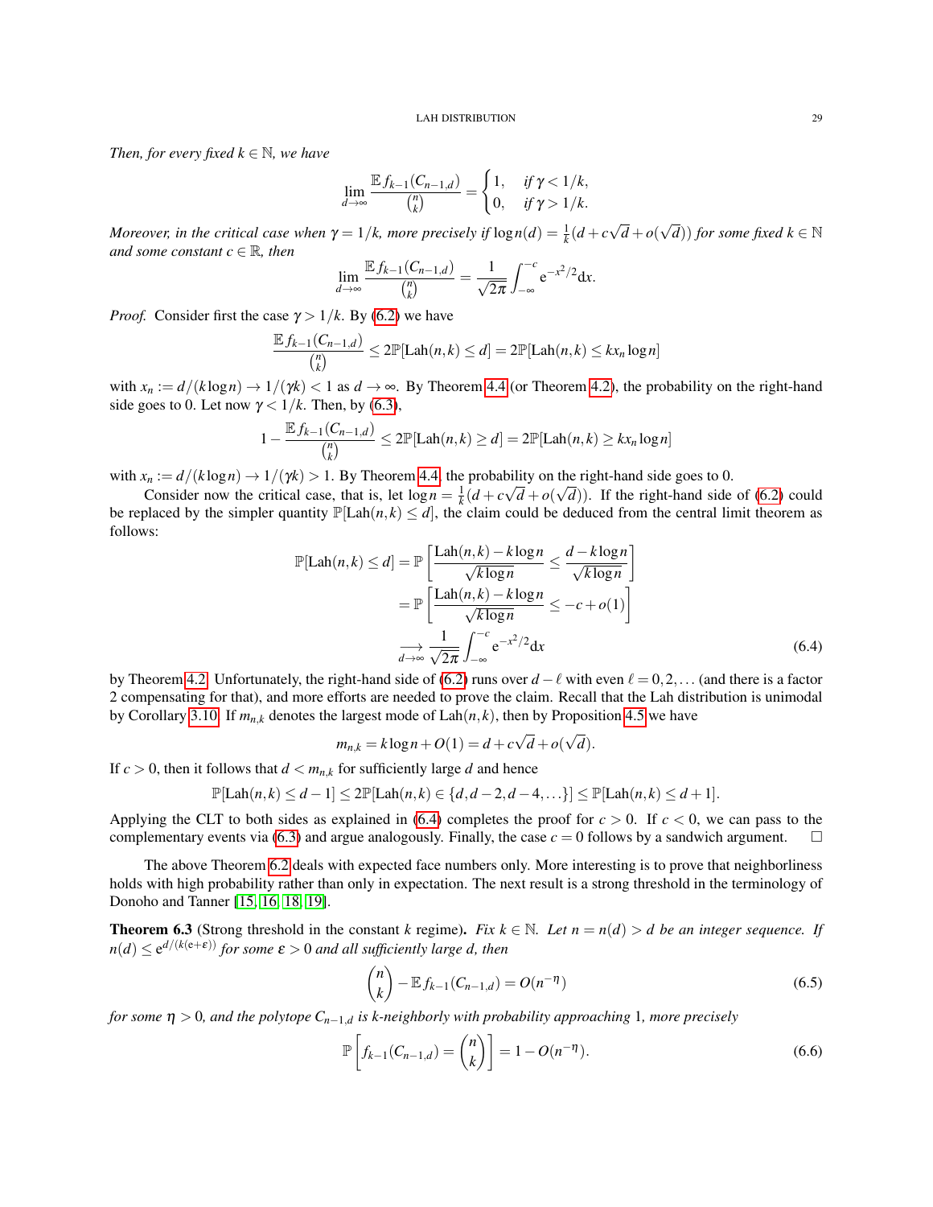*Then, for every fixed*  $k \in \mathbb{N}$ *, we have* 

$$
\lim_{d \to \infty} \frac{\mathbb{E} f_{k-1}(C_{n-1,d})}{\binom{n}{k}} = \begin{cases} 1, & \text{if } \gamma < 1/k, \\ 0, & \text{if } \gamma > 1/k. \end{cases}
$$

*Moreover, in the critical case when*  $\gamma = 1/k$ *, more precisely if*  $\log n(d) = \frac{1}{k}(d+c)$ √ *d* +*o*(  $(\sqrt{d}))$  *for some fixed*  $k \in \mathbb{N}$ *and some constant*  $c \in \mathbb{R}$ *, then* 

$$
\lim_{d\to\infty}\frac{\mathbb{E} f_{k-1}(C_{n-1,d})}{\binom{n}{k}}=\frac{1}{\sqrt{2\pi}}\int_{-\infty}^{-c}e^{-x^2/2}dx.
$$

*Proof.* Consider first the case  $\gamma > 1/k$ . By [\(6.2\)](#page-27-2) we have

$$
\frac{\mathbb{E} f_{k-1}(C_{n-1,d})}{\binom{n}{k}} \le 2\mathbb{P}[\text{Lah}(n,k) \le d] = 2\mathbb{P}[\text{Lah}(n,k) \le kx_n \log n]
$$

with  $x_n := d/(k \log n) \rightarrow 1/(\gamma k) < 1$  as  $d \rightarrow \infty$ . By Theorem [4.4](#page-14-2) (or Theorem [4.2\)](#page-13-3), the probability on the right-hand side goes to 0. Let now  $\gamma < 1/k$ . Then, by [\(6.3\)](#page-27-3),

$$
1 - \frac{\mathbb{E} f_{k-1}(C_{n-1,d})}{\binom{n}{k}} \le 2\mathbb{P}[\text{Lah}(n,k) \ge d] = 2\mathbb{P}[\text{Lah}(n,k) \ge kx_n \log n]
$$

with  $x_n := d/(k \log n) \to 1/(\gamma k) > 1$ . By Theorem [4.4,](#page-14-2) the probability on the right-hand side goes to 0.

Consider now the critical case, that is, let  $\log n = \frac{1}{k}(d + c\sqrt{d} + o(\sqrt{d}))$ . If the right-hand side of [\(6.2\)](#page-27-2) could be replaced by the simpler quantity  $\mathbb{P}[\text{Lah}(n,k) \leq d]$ , the claim could be deduced from the central limit theorem as follows:

$$
\mathbb{P}[\text{Lah}(n,k) \le d] = \mathbb{P}\left[\frac{\text{Lah}(n,k) - k\log n}{\sqrt{k\log n}} \le \frac{d - k\log n}{\sqrt{k\log n}}\right]
$$

$$
= \mathbb{P}\left[\frac{\text{Lah}(n,k) - k\log n}{\sqrt{k\log n}} \le -c + o(1)\right]
$$

$$
\xrightarrow[d \to \infty]{} \frac{1}{\sqrt{2\pi}} \int_{-\infty}^{-c} e^{-x^2/2} dx \tag{6.4}
$$

by Theorem [4.2.](#page-13-3) Unfortunately, the right-hand side of [\(6.2\)](#page-27-2) runs over  $d - \ell$  with even  $\ell = 0,2,...$  (and there is a factor 2 compensating for that), and more efforts are needed to prove the claim. Recall that the Lah distribution is unimodal by Corollary [3.10.](#page-12-5) If  $m_{n,k}$  denotes the largest mode of  $\text{Lah}(n,k)$ , then by Proposition [4.5](#page-14-3) we have

<span id="page-28-0"></span>
$$
m_{n,k} = k \log n + O(1) = d + c\sqrt{d} + o(\sqrt{d}).
$$

If  $c > 0$ , then it follows that  $d < m_{n,k}$  for sufficiently large *d* and hence

$$
\mathbb{P}[\text{Lah}(n,k)\leq d-1]\leq 2\mathbb{P}[\text{Lah}(n,k)\in\{d,d-2,d-4,\ldots\}]\leq \mathbb{P}[\text{Lah}(n,k)\leq d+1].
$$

Applying the CLT to both sides as explained in [\(6.4\)](#page-28-0) completes the proof for  $c > 0$ . If  $c < 0$ , we can pass to the complementary events via [\(6.3\)](#page-27-3) and argue analogously. Finally, the case  $c = 0$  follows by a sandwich argument.  $\square$ 

The above Theorem [6.2](#page-27-4) deals with expected face numbers only. More interesting is to prove that neighborliness holds with high probability rather than only in expectation. The next result is a strong threshold in the terminology of Donoho and Tanner [\[15,](#page-37-1) [16,](#page-37-2) [18,](#page-37-3) [19\]](#page-37-4).

**Theorem 6.3** (Strong threshold in the constant *k* regime). *Fix*  $k \in \mathbb{N}$ . Let  $n = n(d) > d$  be an integer sequence. If  $n(d) \le e^{d/(k(e+\varepsilon))}$  *for some*  $\varepsilon > 0$  *and all sufficiently large d, then* 

<span id="page-28-1"></span>
$$
\binom{n}{k} - \mathbb{E} f_{k-1}(C_{n-1,d}) = O(n^{-\eta})
$$
\n(6.5)

*for some* η > 0*, and the polytope Cn*−1,*<sup>d</sup> is k-neighborly with probability approaching* 1*, more precisely*

<span id="page-28-2"></span>
$$
\mathbb{P}\left[f_{k-1}(C_{n-1,d}) = \binom{n}{k}\right] = 1 - O(n^{-\eta}).\tag{6.6}
$$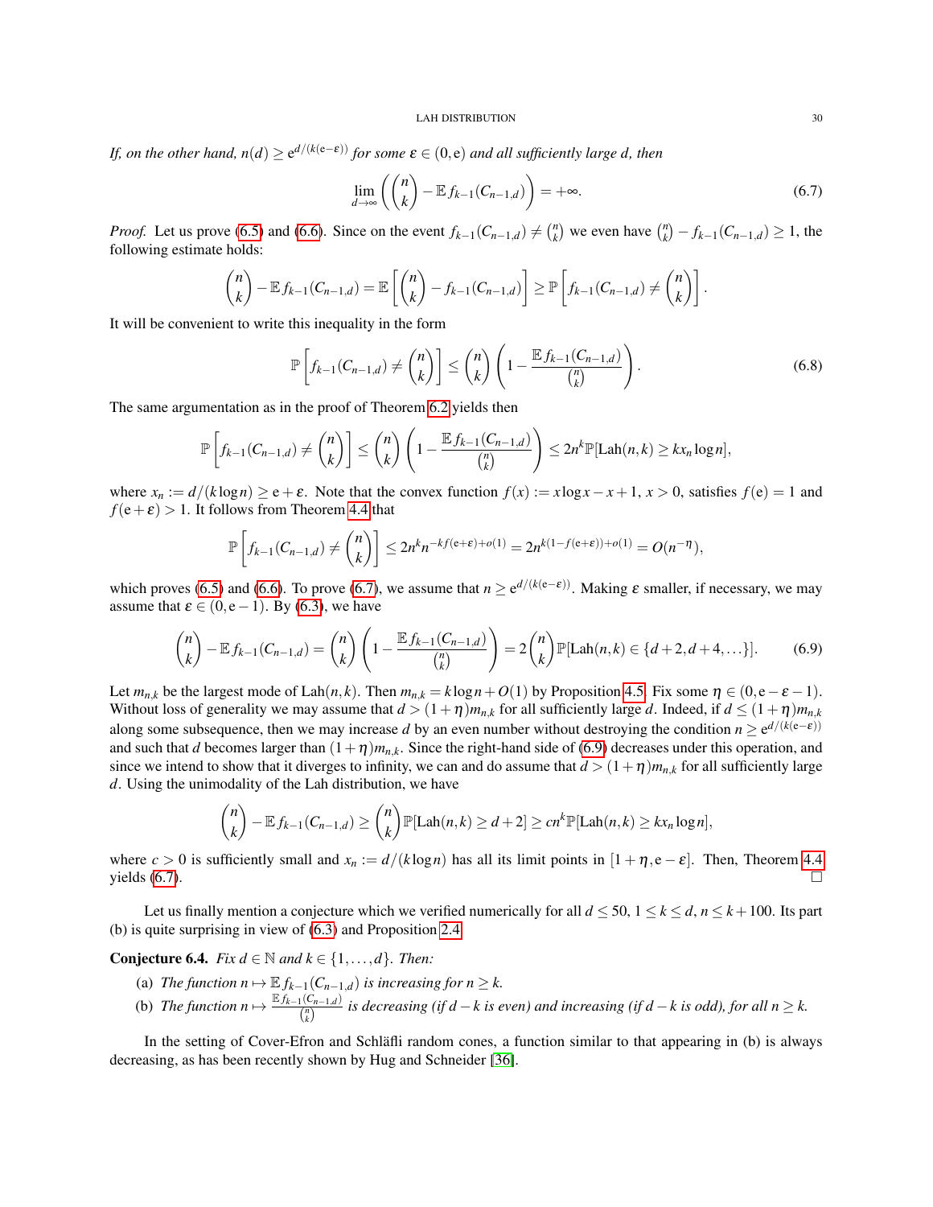*If, on the other hand, n*(*d*)  $\geq e^{d/(k(e-\varepsilon))}$  *for some*  $\varepsilon \in (0,e)$  *and all sufficiently large d, then* 

<span id="page-29-0"></span>
$$
\lim_{d \to \infty} \left( \binom{n}{k} - \mathbb{E} f_{k-1}(C_{n-1,d}) \right) = +\infty. \tag{6.7}
$$

*Proof.* Let us prove [\(6.5\)](#page-28-1) and [\(6.6\)](#page-28-2). Since on the event  $f_{k-1}(C_{n-1,d}) \neq {n \choose k}$  we even have  ${n \choose k} - f_{k-1}(C_{n-1,d}) \geq 1$ , the following estimate holds:

$$
\binom{n}{k} - \mathbb{E} f_{k-1}(C_{n-1,d}) = \mathbb{E} \left[ \binom{n}{k} - f_{k-1}(C_{n-1,d}) \right] \geq \mathbb{P} \left[ f_{k-1}(C_{n-1,d}) \neq \binom{n}{k} \right].
$$

It will be convenient to write this inequality in the form

<span id="page-29-2"></span>
$$
\mathbb{P}\left[f_{k-1}(C_{n-1,d})\neq \binom{n}{k}\right] \leq \binom{n}{k}\left(1-\frac{\mathbb{E}f_{k-1}(C_{n-1,d})}{\binom{n}{k}}\right). \tag{6.8}
$$

The same argumentation as in the proof of Theorem [6.2](#page-27-4) yields then

$$
\mathbb{P}\left[f_{k-1}(C_{n-1,d})\neq {n \choose k}\right] \leq {n \choose k}\left(1-\frac{\mathbb{E} f_{k-1}(C_{n-1,d})}{{n \choose k}}\right) \leq 2n^k \mathbb{P}[\text{Lah}(n,k) \geq kx_n \log n],
$$

where  $x_n := d/(k \log n) \ge e + \varepsilon$ . Note that the convex function  $f(x) := x \log x - x + 1$ ,  $x > 0$ , satisfies  $f(e) = 1$  and  $f(e+\varepsilon) > 1$ . It follows from Theorem [4.4](#page-14-2) that

$$
\mathbb{P}\left[f_{k-1}(C_{n-1,d}) \neq {n \choose k}\right] \leq 2n^k n^{-k} f^{(\mathbf{e}+\mathbf{\varepsilon})+o(1)} = 2n^{k(1-f(\mathbf{e}+\mathbf{\varepsilon}))+o(1)} = O(n^{-\eta}),
$$

which proves [\(6.5\)](#page-28-1) and [\(6.6\)](#page-28-2). To prove [\(6.7\)](#page-29-0), we assume that  $n \ge e^{d/(k(e-\varepsilon))}$ . Making  $\varepsilon$  smaller, if necessary, we may assume that  $\varepsilon \in (0, e-1)$ . By [\(6.3\)](#page-27-3), we have

<span id="page-29-1"></span>
$$
\binom{n}{k} - \mathbb{E} f_{k-1}(C_{n-1,d}) = \binom{n}{k} \left( 1 - \frac{\mathbb{E} f_{k-1}(C_{n-1,d})}{\binom{n}{k}} \right) = 2 \binom{n}{k} \mathbb{P} [\text{Lah}(n,k) \in \{d+2, d+4, \ldots\}]. \tag{6.9}
$$

Let  $m_{n,k}$  be the largest mode of Lah $(n,k)$ . Then  $m_{n,k} = k \log n + O(1)$  by Proposition [4.5.](#page-14-3) Fix some  $\eta \in (0, e - \varepsilon - 1)$ . Without loss of generality we may assume that  $d > (1+\eta)m_{nk}$  for all sufficiently large *d*. Indeed, if  $d \leq (1+\eta)m_{nk}$ along some subsequence, then we may increase *d* by an even number without destroying the condition  $n \ge e^{d/(k(e-\epsilon))}$ and such that *d* becomes larger than  $(1+\eta)m_{n,k}$ . Since the right-hand side of [\(6.9\)](#page-29-1) decreases under this operation, and since we intend to show that it diverges to infinity, we can and do assume that  $d > (1 + \eta)m_{n,k}$  for all sufficiently large *d*. Using the unimodality of the Lah distribution, we have

$$
\binom{n}{k} - \mathbb{E} f_{k-1}(C_{n-1,d}) \ge \binom{n}{k} \mathbb{P}[\text{Lah}(n,k) \ge d+2] \ge cn^k \mathbb{P}[\text{Lah}(n,k) \ge kx_n \log n],
$$

where  $c > 0$  is sufficiently small and  $x_n := d/(k \log n)$  has all its limit points in  $[1 + \eta, e - \varepsilon]$ . Then, Theorem [4.4](#page-14-2) yields  $(6.7)$ .

Let us finally mention a conjecture which we verified numerically for all  $d \le 50$ ,  $1 \le k \le d$ ,  $n \le k+100$ . Its part (b) is quite surprising in view of [\(6.3\)](#page-27-3) and Proposition [2.4.](#page-6-7)

**Conjecture 6.4.** *Fix*  $d \in \mathbb{N}$  *and*  $k \in \{1, \ldots, d\}$ *. Then:* 

- (a) *The function*  $n \mapsto \mathbb{E} f_{k-1}(C_{n-1,d})$  *is increasing for*  $n \geq k$ .
- (b) *The function*  $n \mapsto \frac{\mathbb{E} f_{k-1}(C_{n-1,d})}{\binom{n}{k}}$ *i*( $\frac{n(n-1,d)}{n}$  is decreasing (if d − k is even) and increasing (if d − k is odd), for all n ≥ k.

In the setting of Cover-Efron and Schläfli random cones, a function similar to that appearing in (b) is always decreasing, as has been recently shown by Hug and Schneider [\[36\]](#page-37-11).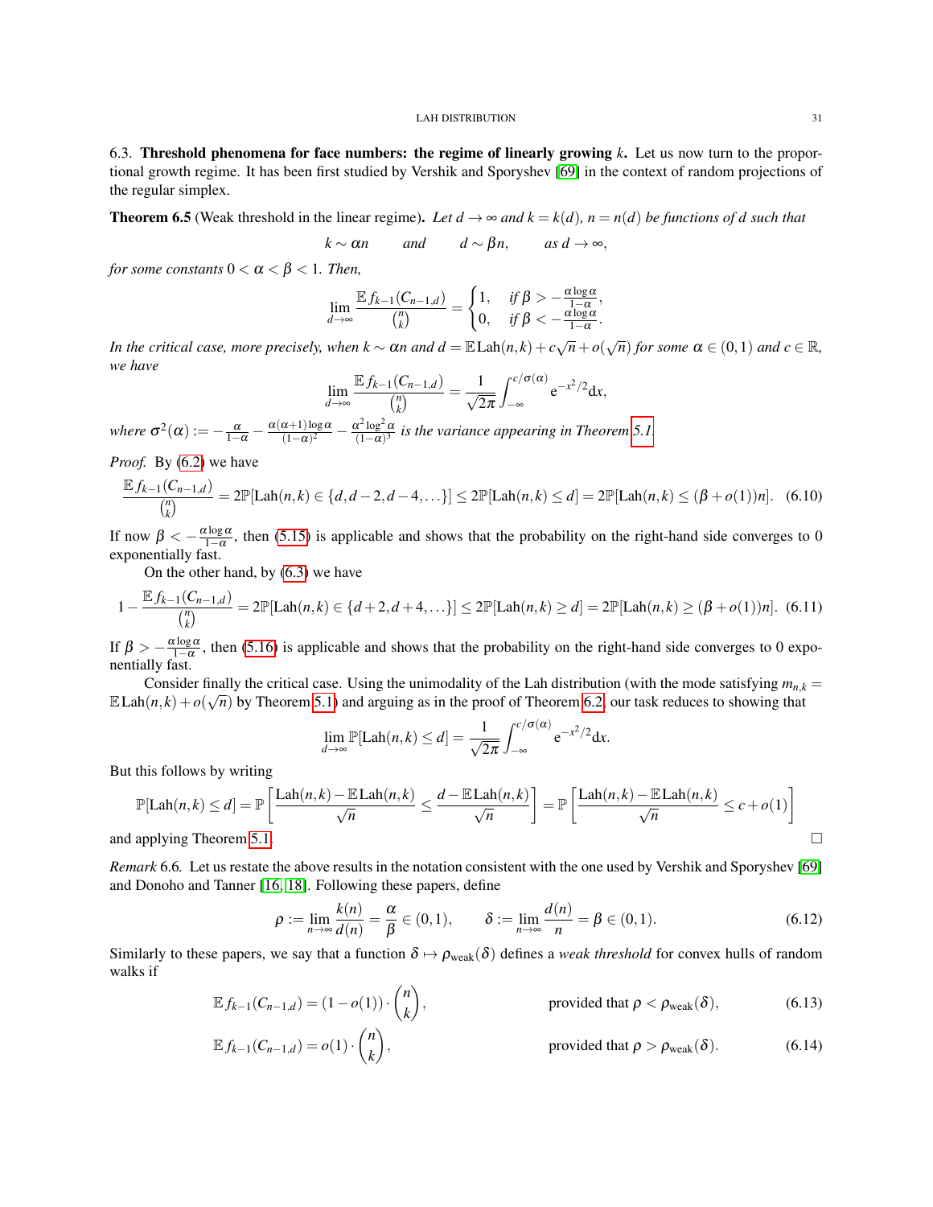<span id="page-30-0"></span>6.3. Threshold phenomena for face numbers: the regime of linearly growing *k*. Let us now turn to the proportional growth regime. It has been first studied by Vershik and Sporyshev [\[69\]](#page-39-1) in the context of random projections of the regular simplex.

<span id="page-30-2"></span>**Theorem 6.5** (Weak threshold in the linear regime). Let  $d \to \infty$  and  $k = k(d)$ ,  $n = n(d)$  be functions of d such that

$$
k \sim \alpha n
$$
 and  $d \sim \beta n$ , as  $d \to \infty$ ,

*for some constants*  $0 < \alpha < \beta < 1$ *. Then,* 

$$
\lim_{d \to \infty} \frac{\mathbb{E} f_{k-1}(C_{n-1,d})}{\binom{n}{k}} = \begin{cases} 1, & \text{if } \beta > -\frac{\alpha \log \alpha}{1 - \alpha}, \\ 0, & \text{if } \beta < -\frac{\alpha \log \alpha}{1 - \alpha}. \end{cases}
$$

*In the critical case, more precisely, when*  $k \sim \alpha n$  *and*  $d = \mathbb{E} \text{Lah}(n,k) + c\sqrt{n} + o(\sqrt{n})$  *for some*  $\alpha \in (0,1)$  *and*  $c \in \mathbb{R}$ *, we have*

$$
\lim_{d\to\infty}\frac{\mathbb{E} f_{k-1}(C_{n-1,d})}{\binom{n}{k}}=\frac{1}{\sqrt{2\pi}}\int_{-\infty}^{c/\sigma(\alpha)}e^{-x^2/2}dx,
$$

*where*  $\sigma^2(\alpha) := -\frac{\alpha}{1-\alpha} - \frac{\alpha(\alpha+1)\log \alpha}{(1-\alpha)^2}$  $\frac{\alpha+1)\log\alpha}{(1-\alpha)^2} - \frac{\alpha^2\log^2\alpha}{(1-\alpha)^3}$  $\frac{x - \log^2 \alpha}{(1 - \alpha)^3}$  is the variance appearing in Theorem [5.1.](#page-16-3)

*Proof.* By [\(6.2\)](#page-27-2) we have

$$
\frac{\mathbb{E} f_{k-1}(C_{n-1,d})}{\binom{n}{k}} = 2\mathbb{P}[\text{Lah}(n,k) \in \{d, d-2, d-4, \ldots\}] \le 2\mathbb{P}[\text{Lah}(n,k) \le d] = 2\mathbb{P}[\text{Lah}(n,k) \le (\beta + o(1))n]. \tag{6.10}
$$

If now  $\beta < -\frac{\alpha \log \alpha}{1-\alpha}$ , then [\(5.15\)](#page-22-8) is applicable and shows that the probability on the right-hand side converges to 0 exponentially fast.

On the other hand, by [\(6.3\)](#page-27-3) we have

<span id="page-30-5"></span>
$$
1 - \frac{\mathbb{E} f_{k-1}(C_{n-1,d})}{\binom{n}{k}} = 2\mathbb{P}[\text{Lah}(n,k) \in \{d+2, d+4, \ldots\}] \le 2\mathbb{P}[\text{Lah}(n,k) \ge d] = 2\mathbb{P}[\text{Lah}(n,k) \ge (\beta + o(1))n]. \tag{6.11}
$$

If  $\beta > -\frac{\alpha \log \alpha}{1-\alpha}$ , then [\(5.16\)](#page-22-9) is applicable and shows that the probability on the right-hand side converges to 0 exponentially fast.

Consider finally the critical case. Using the unimodality of the Lah distribution (with the mode satisfying  $m_{n,k} = (1, 1, \ldots, 7)$ )  $\mathbb{E} \text{Lah}(n,k) + o(\sqrt{n})$  by Theorem [5.1\)](#page-16-3) and arguing as in the proof of Theorem [6.2,](#page-27-4) our task reduces to showing that

$$
\lim_{d\to\infty}\mathbb{P}[\text{Lah}(n,k)\leq d]=\frac{1}{\sqrt{2\pi}}\int_{-\infty}^{c/\sigma(\alpha)}e^{-x^2/2}dx.
$$

But this follows by writing

$$
\mathbb{P}[\text{Lah}(n,k) \le d] = \mathbb{P}\left[\frac{\text{Lah}(n,k) - \mathbb{E}\text{Lah}(n,k)}{\sqrt{n}} \le \frac{d - \mathbb{E}\text{Lah}(n,k)}{\sqrt{n}}\right] = \mathbb{P}\left[\frac{\text{Lah}(n,k) - \mathbb{E}\text{Lah}(n,k)}{\sqrt{n}} \le c + o(1)\right]
$$

and applying Theorem [5.1.](#page-16-3)

<span id="page-30-1"></span>*Remark* 6.6*.* Let us restate the above results in the notation consistent with the one used by Vershik and Sporyshev [\[69\]](#page-39-1) and Donoho and Tanner [\[16,](#page-37-2) [18\]](#page-37-3). Following these papers, define

<span id="page-30-6"></span><span id="page-30-4"></span><span id="page-30-3"></span>
$$
\rho := \lim_{n \to \infty} \frac{k(n)}{d(n)} = \frac{\alpha}{\beta} \in (0, 1), \qquad \delta := \lim_{n \to \infty} \frac{d(n)}{n} = \beta \in (0, 1).
$$
\n(6.12)

Similarly to these papers, we say that a function  $\delta \mapsto \rho_{weak}(\delta)$  defines a *weak threshold* for convex hulls of random walks if

$$
\mathbb{E} f_{k-1}(C_{n-1,d}) = (1 - o(1)) \cdot \binom{n}{k}, \qquad \text{provided that } \rho < \rho_{\text{weak}}(\delta), \tag{6.13}
$$

$$
\mathbb{E} f_{k-1}(C_{n-1,d}) = o(1) \cdot \binom{n}{k}, \qquad \text{provided that } \rho > \rho_{\text{weak}}(\delta). \tag{6.14}
$$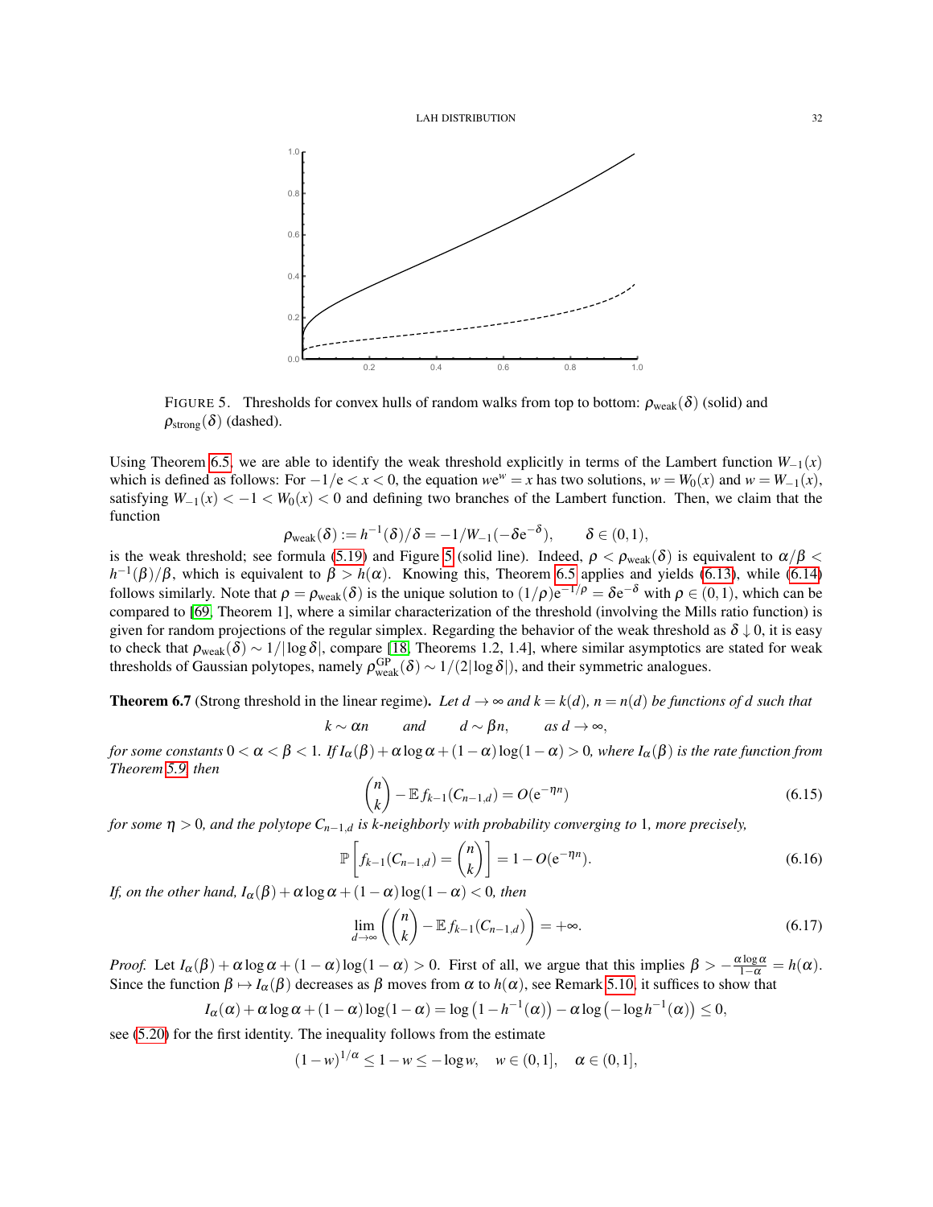

<span id="page-31-0"></span>FIGURE 5. Thresholds for convex hulls of random walks from top to bottom:  $\rho_{weak}(\delta)$  (solid) and  $\rho_{\text{strong}}(\delta)$  (dashed).

Using Theorem [6.5,](#page-30-2) we are able to identify the weak threshold explicitly in terms of the Lambert function  $W_{-1}(x)$ which is defined as follows: For  $-1/e < x < 0$ , the equation  $we^w = x$  has two solutions,  $w = W_0(x)$  and  $w = W_{-1}(x)$ , satisfying  $W_{-1}(x) < -1 < W_0(x) < 0$  and defining two branches of the Lambert function. Then, we claim that the function

$$
\rho_{\text{weak}}(\delta) := h^{-1}(\delta)/\delta = -1/W_{-1}(-\delta e^{-\delta}), \qquad \delta \in (0,1),
$$

is the weak threshold; see formula [\(5.19\)](#page-22-5) and Figure [5](#page-31-0) (solid line). Indeed,  $\rho < \rho_{weak}(\delta)$  is equivalent to  $\alpha/\beta <$  $h^{-1}(\beta)/\beta$ , which is equivalent to  $\beta > h(\alpha)$ . Knowing this, Theorem [6.5](#page-30-2) applies and yields [\(6.13\)](#page-30-3), while [\(6.14\)](#page-30-4) follows similarly. Note that  $\rho = \rho_{weak}(\delta)$  is the unique solution to  $(1/\rho)e^{-1/\rho} = \delta e^{-\delta}$  with  $\rho \in (0,1)$ , which can be compared to [\[69,](#page-39-1) Theorem 1], where a similar characterization of the threshold (involving the Mills ratio function) is given for random projections of the regular simplex. Regarding the behavior of the weak threshold as  $\delta \downarrow 0$ , it is easy to check that  $\rho_{\text{weak}}(\delta) \sim 1/|\log \delta|$ , compare [\[18,](#page-37-3) Theorems 1.2, 1.4], where similar asymptotics are stated for weak thresholds of Gaussian polytopes, namely  $\rho_{weak}^{GP}(\delta) \sim 1/(2|\log \delta|)$ , and their symmetric analogues.

<span id="page-31-4"></span>**Theorem 6.7** (Strong threshold in the linear regime). Let  $d \rightarrow \infty$  and  $k = k(d)$ ,  $n = n(d)$  be functions of d such that

$$
k \sim \alpha n
$$
 and  $d \sim \beta n$ , as  $d \to \infty$ ,

*for some constants*  $0 < \alpha < \beta < 1$ *. If*  $I_\alpha(\beta) + \alpha \log \alpha + (1 - \alpha) \log(1 - \alpha) > 0$ *, where*  $I_\alpha(\beta)$  *is the rate function from Theorem [5.9,](#page-22-3) then*

<span id="page-31-1"></span>
$$
\binom{n}{k} - \mathbb{E} f_{k-1}(C_{n-1,d}) = O(e^{-\eta n})
$$
\n(6.15)

*for some*  $\eta > 0$ , and the polytope  $C_{n-1,d}$  is k-neighborly with probability converging to 1, more precisely,

<span id="page-31-2"></span>
$$
\mathbb{P}\left[f_{k-1}(C_{n-1,d}) = \binom{n}{k}\right] = 1 - O(e^{-\eta n}).\tag{6.16}
$$

*If, on the other hand,*  $I_\alpha(\beta) + \alpha \log \alpha + (1 - \alpha) \log(1 - \alpha) < 0$ , then

<span id="page-31-3"></span>
$$
\lim_{d \to \infty} \left( \binom{n}{k} - \mathbb{E} f_{k-1}(C_{n-1,d}) \right) = +\infty. \tag{6.17}
$$

*Proof.* Let  $I_{\alpha}(\beta) + \alpha \log \alpha + (1 - \alpha) \log(1 - \alpha) > 0$ . First of all, we argue that this implies  $\beta > -\frac{\alpha \log \alpha}{1 - \alpha} = h(\alpha)$ . Since the function  $\beta \mapsto I_\alpha(\beta)$  decreases as  $\beta$  moves from  $\alpha$  to  $h(\alpha)$ , see Remark [5.10,](#page-23-3) it suffices to show that

$$
I_{\alpha}(\alpha) + \alpha \log \alpha + (1 - \alpha) \log(1 - \alpha) = \log (1 - h^{-1}(\alpha)) - \alpha \log (-\log h^{-1}(\alpha)) \le 0,
$$

see [\(5.20\)](#page-22-6) for the first identity. The inequality follows from the estimate

 $(1 - w)^{1/\alpha}$  ≤ 1 − *w* ≤ − log *w*, *w* ∈ (0, 1],  $\alpha$  ∈ (0, 1],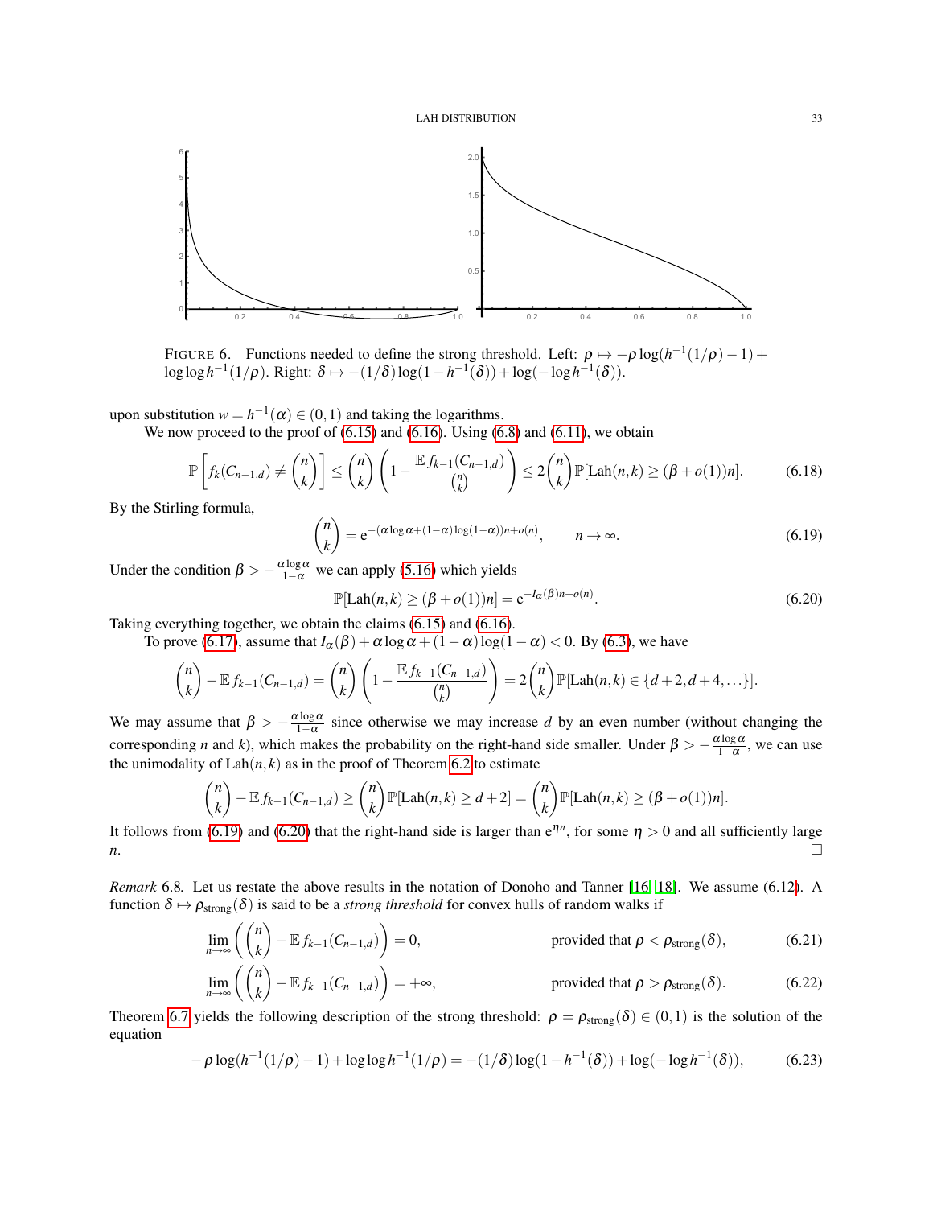

<span id="page-32-2"></span>FIGURE 6. Functions needed to define the strong threshold. Left:  $\rho \mapsto -\rho \log(h^{-1}(1/\rho) - 1) +$  $\log \log h^{-1}(1/\rho)$ . Right:  $\delta \mapsto -(1/\delta) \log(1 - h^{-1}(\delta)) + \log(-\log h^{-1}(\delta)).$ 

upon substitution  $w = h^{-1}(\alpha) \in (0, 1)$  and taking the logarithms.

We now proceed to the proof of  $(6.15)$  and  $(6.16)$ . Using  $(6.8)$  and  $(6.11)$ , we obtain

$$
\mathbb{P}\left[f_k(C_{n-1,d}) \neq {n \choose k}\right] \leq {n \choose k} \left(1 - \frac{\mathbb{E}f_{k-1}(C_{n-1,d})}{ {n \choose k}}\right) \leq 2 {n \choose k} \mathbb{P}[\text{Lah}(n,k) \geq (\beta + o(1))n].\tag{6.18}
$$

By the Stirling formula,

<span id="page-32-0"></span>
$$
\binom{n}{k} = e^{-(\alpha \log \alpha + (1-\alpha)\log(1-\alpha))n + o(n)}, \qquad n \to \infty.
$$
\n(6.19)

Under the condition  $\beta > -\frac{\alpha \log \alpha}{1-\alpha}$  we can apply [\(5.16\)](#page-22-9) which yields

<span id="page-32-4"></span><span id="page-32-1"></span>
$$
\mathbb{P}[\text{Lah}(n,k) \ge (\beta + o(1))n] = e^{-I_{\alpha}(\beta)n + o(n)}.
$$
\n(6.20)

Taking everything together, we obtain the claims [\(6.15\)](#page-31-1) and [\(6.16\)](#page-31-2).

To prove [\(6.17\)](#page-31-3), assume that  $I_{\alpha}(\beta) + \alpha \log \alpha + (1 - \alpha) \log(1 - \alpha) < 0$ . By [\(6.3\)](#page-27-3), we have

$$
\binom{n}{k} - \mathbb{E} f_{k-1}(C_{n-1,d}) = \binom{n}{k} \left(1 - \frac{\mathbb{E} f_{k-1}(C_{n-1,d})}{\binom{n}{k}}\right) = 2\binom{n}{k} \mathbb{P}[\text{Lah}(n,k) \in \{d+2, d+4, \ldots\}].
$$

We may assume that  $\beta > -\frac{\alpha \log \alpha}{1-\alpha}$  since otherwise we may increase *d* by an even number (without changing the corresponding *n* and *k*), which makes the probability on the right-hand side smaller. Under  $\beta > -\frac{\alpha \log \alpha}{1-\alpha}$ , we can use the unimodality of  $\text{Lah}(n, k)$  as in the proof of Theorem [6.2](#page-27-4) to estimate

$$
\binom{n}{k} - \mathbb{E} f_{k-1}(C_{n-1,d}) \ge \binom{n}{k} \mathbb{P}[\text{Lah}(n,k) \ge d+2] = \binom{n}{k} \mathbb{P}[\text{Lah}(n,k) \ge (\beta + o(1))n].
$$

It follows from [\(6.19\)](#page-32-0) and [\(6.20\)](#page-32-1) that the right-hand side is larger than  $e^{\eta n}$ , for some  $\eta > 0$  and all sufficiently large *n*.

<span id="page-32-6"></span>*Remark* 6.8*.* Let us restate the above results in the notation of Donoho and Tanner [\[16,](#page-37-2) [18\]](#page-37-3). We assume [\(6.12\)](#page-30-6). A function  $\delta \mapsto \rho_{strong}(\delta)$  is said to be a *strong threshold* for convex hulls of random walks if

$$
\lim_{n\to\infty}\left(\binom{n}{k}-\mathbb{E} f_{k-1}(C_{n-1,d})\right)=0,\qquad\text{provided that }\rho<\rho_{\text{strong}}(\delta),\tag{6.21}
$$

<span id="page-32-5"></span>
$$
\lim_{n\to\infty}\left(\binom{n}{k}-\mathbb{E} f_{k-1}(C_{n-1,d})\right)=+\infty,\qquad\text{provided that }\rho>\rho_{\text{strong}}(\delta). \qquad\qquad(6.22)
$$

Theorem [6.7](#page-31-4) yields the following description of the strong threshold:  $\rho = \rho_{strong}(\delta) \in (0,1)$  is the solution of the equation

<span id="page-32-3"></span>
$$
-\rho \log(h^{-1}(1/\rho) - 1) + \log \log h^{-1}(1/\rho) = -(1/\delta) \log(1 - h^{-1}(\delta)) + \log(-\log h^{-1}(\delta)),\tag{6.23}
$$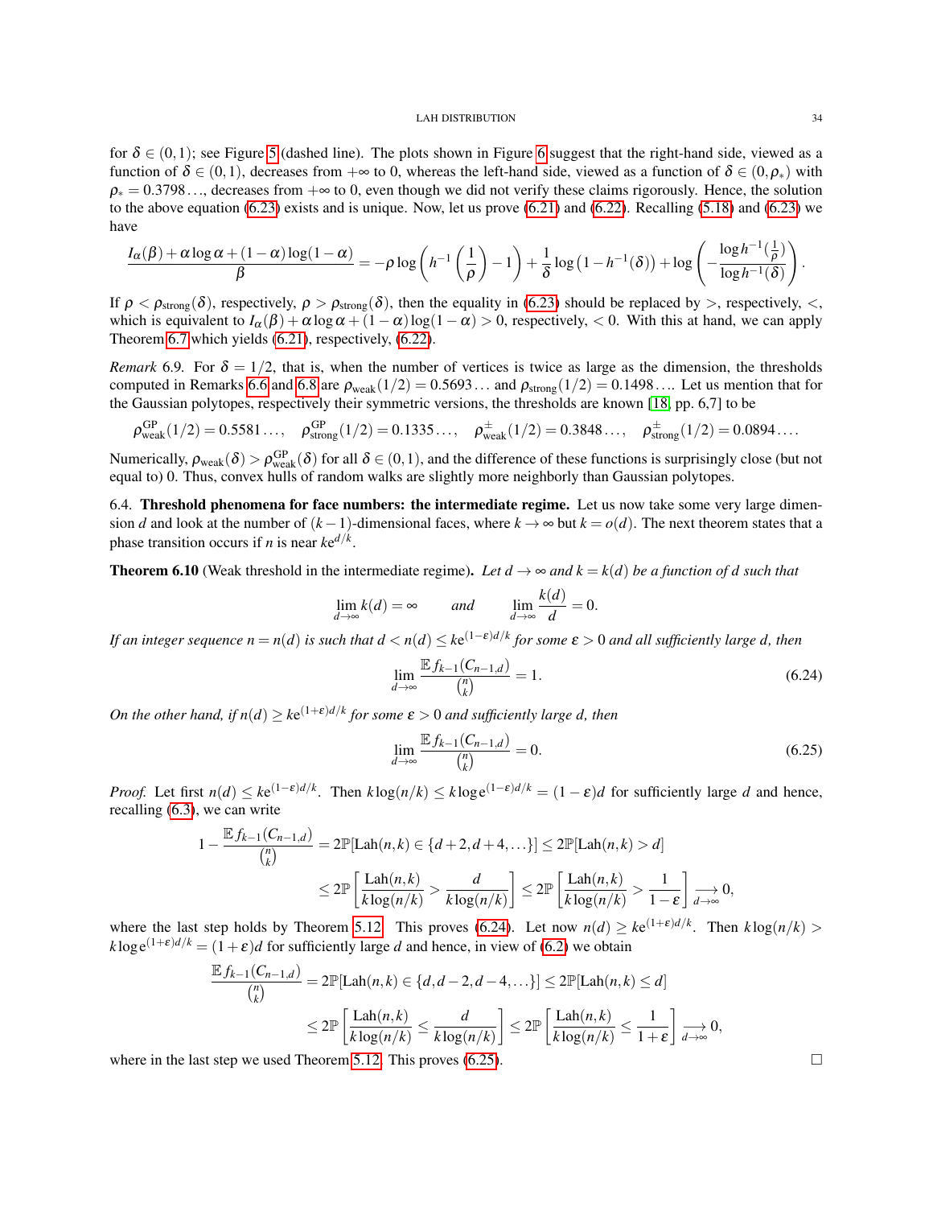for  $\delta \in (0,1)$ ; see Figure [5](#page-31-0) (dashed line). The plots shown in Figure [6](#page-32-2) suggest that the right-hand side, viewed as a function of  $\delta \in (0,1)$ , decreases from  $+\infty$  to 0, whereas the left-hand side, viewed as a function of  $\delta \in (0,\rho_*)$  with  $\rho_* = 0.3798...$ , decreases from  $+\infty$  to 0, even though we did not verify these claims rigorously. Hence, the solution to the above equation  $(6.23)$  exists and is unique. Now, let us prove  $(6.21)$  and  $(6.22)$ . Recalling  $(5.18)$  and  $(6.23)$  we have

$$
\frac{I_{\alpha}(\beta)+\alpha \log \alpha+(1-\alpha) \log (1-\alpha)}{\beta}=-\rho \log \left(h^{-1}\left(\frac{1}{\rho}\right)-1\right)+\frac{1}{\delta}\log \left(1-h^{-1}(\delta)\right)+\log \left(-\frac{\log h^{-1}(\frac{1}{\rho})}{\log h^{-1}(\delta)}\right).
$$

If  $\rho < \rho_{strong}(\delta)$ , respectively,  $\rho > \rho_{strong}(\delta)$ , then the equality in [\(6.23\)](#page-32-3) should be replaced by  $>$ , respectively,  $\lt$ , which is equivalent to  $I_\alpha(\beta) + \alpha \log \alpha + (1 - \alpha) \log(1 - \alpha) > 0$ , respectively, < 0. With this at hand, we can apply Theorem [6.7](#page-31-4) which yields [\(6.21\)](#page-32-4), respectively, [\(6.22\)](#page-32-5).

*Remark* 6.9. For  $\delta = 1/2$ , that is, when the number of vertices is twice as large as the dimension, the thresholds computed in Remarks [6.6](#page-30-1) and [6.8](#page-32-6) are  $\rho_{weak}(1/2) = 0.5693...$  and  $\rho_{strong}(1/2) = 0.1498...$  Let us mention that for the Gaussian polytopes, respectively their symmetric versions, the thresholds are known [\[18,](#page-37-3) pp. 6,7] to be

$$
\rho_{weak}^{GP}(1/2) = 0.5581..., \quad \rho_{strong}^{GP}(1/2) = 0.1335..., \quad \rho_{weak}^{\pm}(1/2) = 0.3848..., \quad \rho_{strong}^{\pm}(1/2) = 0.0894....
$$

Numerically,  $\rho_{weak}(\delta) > \rho_{weak}^{GP}(\delta)$  for all  $\delta \in (0,1)$ , and the difference of these functions is surprisingly close (but not equal to) 0. Thus, convex hulls of random walks are slightly more neighborly than Gaussian polytopes.

<span id="page-33-0"></span>6.4. Threshold phenomena for face numbers: the intermediate regime. Let us now take some very large dimension *d* and look at the number of  $(k-1)$ -dimensional faces, where  $k \to \infty$  but  $k = o(d)$ . The next theorem states that a phase transition occurs if *n* is near  $ke^{d/k}$ .

**Theorem 6.10** (Weak threshold in the intermediate regime). Let  $d \to \infty$  and  $k = k(d)$  be a function of d such that

$$
\lim_{d \to \infty} k(d) = \infty \quad \text{and} \quad \lim_{d \to \infty} \frac{k(d)}{d} = 0.
$$

*If an integer sequence n* = *n*(*d*) *is such that d* < *n*(*d*) ≤ *k*e (1−ε)*d*/*k for some* ε > 0 *and all sufficiently large d, then*

<span id="page-33-1"></span>
$$
\lim_{d \to \infty} \frac{\mathbb{E} f_{k-1}(C_{n-1,d})}{\binom{n}{k}} = 1. \tag{6.24}
$$

*On the other hand, if*  $n(d) \geq k e^{(1+\epsilon)d/k}$  for some  $\epsilon > 0$  and sufficiently large d, then

<span id="page-33-2"></span>
$$
\lim_{d \to \infty} \frac{\mathbb{E} f_{k-1}(C_{n-1,d})}{\binom{n}{k}} = 0. \tag{6.25}
$$

*Proof.* Let first  $n(d) \leq ke^{(1-\varepsilon)d/k}$ . Then  $k \log(n/k) \leq k \log e^{(1-\varepsilon)d/k} = (1-\varepsilon)d$  for sufficiently large *d* and hence, recalling [\(6.3\)](#page-27-3), we can write

$$
1 - \frac{\mathbb{E} f_{k-1}(C_{n-1,d})}{\binom{n}{k}} = 2\mathbb{P}[\text{Lah}(n,k) \in \{d+2,d+4,\ldots\}] \le 2\mathbb{P}[\text{Lah}(n,k) > d]
$$
  

$$
\le 2\mathbb{P}\left[\frac{\text{Lah}(n,k)}{k\log(n/k)} > \frac{d}{k\log(n/k)}\right] \le 2\mathbb{P}\left[\frac{\text{Lah}(n,k)}{k\log(n/k)} > \frac{1}{1-\epsilon}\right] \underset{d \to \infty}{\longrightarrow} 0,
$$

where the last step holds by Theorem [5.12.](#page-24-7) This proves [\(6.24\)](#page-33-1). Let now  $n(d) \geq ke^{(1+\epsilon)d/k}$ . Then  $k \log(n/k)$  $k \log e^{(1+\epsilon)d/k} = (1+\epsilon)d$  for sufficiently large *d* and hence, in view of [\(6.2\)](#page-27-2) we obtain

$$
\frac{\mathbb{E} f_{k-1}(C_{n-1,d})}{\binom{n}{k}} = 2\mathbb{P}[\text{Lah}(n,k) \in \{d, d-2, d-4, \ldots\}] \le 2\mathbb{P}[\text{Lah}(n,k) \le d]
$$

$$
\le 2\mathbb{P}\left[\frac{\text{Lah}(n,k)}{k\log(n/k)} \le \frac{d}{k\log(n/k)}\right] \le 2\mathbb{P}\left[\frac{\text{Lah}(n,k)}{k\log(n/k)} \le \frac{1}{1+\varepsilon}\right] \xrightarrow{d \to \infty} 0,
$$

where in the last step we used Theorem [5.12.](#page-24-7) This proves  $(6.25)$ .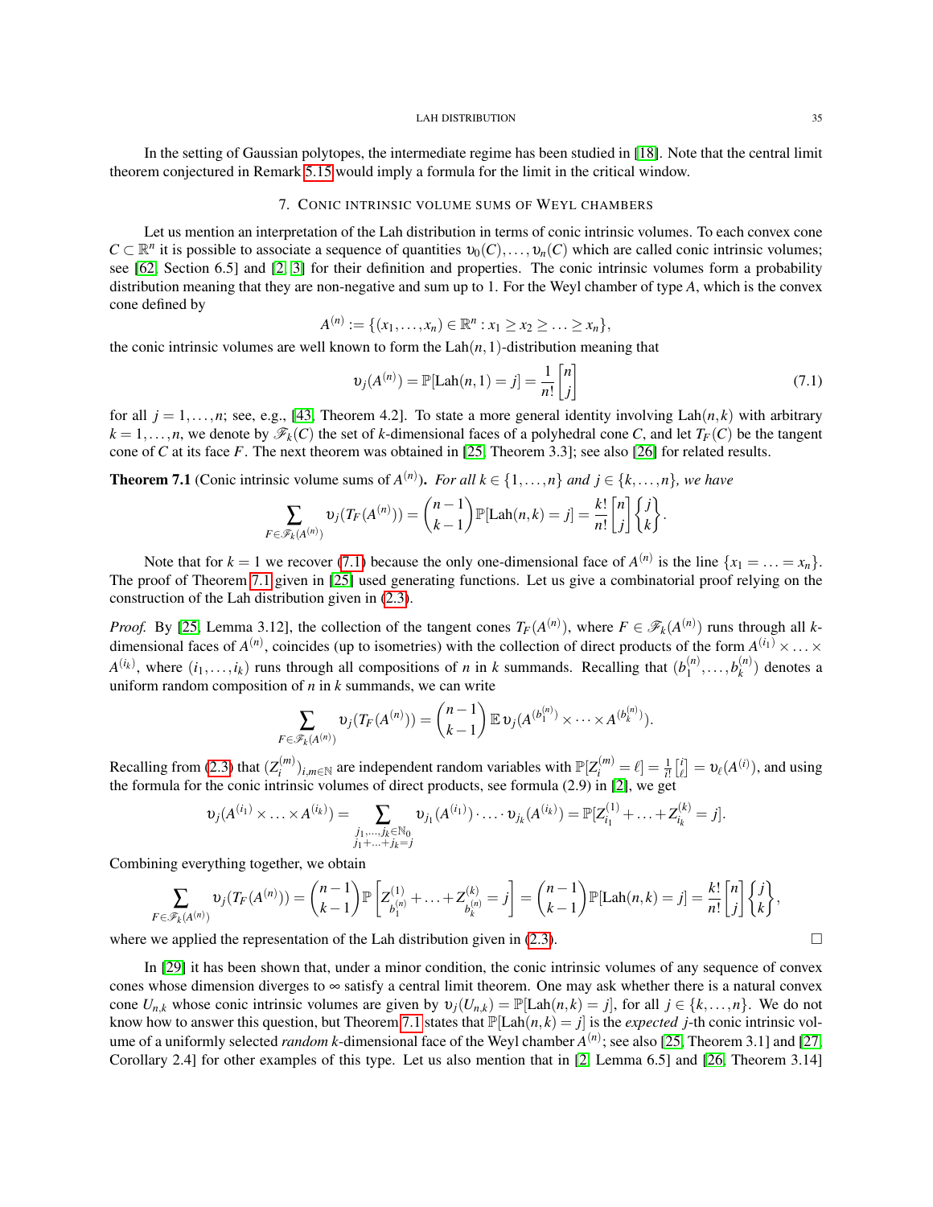In the setting of Gaussian polytopes, the intermediate regime has been studied in [\[18\]](#page-37-3). Note that the central limit theorem conjectured in Remark [5.15](#page-26-3) would imply a formula for the limit in the critical window.

## 7. CONIC INTRINSIC VOLUME SUMS OF WEYL CHAMBERS

<span id="page-34-0"></span>Let us mention an interpretation of the Lah distribution in terms of conic intrinsic volumes. To each convex cone  $C \subset \mathbb{R}^n$  it is possible to associate a sequence of quantities  $v_0(C), \ldots, v_n(C)$  which are called conic intrinsic volumes; see [\[62,](#page-38-23) Section 6.5] and [\[2,](#page-36-12) [3\]](#page-36-3) for their definition and properties. The conic intrinsic volumes form a probability distribution meaning that they are non-negative and sum up to 1. For the Weyl chamber of type *A*, which is the convex cone defined by

$$
A^{(n)} := \{ (x_1, \ldots, x_n) \in \mathbb{R}^n : x_1 \ge x_2 \ge \ldots \ge x_n \},\
$$

the conic intrinsic volumes are well known to form the  $\text{Lah}(n,1)$ -distribution meaning that

<span id="page-34-1"></span>
$$
v_j(A^{(n)}) = \mathbb{P}[\text{Lah}(n,1) = j] = \frac{1}{n!} \begin{bmatrix} n \\ j \end{bmatrix}
$$
 (7.1)

for all  $j = 1, \ldots, n$ ; see, e.g., [\[43,](#page-38-1) Theorem 4.2]. To state a more general identity involving  $\text{Lah}(n, k)$  with arbitrary  $k = 1, \ldots, n$ , we denote by  $\mathscr{F}_k(C)$  the set of *k*-dimensional faces of a polyhedral cone *C*, and let  $T_F(C)$  be the tangent cone of *C* at its face *F*. The next theorem was obtained in [\[25,](#page-37-22) Theorem 3.3]; see also [\[26\]](#page-37-23) for related results.

<span id="page-34-2"></span>**Theorem 7.1** (Conic intrinsic volume sums of  $A^{(n)}$ ). *For all*  $k \in \{1, ..., n\}$  *and*  $j \in \{k, ..., n\}$ *, we have* 

$$
\sum_{F \in \mathscr{F}_k(A^{(n)})} \upsilon_j(T_F(A^{(n)})) = {n-1 \choose k-1} \mathbb{P}[\text{Lah}(n,k) = j] = \frac{k!}{n!} {n \choose j} \left\{ \begin{matrix} j \\ k \end{matrix} \right\}.
$$

Note that for  $k = 1$  we recover [\(7.1\)](#page-34-1) because the only one-dimensional face of  $A^{(n)}$  is the line  $\{x_1 = \ldots = x_n\}$ . The proof of Theorem [7.1](#page-34-2) given in [\[25\]](#page-37-22) used generating functions. Let us give a combinatorial proof relying on the construction of the Lah distribution given in [\(2.3\)](#page-6-5).

*Proof.* By [\[25,](#page-37-22) Lemma 3.12], the collection of the tangent cones  $T_F(A^{(n)})$ , where  $F \in \mathscr{F}_k(A^{(n)})$  runs through all *k*dimensional faces of  $A^{(n)}$ , coincides (up to isometries) with the collection of direct products of the form  $A^{(i_1)} \times \ldots \times$  $A^{(i_k)}$ , where  $(i_1,...,i_k)$  runs through all compositions of *n* in *k* summands. Recalling that  $(b_1^{(n)})$  $b_1^{(n)}, \ldots, b_k^{(n)}$  $\binom{n}{k}$  denotes a uniform random composition of *n* in *k* summands, we can write

$$
\sum_{F \in \mathscr{F}_k(A^{(n)})} \upsilon_j(T_F(A^{(n)})) = {n-1 \choose k-1} \mathbb{E} \,\upsilon_j(A^{(b_1^{(n)})} \times \cdots \times A^{(b_k^{(n)})}).
$$

Recalling from [\(2.3\)](#page-6-5) that  $(Z_i^{(m)})$ *i*<sup>(*m*</sup>)</sup>)<sub>*i*,*m*∈N are independent random variables with  $\mathbb{P}[Z_i^{(m)} = \ell] = \frac{1}{i!} \left[\frac{i}{\ell}\right] = \upsilon_{\ell}(A^{(i)})$ , and using</sub> the formula for the conic intrinsic volumes of direct products, see formula (2.9) in [\[2\]](#page-36-12), we get

$$
\upsilon_j(A^{(i_1)}\times \ldots \times A^{(i_k)}) = \sum_{\substack{j_1,\ldots,j_k\in \mathbb{N}_0\\j_1+\ldots+j_k=j}} \upsilon_{j_1}(A^{(i_1)})\cdot \ldots \cdot \upsilon_{j_k}(A^{(i_k)}) = \mathbb{P}[Z_{i_1}^{(1)}+\ldots+Z_{i_k}^{(k)}=j].
$$

Combining everything together, we obtain

$$
\sum_{F \in \mathscr{F}_k(A^{(n)})} \upsilon_j(T_F(A^{(n)})) = {n-1 \choose k-1} \mathbb{P}\left[Z_{b_1^{(n)}}^{(1)} + \ldots + Z_{b_k^{(n)}}^{(k)} = j\right] = {n-1 \choose k-1} \mathbb{P}[\text{Lah}(n,k) = j] = \frac{k!}{n!} {n \choose j} \left\{ \begin{matrix} j \\ k \end{matrix} \right\},
$$

where we applied the representation of the Lah distribution given in [\(2.3\)](#page-6-5).

In [\[29\]](#page-37-24) it has been shown that, under a minor condition, the conic intrinsic volumes of any sequence of convex cones whose dimension diverges to ∞ satisfy a central limit theorem. One may ask whether there is a natural convex cone  $U_{n,k}$  whose conic intrinsic volumes are given by  $v_j(U_{n,k}) = \mathbb{P}[\text{Lah}(n,k) = j]$ , for all  $j \in \{k,\ldots,n\}$ . We do not know how to answer this question, but Theorem [7.1](#page-34-2) states that  $\mathbb{P}[\text{Lah}(n,k) = j]$  is the *expected j*-th conic intrinsic volume of a uniformly selected *random k*-dimensional face of the Weyl chamber *A* (*n*) ; see also [\[25,](#page-37-22) Theorem 3.1] and [\[27,](#page-37-25) Corollary 2.4] for other examples of this type. Let us also mention that in [\[2,](#page-36-12) Lemma 6.5] and [\[26,](#page-37-23) Theorem 3.14]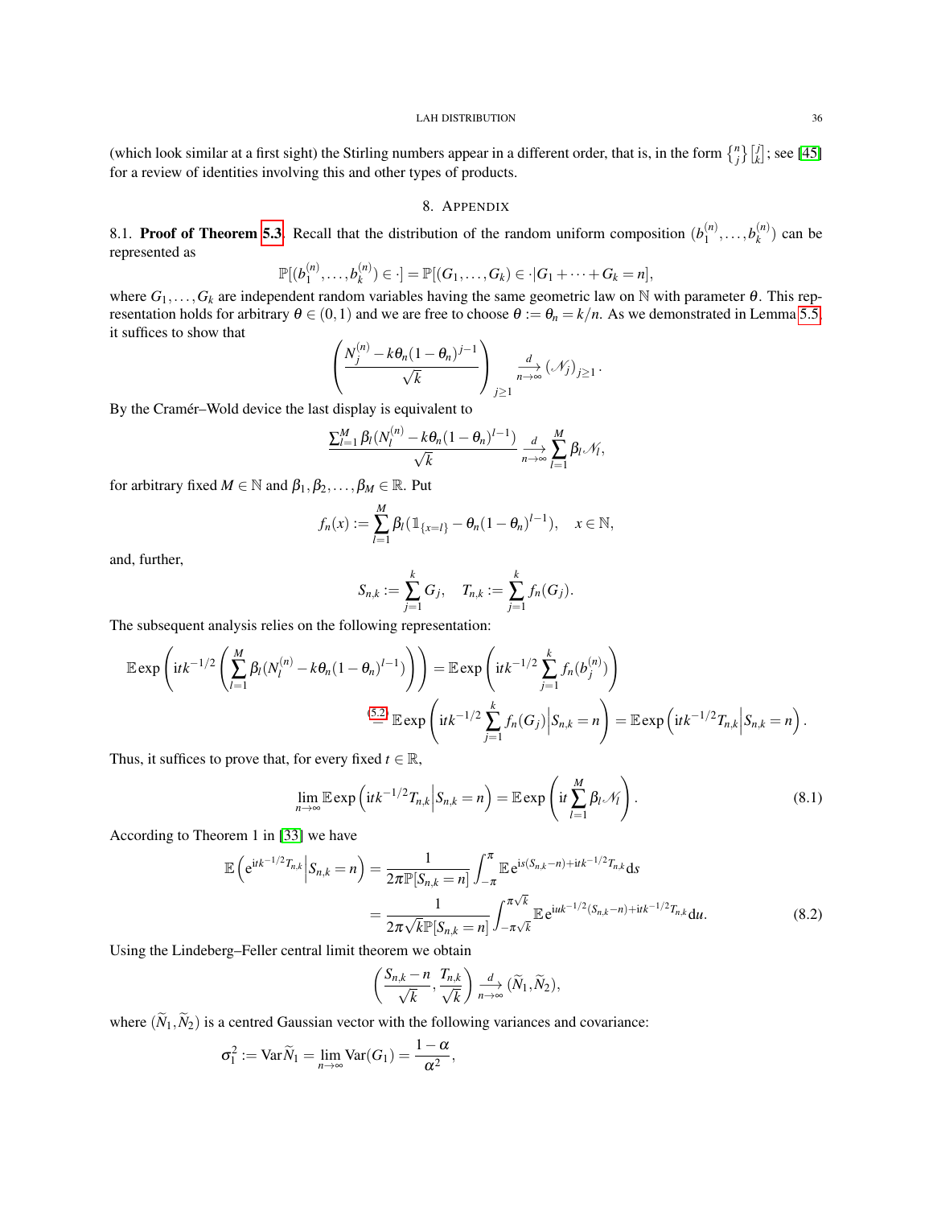(which look similar at a first sight) the Stirling numbers appear in a different order, that is, in the form  $\binom{n}{j} \binom{j}{k}$ ; see [\[45\]](#page-38-24) for a review of identities involving this and other types of products.

## 8. APPENDIX

<span id="page-35-1"></span><span id="page-35-0"></span>8.1. **Proof of Theorem [5.3.](#page-17-0)** Recall that the distribution of the random uniform composition  $(b_1^{(n)})$  $b_1^{(n)}, \ldots, b_k^{(n)}$  $\binom{n}{k}$  can be represented as

$$
\mathbb{P}[(b_1^{(n)},\ldots,b_k^{(n)})\in\cdot]=\mathbb{P}[(G_1,\ldots,G_k)\in\cdot|G_1+\cdots+G_k=n],
$$

where  $G_1, \ldots, G_k$  are independent random variables having the same geometric law on N with parameter  $\theta$ . This representation holds for arbitrary  $\theta \in (0,1)$  and we are free to choose  $\theta := \theta_n = k/n$ . As we demonstrated in Lemma [5.5,](#page-18-2) it suffices to show that

$$
\left(\frac{N_j^{(n)} - k\theta_n(1-\theta_n)^{j-1}}{\sqrt{k}}\right)_{j\geq 1} \xrightarrow[n\to\infty]{d} (\mathcal{N}_j)_{j\geq 1}.
$$

By the Cramér–Wold device the last display is equivalent to

$$
\frac{\sum_{l=1}^{M} \beta_l (N_l^{(n)} - k \theta_n (1 - \theta_n)^{l-1})}{\sqrt{k}} \underset{n \to \infty}{\overset{d}{\longrightarrow}} \sum_{l=1}^{M} \beta_l \mathcal{N}_l,
$$

for arbitrary fixed  $M \in \mathbb{N}$  and  $\beta_1, \beta_2, \dots, \beta_M \in \mathbb{R}$ . Put

$$
f_n(x) := \sum_{l=1}^M \beta_l (\mathbb{1}_{\{x=l\}} - \theta_n (1 - \theta_n)^{l-1}), \quad x \in \mathbb{N},
$$

and, further,

$$
S_{n,k} := \sum_{j=1}^k G_j, \quad T_{n,k} := \sum_{j=1}^k f_n(G_j).
$$

The subsequent analysis relies on the following representation:

$$
\mathbb{E} \exp\left(itk^{-1/2}\left(\sum_{l=1}^{M}\beta_{l}(N_{l}^{(n)}-k\theta_{n}(1-\theta_{n})^{l-1})\right)\right)=\mathbb{E} \exp\left(itk^{-1/2}\sum_{j=1}^{k}f_{n}(b_{j}^{(n)})\right)
$$

$$
\stackrel{(5.2)}{=} \mathbb{E} \exp\left(itk^{-1/2}\sum_{j=1}^{k}f_{n}(G_{j})\Big|S_{n,k}=n\right)=\mathbb{E} \exp\left(itk^{-1/2}T_{n,k}\Big|S_{n,k}=n\right).
$$

Thus, it suffices to prove that, for every fixed  $t \in \mathbb{R}$ ,

<span id="page-35-3"></span>
$$
\lim_{n\to\infty}\mathbb{E}\exp\left(itk^{-1/2}T_{n,k}\Big|S_{n,k}=n\right)=\mathbb{E}\exp\left(it\sum_{l=1}^M\beta_l\mathcal{N}_l\right).
$$
\n(8.1)

According to Theorem 1 in [\[33\]](#page-37-17) we have

$$
\mathbb{E}\left(e^{itk^{-1/2}T_{n,k}}\Big|S_{n,k}=n\right)=\frac{1}{2\pi\mathbb{P}[S_{n,k}=n]}\int_{-\pi}^{\pi}\mathbb{E}e^{is(S_{n,k}-n)+itk^{-1/2}T_{n,k}}ds
$$
\n
$$
=\frac{1}{2\pi\sqrt{k}\mathbb{P}[S_{n,k}=n]}\int_{-\pi\sqrt{k}}^{\pi\sqrt{k}}\mathbb{E}e^{iuk^{-1/2}(S_{n,k}-n)+itk^{-1/2}T_{n,k}}du.
$$
\n(8.2)

Using the Lindeberg–Feller central limit theorem we obtain

<span id="page-35-2"></span>
$$
\left(\frac{S_{n,k}-n}{\sqrt{k}},\frac{T_{n,k}}{\sqrt{k}}\right)\underset{n\to\infty}{\longrightarrow}\left(\widetilde{N}_1,\widetilde{N}_2\right),\,
$$

where  $(\widetilde{N}_1, \widetilde{N}_2)$  is a centred Gaussian vector with the following variances and covariance:

$$
\sigma_1^2 := \text{Var}\,\widetilde{N}_1 = \lim_{n \to \infty} \text{Var}(G_1) = \frac{1 - \alpha}{\alpha^2},
$$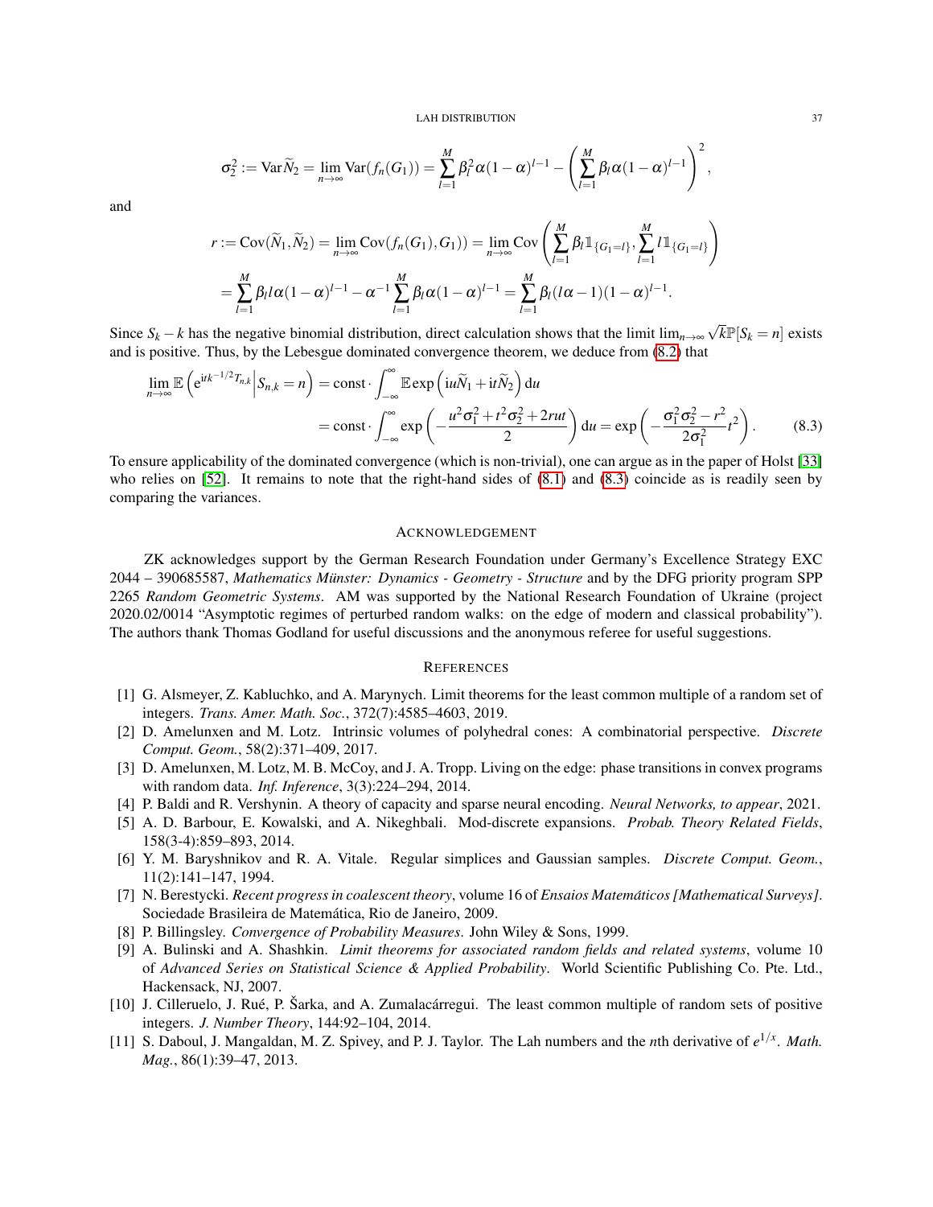$$
\sigma_2^2 := \text{Var}\widetilde{N}_2 = \lim_{n\to\infty} \text{Var}(f_n(G_1)) = \sum_{l=1}^M \beta_l^2 \alpha (1-\alpha)^{l-1} - \left(\sum_{l=1}^M \beta_l \alpha (1-\alpha)^{l-1}\right)^2,
$$

and

$$
r := \text{Cov}(\widetilde{N}_1, \widetilde{N}_2) = \lim_{n \to \infty} \text{Cov}(f_n(G_1), G_1) = \lim_{n \to \infty} \text{Cov}\left(\sum_{l=1}^M \beta_l 1\!\!1_{\{G_1 = l\}}, \sum_{l=1}^M l 1\!\!1_{\{G_1 = l\}}\right)
$$

$$
= \sum_{l=1}^M \beta_l l \alpha (1 - \alpha)^{l-1} - \alpha^{-1} \sum_{l=1}^M \beta_l \alpha (1 - \alpha)^{l-1} = \sum_{l=1}^M \beta_l (l \alpha - 1)(1 - \alpha)^{l-1}.
$$

Since  $S_k - k$  has the negative binomial distribution, direct calculation shows that the limit lim<sub>*n*→∞</sub>  $\sqrt{k} \mathbb{P}[S_k = n]$  exists and is positive. Thus, by the Lebesgue dominated convergence theorem, we deduce from [\(8.2\)](#page-35-2) that

$$
\lim_{n \to \infty} \mathbb{E}\left(e^{itk^{-1/2}T_{n,k}}\Big|S_{n,k}=n\right) = \text{const} \cdot \int_{-\infty}^{\infty} \mathbb{E}\exp\left(iu\widetilde{N}_1 + it\widetilde{N}_2\right)du
$$

$$
= \text{const} \cdot \int_{-\infty}^{\infty} \exp\left(-\frac{u^2\sigma_1^2 + t^2\sigma_2^2 + 2rut}{2}\right)du = \exp\left(-\frac{\sigma_1^2\sigma_2^2 - r^2}{2\sigma_1^2}t^2\right). \tag{8.3}
$$

To ensure applicability of the dominated convergence (which is non-trivial), one can argue as in the paper of Holst [\[33\]](#page-37-17) who relies on [\[52\]](#page-38-15). It remains to note that the right-hand sides of  $(8.1)$  and  $(8.3)$  coincide as is readily seen by comparing the variances.

## <span id="page-36-0"></span>ACKNOWLEDGEMENT

ZK acknowledges support by the German Research Foundation under Germany's Excellence Strategy EXC 2044 – 390685587, Mathematics Münster: Dynamics - Geometry - Structure and by the DFG priority program SPP 2265 *Random Geometric Systems*. AM was supported by the National Research Foundation of Ukraine (project 2020.02/0014 "Asymptotic regimes of perturbed random walks: on the edge of modern and classical probability"). The authors thank Thomas Godland for useful discussions and the anonymous referee for useful suggestions.

## <span id="page-36-1"></span>**REFERENCES**

- <span id="page-36-8"></span>[1] G. Alsmeyer, Z. Kabluchko, and A. Marynych. Limit theorems for the least common multiple of a random set of integers. *Trans. Amer. Math. Soc.*, 372(7):4585–4603, 2019.
- <span id="page-36-12"></span>[2] D. Amelunxen and M. Lotz. Intrinsic volumes of polyhedral cones: A combinatorial perspective. *Discrete Comput. Geom.*, 58(2):371–409, 2017.
- <span id="page-36-3"></span>[3] D. Amelunxen, M. Lotz, M. B. McCoy, and J. A. Tropp. Living on the edge: phase transitions in convex programs with random data. *Inf. Inference*, 3(3):224–294, 2014.
- <span id="page-36-4"></span>[4] P. Baldi and R. Vershynin. A theory of capacity and sparse neural encoding. *Neural Networks, to appear*, 2021.
- <span id="page-36-9"></span>[5] A. D. Barbour, E. Kowalski, and A. Nikeghbali. Mod-discrete expansions. *Probab. Theory Related Fields*, 158(3-4):859–893, 2014.
- <span id="page-36-5"></span>[6] Y. M. Baryshnikov and R. A. Vitale. Regular simplices and Gaussian samples. *Discrete Comput. Geom.*, 11(2):141–147, 1994.
- <span id="page-36-6"></span>[7] N. Berestycki. *Recent progress in coalescent theory*, volume 16 of *Ensaios Matematicos [Mathematical Surveys] ´* . Sociedade Brasileira de Matemática, Rio de Janeiro, 2009.
- <span id="page-36-10"></span>[8] P. Billingsley. *Convergence of Probability Measures*. John Wiley & Sons, 1999.
- <span id="page-36-11"></span>[9] A. Bulinski and A. Shashkin. *Limit theorems for associated random fields and related systems*, volume 10 of *Advanced Series on Statistical Science & Applied Probability*. World Scientific Publishing Co. Pte. Ltd., Hackensack, NJ, 2007.
- <span id="page-36-7"></span>[10] J. Cilleruelo, J. Rué, P. Šarka, and A. Zumalacárregui. The least common multiple of random sets of positive integers. *J. Number Theory*, 144:92–104, 2014.
- <span id="page-36-2"></span>[11] S. Daboul, J. Mangaldan, M. Z. Spivey, and P. J. Taylor. The Lah numbers and the *n*th derivative of  $e^{1/x}$ . *Math. Mag.*, 86(1):39–47, 2013.

<span id="page-36-13"></span> $\setminus$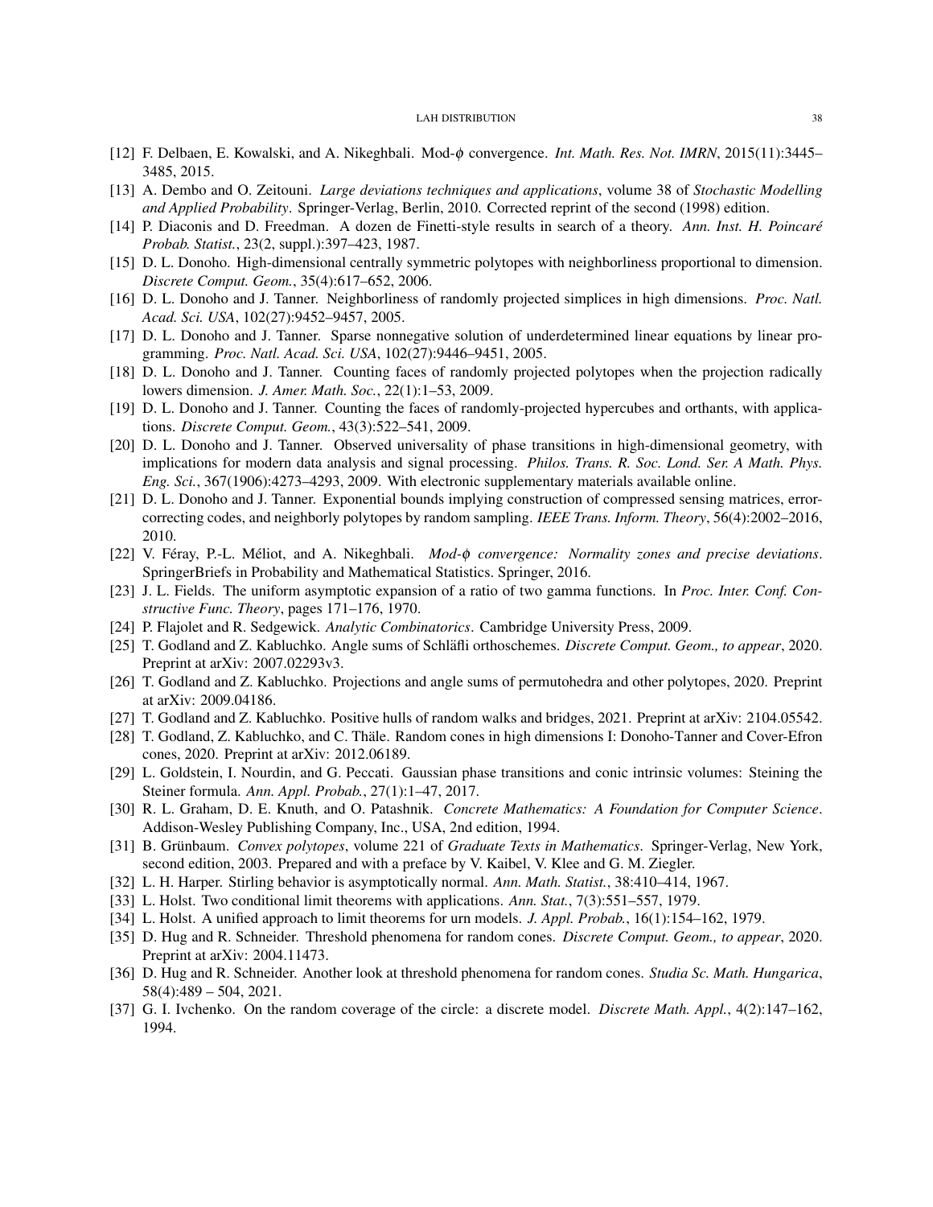- <span id="page-37-13"></span>[12] F. Delbaen, E. Kowalski, and A. Nikeghbali. Mod-φ convergence. *Int. Math. Res. Not. IMRN*, 2015(11):3445– 3485, 2015.
- <span id="page-37-21"></span>[13] A. Dembo and O. Zeitouni. *Large deviations techniques and applications*, volume 38 of *Stochastic Modelling and Applied Probability*. Springer-Verlag, Berlin, 2010. Corrected reprint of the second (1998) edition.
- <span id="page-37-16"></span>[14] P. Diaconis and D. Freedman. A dozen de Finetti-style results in search of a theory. *Ann. Inst. H. Poincare´ Probab. Statist.*, 23(2, suppl.):397–423, 1987.
- <span id="page-37-1"></span>[15] D. L. Donoho. High-dimensional centrally symmetric polytopes with neighborliness proportional to dimension. *Discrete Comput. Geom.*, 35(4):617–652, 2006.
- <span id="page-37-2"></span>[16] D. L. Donoho and J. Tanner. Neighborliness of randomly projected simplices in high dimensions. *Proc. Natl. Acad. Sci. USA*, 102(27):9452–9457, 2005.
- <span id="page-37-5"></span>[17] D. L. Donoho and J. Tanner. Sparse nonnegative solution of underdetermined linear equations by linear programming. *Proc. Natl. Acad. Sci. USA*, 102(27):9446–9451, 2005.
- <span id="page-37-3"></span>[18] D. L. Donoho and J. Tanner. Counting faces of randomly projected polytopes when the projection radically lowers dimension. *J. Amer. Math. Soc.*, 22(1):1–53, 2009.
- <span id="page-37-4"></span>[19] D. L. Donoho and J. Tanner. Counting the faces of randomly-projected hypercubes and orthants, with applications. *Discrete Comput. Geom.*, 43(3):522–541, 2009.
- <span id="page-37-6"></span>[20] D. L. Donoho and J. Tanner. Observed universality of phase transitions in high-dimensional geometry, with implications for modern data analysis and signal processing. *Philos. Trans. R. Soc. Lond. Ser. A Math. Phys. Eng. Sci.*, 367(1906):4273–4293, 2009. With electronic supplementary materials available online.
- <span id="page-37-7"></span>[21] D. L. Donoho and J. Tanner. Exponential bounds implying construction of compressed sensing matrices, errorcorrecting codes, and neighborly polytopes by random sampling. *IEEE Trans. Inform. Theory*, 56(4):2002–2016, 2010.
- <span id="page-37-14"></span>[22] V. Féray, P.-L. Méliot, and A. Nikeghbali. *Mod-φ convergence: Normality zones and precise deviations*. SpringerBriefs in Probability and Mathematical Statistics. Springer, 2016.
- <span id="page-37-15"></span>[23] J. L. Fields. The uniform asymptotic expansion of a ratio of two gamma functions. In *Proc. Inter. Conf. Constructive Func. Theory*, pages 171–176, 1970.
- <span id="page-37-20"></span>[24] P. Flajolet and R. Sedgewick. *Analytic Combinatorics*. Cambridge University Press, 2009.
- <span id="page-37-22"></span>[25] T. Godland and Z. Kabluchko. Angle sums of Schläfli orthoschemes. *Discrete Comput. Geom., to appear*, 2020. Preprint at arXiv: 2007.02293v3.
- <span id="page-37-23"></span>[26] T. Godland and Z. Kabluchko. Projections and angle sums of permutohedra and other polytopes, 2020. Preprint at arXiv: 2009.04186.
- <span id="page-37-25"></span>[27] T. Godland and Z. Kabluchko. Positive hulls of random walks and bridges, 2021. Preprint at arXiv: 2104.05542.
- <span id="page-37-9"></span>[28] T. Godland, Z. Kabluchko, and C. Thäle. Random cones in high dimensions I: Donoho-Tanner and Cover-Efron cones, 2020. Preprint at arXiv: 2012.06189.
- <span id="page-37-24"></span>[29] L. Goldstein, I. Nourdin, and G. Peccati. Gaussian phase transitions and conic intrinsic volumes: Steining the Steiner formula. *Ann. Appl. Probab.*, 27(1):1–47, 2017.
- <span id="page-37-0"></span>[30] R. L. Graham, D. E. Knuth, and O. Patashnik. *Concrete Mathematics: A Foundation for Computer Science*. Addison-Wesley Publishing Company, Inc., USA, 2nd edition, 1994.
- <span id="page-37-8"></span>[31] B. Grünbaum. Convex polytopes, volume 221 of Graduate Texts in Mathematics. Springer-Verlag, New York, second edition, 2003. Prepared and with a preface by V. Kaibel, V. Klee and G. M. Ziegler.
- <span id="page-37-12"></span>[32] L. H. Harper. Stirling behavior is asymptotically normal. *Ann. Math. Statist.*, 38:410–414, 1967.
- <span id="page-37-17"></span>[33] L. Holst. Two conditional limit theorems with applications. *Ann. Stat.*, 7(3):551–557, 1979.
- <span id="page-37-18"></span>[34] L. Holst. A unified approach to limit theorems for urn models. *J. Appl. Probab.*, 16(1):154–162, 1979.
- <span id="page-37-10"></span>[35] D. Hug and R. Schneider. Threshold phenomena for random cones. *Discrete Comput. Geom., to appear*, 2020. Preprint at arXiv: 2004.11473.
- <span id="page-37-11"></span>[36] D. Hug and R. Schneider. Another look at threshold phenomena for random cones. *Studia Sc. Math. Hungarica*, 58(4):489 – 504, 2021.
- <span id="page-37-19"></span>[37] G. I. Ivchenko. On the random coverage of the circle: a discrete model. *Discrete Math. Appl.*, 4(2):147–162, 1994.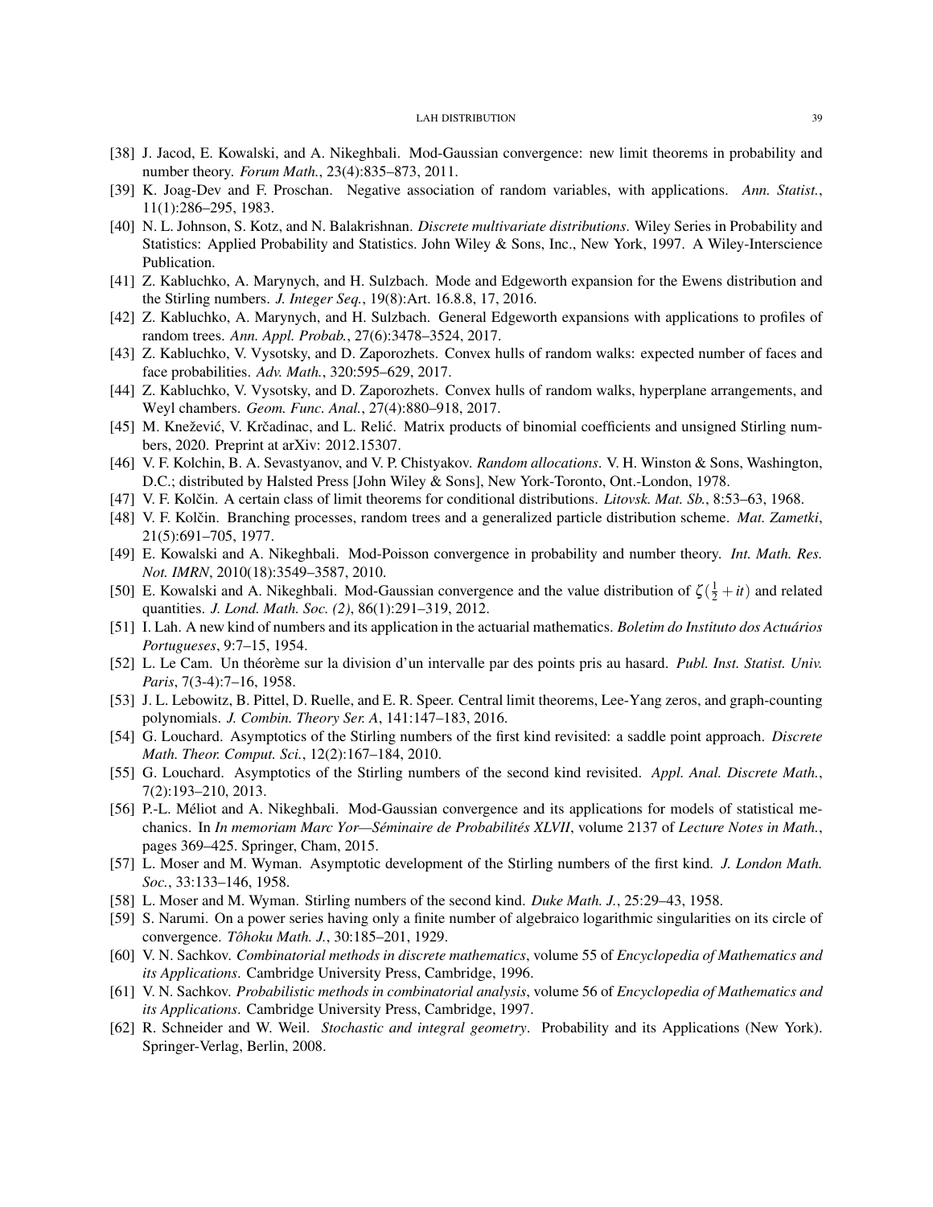- <span id="page-38-7"></span>[38] J. Jacod, E. Kowalski, and A. Nikeghbali. Mod-Gaussian convergence: new limit theorems in probability and number theory. *Forum Math.*, 23(4):835–873, 2011.
- <span id="page-38-22"></span>[39] K. Joag-Dev and F. Proschan. Negative association of random variables, with applications. *Ann. Statist.*, 11(1):286–295, 1983.
- <span id="page-38-3"></span>[40] N. L. Johnson, S. Kotz, and N. Balakrishnan. *Discrete multivariate distributions*. Wiley Series in Probability and Statistics: Applied Probability and Statistics. John Wiley & Sons, Inc., New York, 1997. A Wiley-Interscience Publication.
- <span id="page-38-11"></span>[41] Z. Kabluchko, A. Marynych, and H. Sulzbach. Mode and Edgeworth expansion for the Ewens distribution and the Stirling numbers. *J. Integer Seq.*, 19(8):Art. 16.8.8, 17, 2016.
- <span id="page-38-10"></span>[42] Z. Kabluchko, A. Marynych, and H. Sulzbach. General Edgeworth expansions with applications to profiles of random trees. *Ann. Appl. Probab.*, 27(6):3478–3524, 2017.
- <span id="page-38-1"></span>[43] Z. Kabluchko, V. Vysotsky, and D. Zaporozhets. Convex hulls of random walks: expected number of faces and face probabilities. *Adv. Math.*, 320:595–629, 2017.
- <span id="page-38-2"></span>[44] Z. Kabluchko, V. Vysotsky, and D. Zaporozhets. Convex hulls of random walks, hyperplane arrangements, and Weyl chambers. *Geom. Func. Anal.*, 27(4):880–918, 2017.
- <span id="page-38-24"></span>[45] M. Knežević, V. Krčadinac, and L. Relić. Matrix products of binomial coefficients and unsigned Stirling numbers, 2020. Preprint at arXiv: 2012.15307.
- <span id="page-38-14"></span>[46] V. F. Kolchin, B. A. Sevastyanov, and V. P. Chistyakov. *Random allocations*. V. H. Winston & Sons, Washington, D.C.; distributed by Halsted Press [John Wiley & Sons], New York-Toronto, Ont.-London, 1978.
- <span id="page-38-12"></span>[47] V. F. Kolčin. A certain class of limit theorems for conditional distributions. *Litovsk. Mat. Sb.*, 8:53–63, 1968.
- <span id="page-38-13"></span>[48] V. F. Kolčin. Branching processes, random trees and a generalized particle distribution scheme. *Mat. Zametki*, 21(5):691–705, 1977.
- <span id="page-38-6"></span>[49] E. Kowalski and A. Nikeghbali. Mod-Poisson convergence in probability and number theory. *Int. Math. Res. Not. IMRN*, 2010(18):3549–3587, 2010.
- <span id="page-38-8"></span>[50] E. Kowalski and A. Nikeghbali. Mod-Gaussian convergence and the value distribution of  $\zeta(\frac{1}{2} + it)$  and related quantities. *J. Lond. Math. Soc. (2)*, 86(1):291–319, 2012.
- <span id="page-38-0"></span>[51] I. Lah. A new kind of numbers and its application in the actuarial mathematics. *Boletim do Instituto dos Actuarios ´ Portugueses*, 9:7–15, 1954.
- <span id="page-38-15"></span>[52] L. Le Cam. Un théorème sur la division d'un intervalle par des points pris au hasard. *Publ. Inst. Statist. Univ. Paris*, 7(3-4):7–16, 1958.
- <span id="page-38-5"></span>[53] J. L. Lebowitz, B. Pittel, D. Ruelle, and E. R. Speer. Central limit theorems, Lee-Yang zeros, and graph-counting polynomials. *J. Combin. Theory Ser. A*, 141:147–183, 2016.
- <span id="page-38-20"></span>[54] G. Louchard. Asymptotics of the Stirling numbers of the first kind revisited: a saddle point approach. *Discrete Math. Theor. Comput. Sci.*, 12(2):167–184, 2010.
- <span id="page-38-21"></span>[55] G. Louchard. Asymptotics of the Stirling numbers of the second kind revisited. *Appl. Anal. Discrete Math.*, 7(2):193–210, 2013.
- <span id="page-38-9"></span>[56] P.-L. Méliot and A. Nikeghbali. Mod-Gaussian convergence and its applications for models of statistical mechanics. In *In memoriam Marc Yor—Seminaire de Probabilit ´ es XLVII ´* , volume 2137 of *Lecture Notes in Math.*, pages 369–425. Springer, Cham, 2015.
- <span id="page-38-17"></span>[57] L. Moser and M. Wyman. Asymptotic development of the Stirling numbers of the first kind. *J. London Math. Soc.*, 33:133–146, 1958.
- <span id="page-38-18"></span>[58] L. Moser and M. Wyman. Stirling numbers of the second kind. *Duke Math. J.*, 25:29–43, 1958.
- <span id="page-38-4"></span>[59] S. Narumi. On a power series having only a finite number of algebraico logarithmic singularities on its circle of convergence. *Tohoku Math. J. ˆ* , 30:185–201, 1929.
- <span id="page-38-19"></span>[60] V. N. Sachkov. *Combinatorial methods in discrete mathematics*, volume 55 of *Encyclopedia of Mathematics and its Applications*. Cambridge University Press, Cambridge, 1996.
- <span id="page-38-16"></span>[61] V. N. Sachkov. *Probabilistic methods in combinatorial analysis*, volume 56 of *Encyclopedia of Mathematics and its Applications*. Cambridge University Press, Cambridge, 1997.
- <span id="page-38-23"></span>[62] R. Schneider and W. Weil. *Stochastic and integral geometry*. Probability and its Applications (New York). Springer-Verlag, Berlin, 2008.